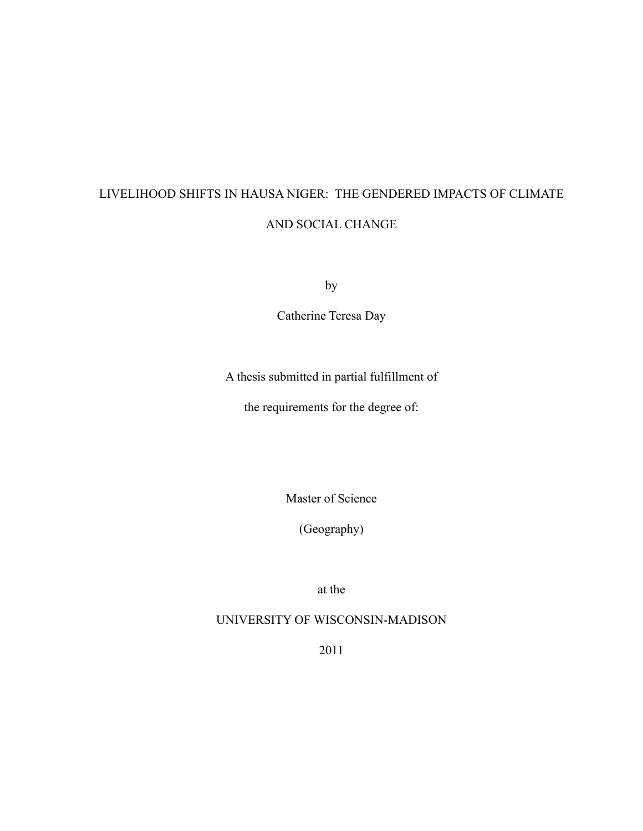# LIVELIHOOD SHIFTS IN HAUSA NIGER: THE GENDERED IMPACTS OF CLIMATE AND SOCIAL CHANGE

by

Catherine Teresa Day

A thesis submitted in partial fulfillment of

the requirements for the degree of:

Master of Science

(Geography)

at the

UNIVERSITY OF WISCONSIN-MADISON

2011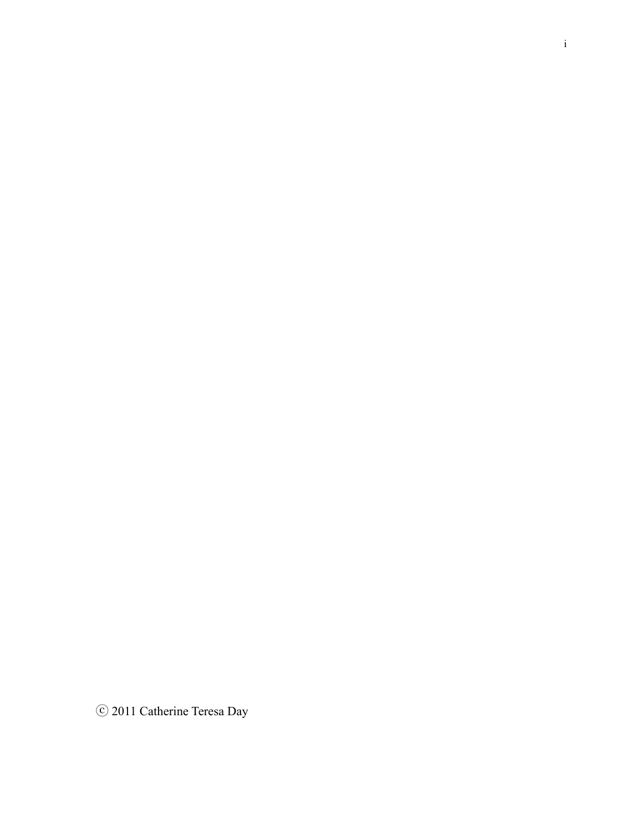ⓒ 2011 Catherine Teresa Day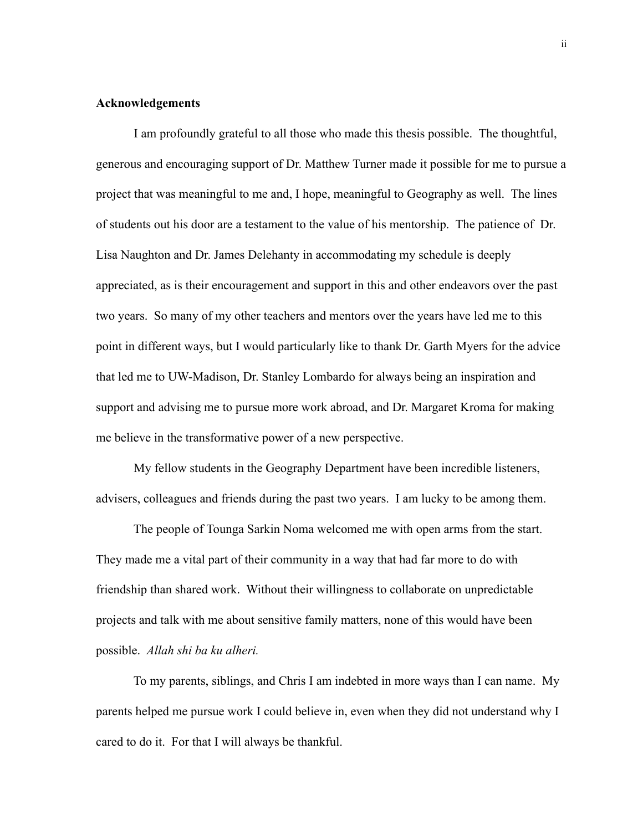### **Acknowledgements**

 I am profoundly grateful to all those who made this thesis possible. The thoughtful, generous and encouraging support of Dr. Matthew Turner made it possible for me to pursue a project that was meaningful to me and, I hope, meaningful to Geography as well. The lines of students out his door are a testament to the value of his mentorship. The patience of Dr. Lisa Naughton and Dr. James Delehanty in accommodating my schedule is deeply appreciated, as is their encouragement and support in this and other endeavors over the past two years. So many of my other teachers and mentors over the years have led me to this point in different ways, but I would particularly like to thank Dr. Garth Myers for the advice that led me to UW-Madison, Dr. Stanley Lombardo for always being an inspiration and support and advising me to pursue more work abroad, and Dr. Margaret Kroma for making me believe in the transformative power of a new perspective.

 My fellow students in the Geography Department have been incredible listeners, advisers, colleagues and friends during the past two years. I am lucky to be among them.

 The people of Tounga Sarkin Noma welcomed me with open arms from the start. They made me a vital part of their community in a way that had far more to do with friendship than shared work. Without their willingness to collaborate on unpredictable projects and talk with me about sensitive family matters, none of this would have been possible. *Allah shi ba ku alheri.*

 To my parents, siblings, and Chris I am indebted in more ways than I can name. My parents helped me pursue work I could believe in, even when they did not understand why I cared to do it. For that I will always be thankful.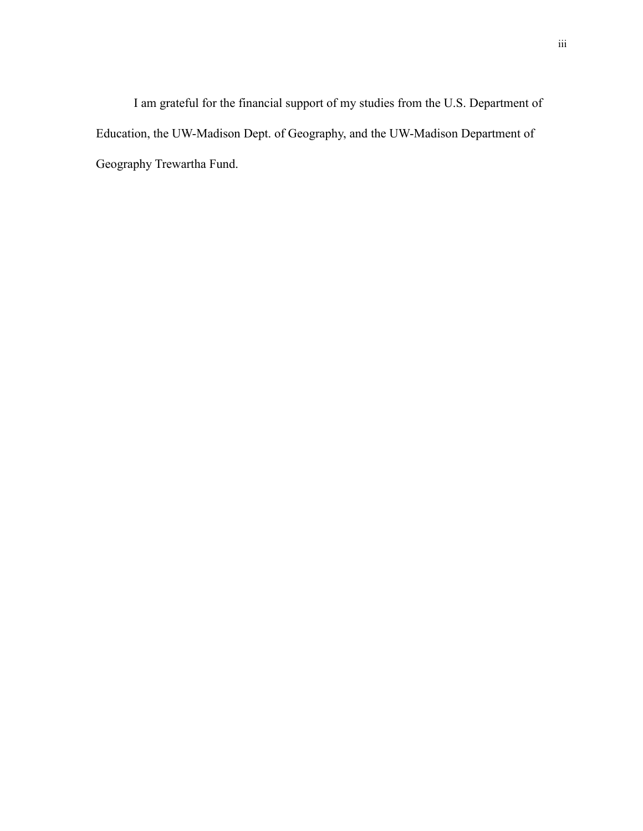I am grateful for the financial support of my studies from the U.S. Department of Education, the UW-Madison Dept. of Geography, and the UW-Madison Department of Geography Trewartha Fund.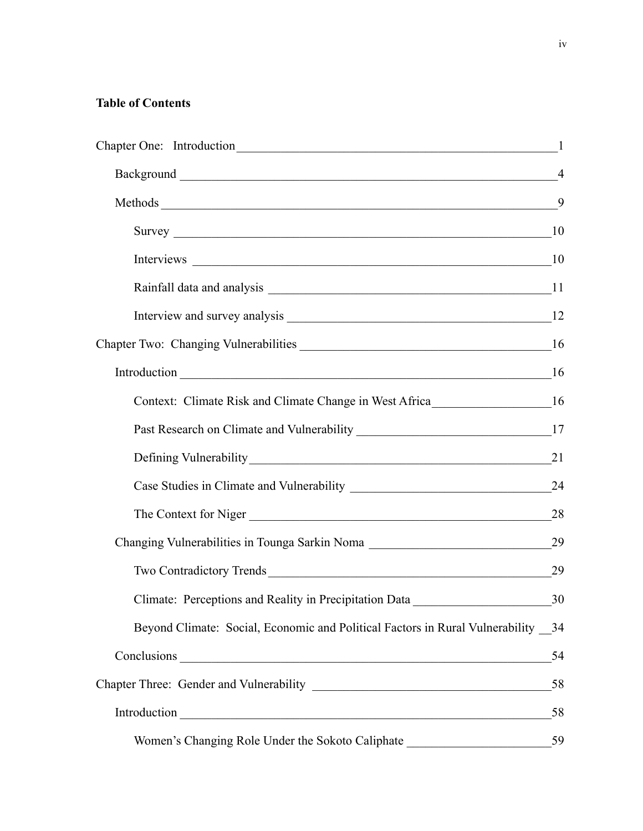# **Table of Contents**

|                                                                                    | $\mathbf{1}$   |
|------------------------------------------------------------------------------------|----------------|
|                                                                                    | $\overline{4}$ |
|                                                                                    | 9              |
|                                                                                    | 10             |
| Interviews 10                                                                      |                |
|                                                                                    |                |
|                                                                                    | 12             |
|                                                                                    |                |
|                                                                                    | 16             |
| Context: Climate Risk and Climate Change in West Africa_________________________16 |                |
|                                                                                    | 17             |
|                                                                                    | 21             |
|                                                                                    | 24             |
| The Context for Niger                                                              | 28             |
| Changing Vulnerabilities in Tounga Sarkin Noma                                     | 29             |
| Two Contradictory Trends                                                           | 29             |
| Climate: Perceptions and Reality in Precipitation Data                             | 30             |
| Beyond Climate: Social, Economic and Political Factors in Rural Vulnerability _34  |                |
|                                                                                    | 54             |
|                                                                                    | 58             |
|                                                                                    | 58             |
| Women's Changing Role Under the Sokoto Caliphate                                   | 59             |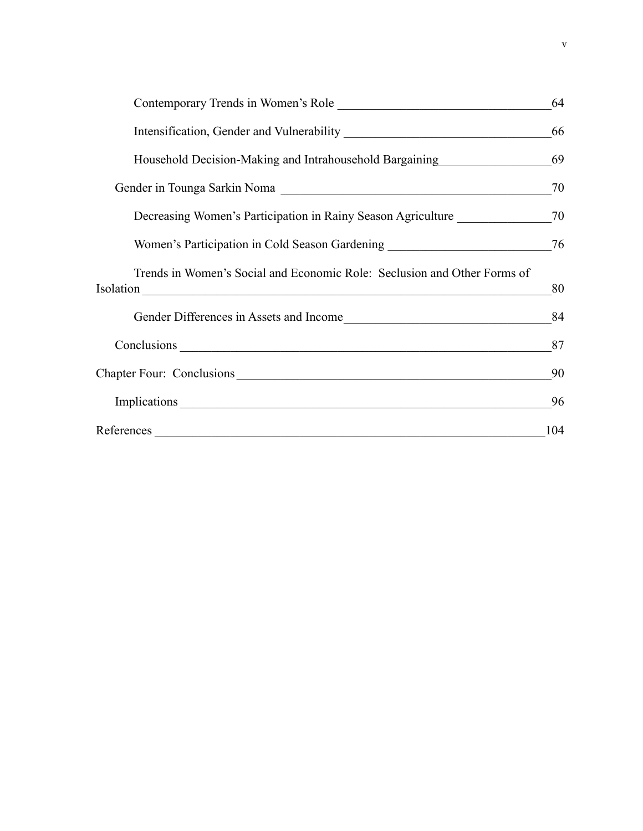| Contemporary Trends in Women's Role                                              | 64  |
|----------------------------------------------------------------------------------|-----|
|                                                                                  | 66  |
| Household Decision-Making and Intrahousehold Bargaining                          | 69  |
|                                                                                  | 70  |
| Decreasing Women's Participation in Rainy Season Agriculture                     | 70  |
| Women's Participation in Cold Season Gardening _________________________________ | 76  |
| Trends in Women's Social and Economic Role: Seclusion and Other Forms of         | 80  |
|                                                                                  | 84  |
|                                                                                  | 87  |
| Chapter Four: Conclusions                                                        | 90  |
|                                                                                  | 96  |
| References                                                                       | 104 |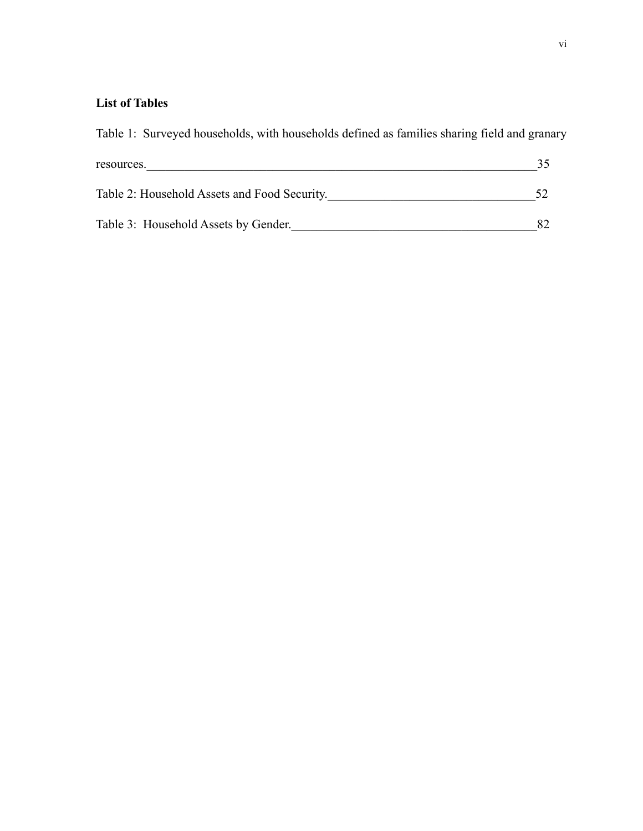# **List of Tables**

Table 1: Surveyed households, with households defined as families sharing field and granary resources.  $\frac{35}{25}$ Table 2: Household Assets and Food Security. 52 Table 3: Household Assets by Gender. 282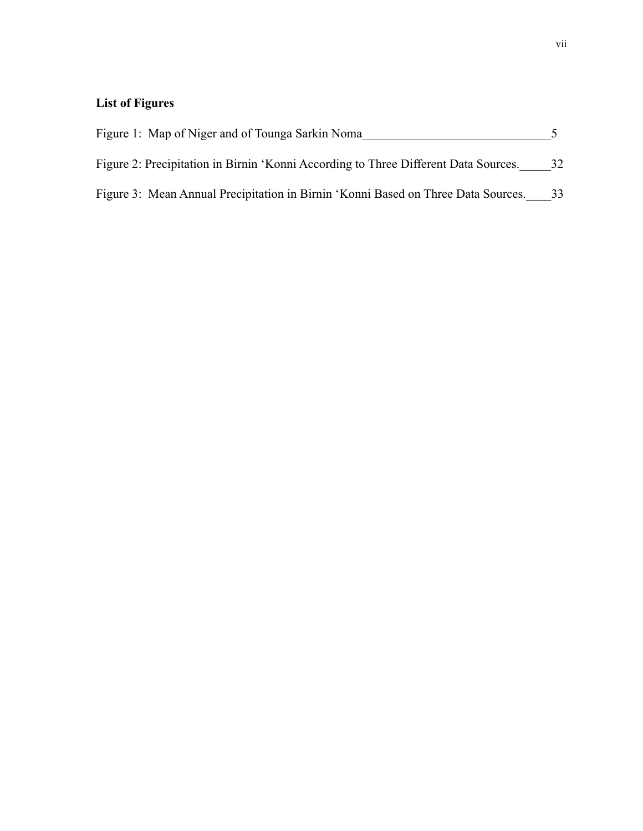# **List of Figures**

| Figure 1: Map of Niger and of Tounga Sarkin Noma                                    |    |
|-------------------------------------------------------------------------------------|----|
| Figure 2: Precipitation in Birnin 'Konni According to Three Different Data Sources. | 32 |
| Figure 3: Mean Annual Precipitation in Birnin 'Konni Based on Three Data Sources.   | 33 |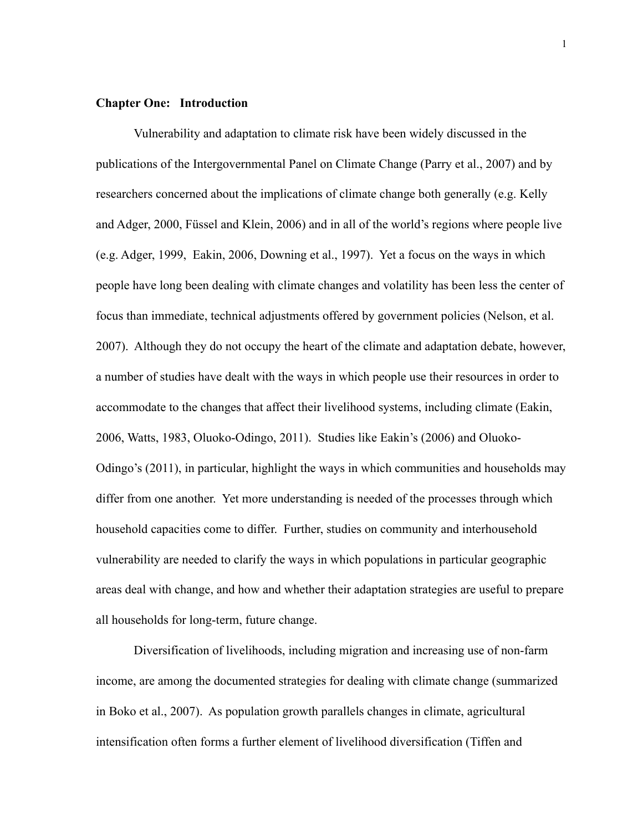### <span id="page-8-0"></span>**Chapter One: Introduction**

Vulnerability and adaptation to climate risk have been widely discussed in the publications of the Intergovernmental Panel on Climate Change (Parry et al., 2007) and by researchers concerned about the implications of climate change both generally (e.g. Kelly and Adger, 2000, Füssel and Klein, 2006) and in all of the world's regions where people live (e.g. Adger, 1999, Eakin, 2006, Downing et al., 1997). Yet a focus on the ways in which people have long been dealing with climate changes and volatility has been less the center of focus than immediate, technical adjustments offered by government policies (Nelson, et al. 2007). Although they do not occupy the heart of the climate and adaptation debate, however, a number of studies have dealt with the ways in which people use their resources in order to accommodate to the changes that affect their livelihood systems, including climate (Eakin, 2006, Watts, 1983, Oluoko-Odingo, 2011). Studies like Eakin's (2006) and Oluoko-Odingo's (2011), in particular, highlight the ways in which communities and households may differ from one another. Yet more understanding is needed of the processes through which household capacities come to differ. Further, studies on community and interhousehold vulnerability are needed to clarify the ways in which populations in particular geographic areas deal with change, and how and whether their adaptation strategies are useful to prepare all households for long-term, future change.

 Diversification of livelihoods, including migration and increasing use of non-farm income, are among the documented strategies for dealing with climate change (summarized in Boko et al., 2007). As population growth parallels changes in climate, agricultural intensification often forms a further element of livelihood diversification (Tiffen and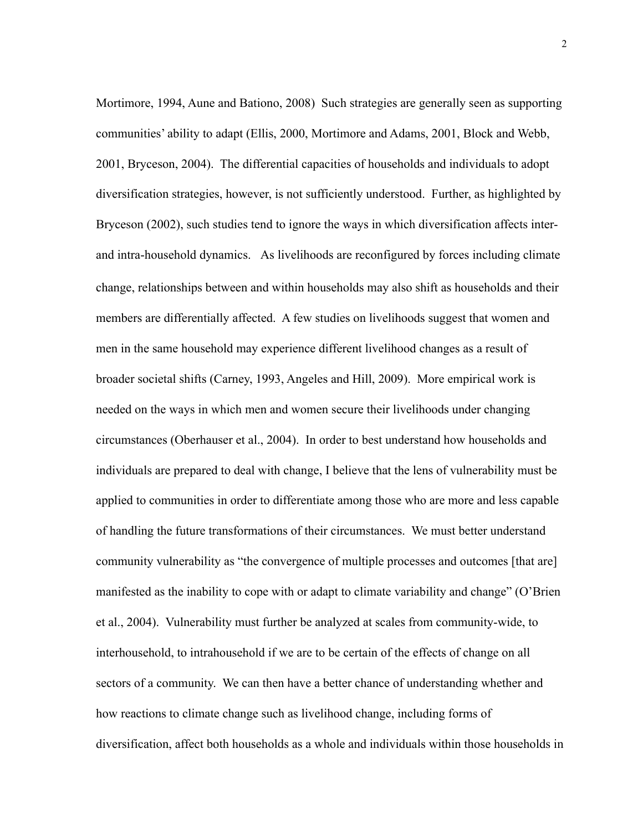Mortimore, 1994, Aune and Bationo, 2008) Such strategies are generally seen as supporting communities' ability to adapt (Ellis, 2000, Mortimore and Adams, 2001, Block and Webb, 2001, Bryceson, 2004). The differential capacities of households and individuals to adopt diversification strategies, however, is not sufficiently understood. Further, as highlighted by Bryceson (2002), such studies tend to ignore the ways in which diversification affects interand intra-household dynamics. As livelihoods are reconfigured by forces including climate change, relationships between and within households may also shift as households and their members are differentially affected. A few studies on livelihoods suggest that women and men in the same household may experience different livelihood changes as a result of broader societal shifts (Carney, 1993, Angeles and Hill, 2009). More empirical work is needed on the ways in which men and women secure their livelihoods under changing circumstances (Oberhauser et al., 2004). In order to best understand how households and individuals are prepared to deal with change, I believe that the lens of vulnerability must be applied to communities in order to differentiate among those who are more and less capable of handling the future transformations of their circumstances. We must better understand community vulnerability as "the convergence of multiple processes and outcomes [that are] manifested as the inability to cope with or adapt to climate variability and change" (O'Brien et al., 2004). Vulnerability must further be analyzed at scales from community-wide, to interhousehold, to intrahousehold if we are to be certain of the effects of change on all sectors of a community. We can then have a better chance of understanding whether and how reactions to climate change such as livelihood change, including forms of diversification, affect both households as a whole and individuals within those households in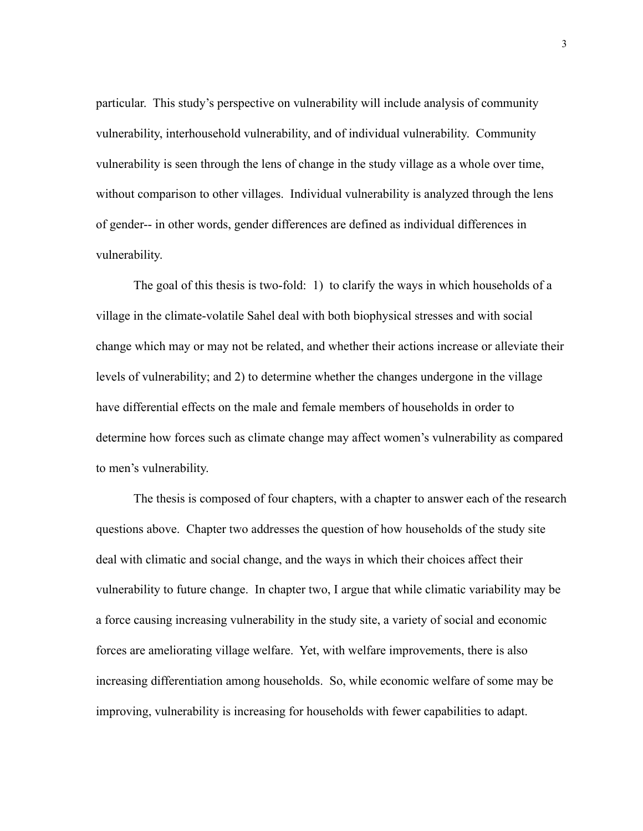particular. This study's perspective on vulnerability will include analysis of community vulnerability, interhousehold vulnerability, and of individual vulnerability. Community vulnerability is seen through the lens of change in the study village as a whole over time, without comparison to other villages. Individual vulnerability is analyzed through the lens of gender-- in other words, gender differences are defined as individual differences in vulnerability.

 The goal of this thesis is two-fold: 1) to clarify the ways in which households of a village in the climate-volatile Sahel deal with both biophysical stresses and with social change which may or may not be related, and whether their actions increase or alleviate their levels of vulnerability; and 2) to determine whether the changes undergone in the village have differential effects on the male and female members of households in order to determine how forces such as climate change may affect women's vulnerability as compared to men's vulnerability.

 The thesis is composed of four chapters, with a chapter to answer each of the research questions above. Chapter two addresses the question of how households of the study site deal with climatic and social change, and the ways in which their choices affect their vulnerability to future change. In chapter two, I argue that while climatic variability may be a force causing increasing vulnerability in the study site, a variety of social and economic forces are ameliorating village welfare. Yet, with welfare improvements, there is also increasing differentiation among households. So, while economic welfare of some may be improving, vulnerability is increasing for households with fewer capabilities to adapt.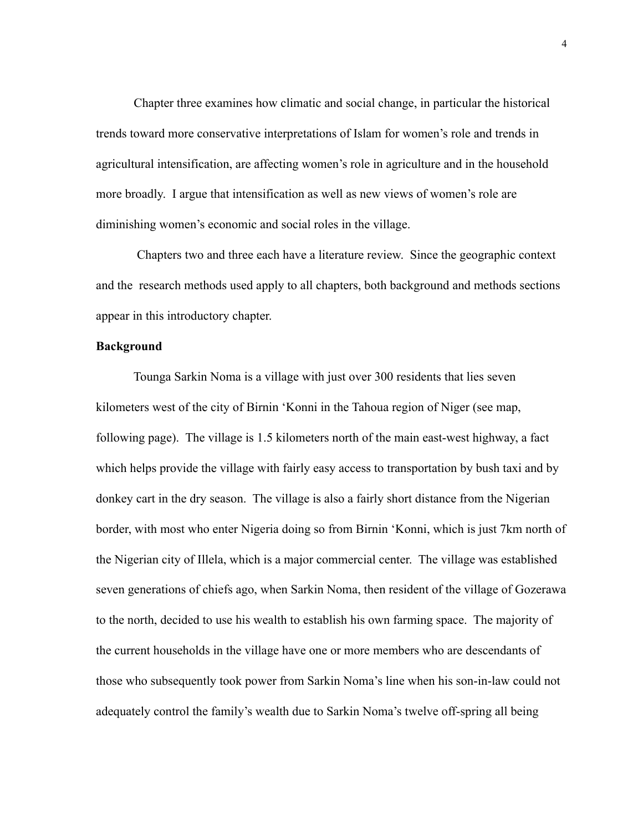Chapter three examines how climatic and social change, in particular the historical trends toward more conservative interpretations of Islam for women's role and trends in agricultural intensification, are affecting women's role in agriculture and in the household more broadly. I argue that intensification as well as new views of women's role are diminishing women's economic and social roles in the village.

 Chapters two and three each have a literature review. Since the geographic context and the research methods used apply to all chapters, both background and methods sections appear in this introductory chapter.

## <span id="page-11-0"></span>**Background**

 Tounga Sarkin Noma is a village with just over 300 residents that lies seven kilometers west of the city of Birnin 'Konni in the Tahoua region of Niger (see map, following page). The village is 1.5 kilometers north of the main east-west highway, a fact which helps provide the village with fairly easy access to transportation by bush taxi and by donkey cart in the dry season. The village is also a fairly short distance from the Nigerian border, with most who enter Nigeria doing so from Birnin 'Konni, which is just 7km north of the Nigerian city of Illela, which is a major commercial center. The village was established seven generations of chiefs ago, when Sarkin Noma, then resident of the village of Gozerawa to the north, decided to use his wealth to establish his own farming space. The majority of the current households in the village have one or more members who are descendants of those who subsequently took power from Sarkin Noma's line when his son-in-law could not adequately control the family's wealth due to Sarkin Noma's twelve off-spring all being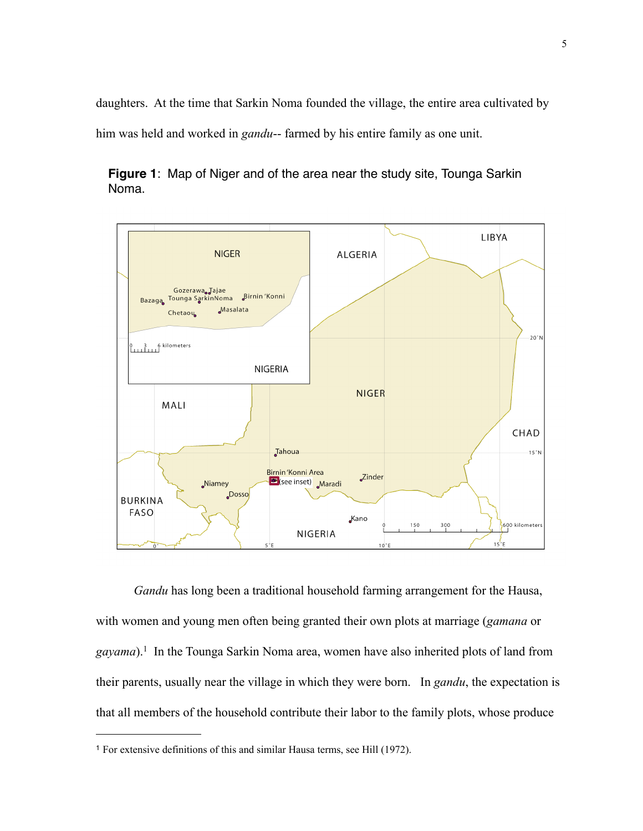daughters. At the time that Sarkin Noma founded the village, the entire area cultivated by him was held and worked in *gandu*-- farmed by his entire family as one unit.



**Figure 1**: Map of Niger and of the area near the study site, Tounga Sarkin Noma.

*Gandu* has long been a traditional household farming arrangement for the Hausa, with women and young men often being granted their own plots at marriage (*gamana* or *gayama*)[.1](#page-12-0) In the Tounga Sarkin Noma area, women have also inherited plots of land from their parents, usually near the village in which they were born. In *gandu*, the expectation is that all members of the household contribute their labor to the family plots, whose produce

<span id="page-12-0"></span><sup>1</sup> For extensive definitions of this and similar Hausa terms, see Hill (1972).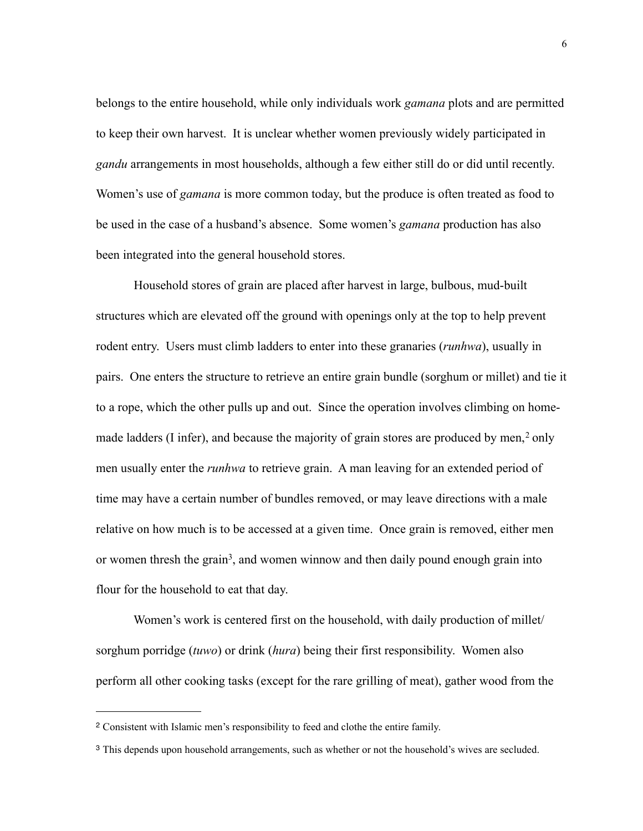belongs to the entire household, while only individuals work *gamana* plots and are permitted to keep their own harvest. It is unclear whether women previously widely participated in *gandu* arrangements in most households, although a few either still do or did until recently. Women's use of *gamana* is more common today, but the produce is often treated as food to be used in the case of a husband's absence. Some women's *gamana* production has also been integrated into the general household stores.

 Household stores of grain are placed after harvest in large, bulbous, mud-built structures which are elevated off the ground with openings only at the top to help prevent rodent entry. Users must climb ladders to enter into these granaries (*runhwa*), usually in pairs. One enters the structure to retrieve an entire grain bundle (sorghum or millet) and tie it to a rope, which the other pulls up and out. Since the operation involves climbing on homemade ladders (I infer), and because the majority of grain stores are produced by men, $2$  only men usually enter the *runhwa* to retrieve grain. A man leaving for an extended period of time may have a certain number of bundles removed, or may leave directions with a male relative on how much is to be accessed at a given time. Once grain is removed, either men or women thresh the grain<sup>3</sup>, and women winnow and then daily pound enough grain into flour for the household to eat that day.

 Women's work is centered first on the household, with daily production of millet/ sorghum porridge (*tuwo*) or drink (*hura*) being their first responsibility. Women also perform all other cooking tasks (except for the rare grilling of meat), gather wood from the

<span id="page-13-0"></span><sup>2</sup> Consistent with Islamic men's responsibility to feed and clothe the entire family.

<span id="page-13-1"></span><sup>3</sup> This depends upon household arrangements, such as whether or not the household's wives are secluded.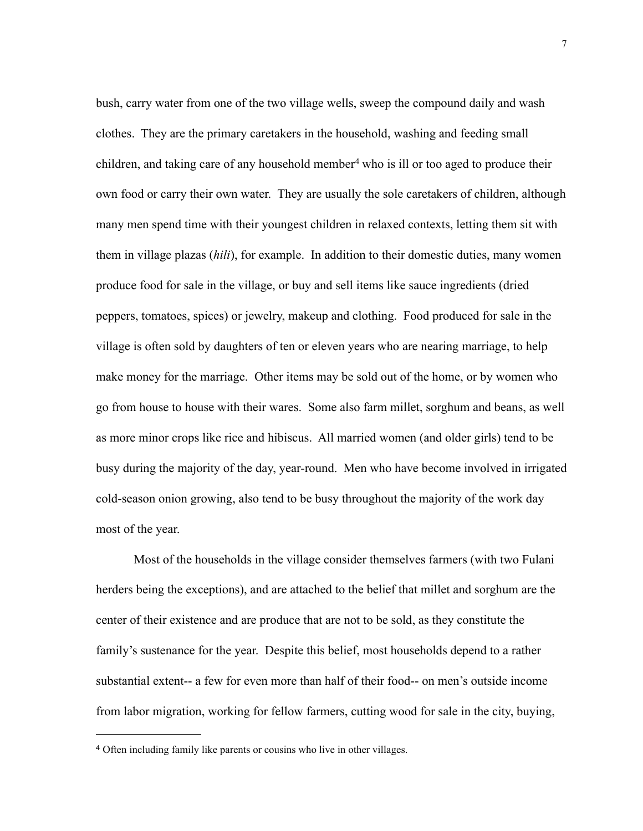bush, carry water from one of the two village wells, sweep the compound daily and wash clothes. They are the primary caretakers in the household, washing and feeding small children, and taking care of any household member<sup>4</sup> who is ill or too aged to produce their own food or carry their own water. They are usually the sole caretakers of children, although many men spend time with their youngest children in relaxed contexts, letting them sit with them in village plazas (*hili*), for example. In addition to their domestic duties, many women produce food for sale in the village, or buy and sell items like sauce ingredients (dried peppers, tomatoes, spices) or jewelry, makeup and clothing. Food produced for sale in the village is often sold by daughters of ten or eleven years who are nearing marriage, to help make money for the marriage. Other items may be sold out of the home, or by women who go from house to house with their wares. Some also farm millet, sorghum and beans, as well as more minor crops like rice and hibiscus. All married women (and older girls) tend to be busy during the majority of the day, year-round. Men who have become involved in irrigated cold-season onion growing, also tend to be busy throughout the majority of the work day most of the year.

 Most of the households in the village consider themselves farmers (with two Fulani herders being the exceptions), and are attached to the belief that millet and sorghum are the center of their existence and are produce that are not to be sold, as they constitute the family's sustenance for the year. Despite this belief, most households depend to a rather substantial extent-- a few for even more than half of their food-- on men's outside income from labor migration, working for fellow farmers, cutting wood for sale in the city, buying,

<span id="page-14-0"></span><sup>4</sup> Often including family like parents or cousins who live in other villages.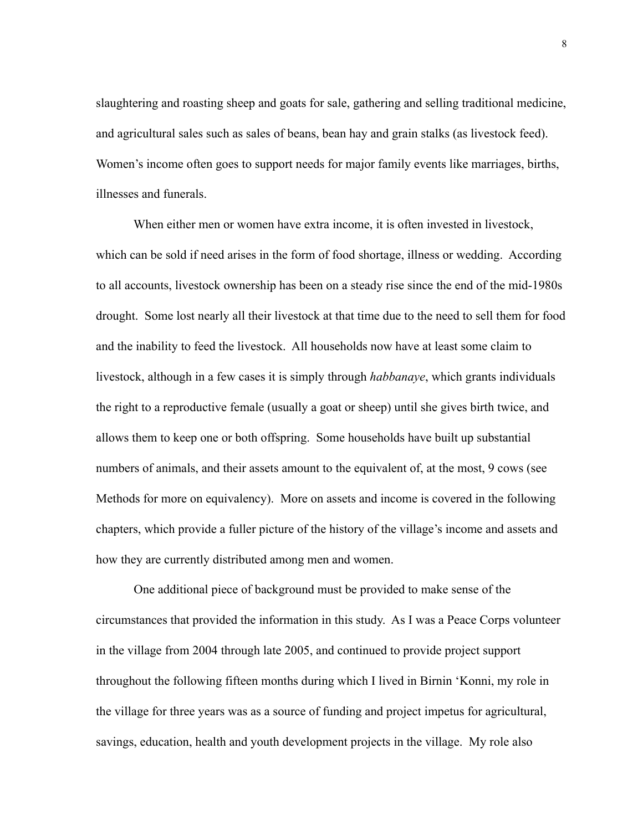slaughtering and roasting sheep and goats for sale, gathering and selling traditional medicine, and agricultural sales such as sales of beans, bean hay and grain stalks (as livestock feed). Women's income often goes to support needs for major family events like marriages, births, illnesses and funerals.

 When either men or women have extra income, it is often invested in livestock, which can be sold if need arises in the form of food shortage, illness or wedding. According to all accounts, livestock ownership has been on a steady rise since the end of the mid-1980s drought. Some lost nearly all their livestock at that time due to the need to sell them for food and the inability to feed the livestock. All households now have at least some claim to livestock, although in a few cases it is simply through *habbanaye*, which grants individuals the right to a reproductive female (usually a goat or sheep) until she gives birth twice, and allows them to keep one or both offspring. Some households have built up substantial numbers of animals, and their assets amount to the equivalent of, at the most, 9 cows (see Methods for more on equivalency). More on assets and income is covered in the following chapters, which provide a fuller picture of the history of the village's income and assets and how they are currently distributed among men and women.

 One additional piece of background must be provided to make sense of the circumstances that provided the information in this study. As I was a Peace Corps volunteer in the village from 2004 through late 2005, and continued to provide project support throughout the following fifteen months during which I lived in Birnin 'Konni, my role in the village for three years was as a source of funding and project impetus for agricultural, savings, education, health and youth development projects in the village. My role also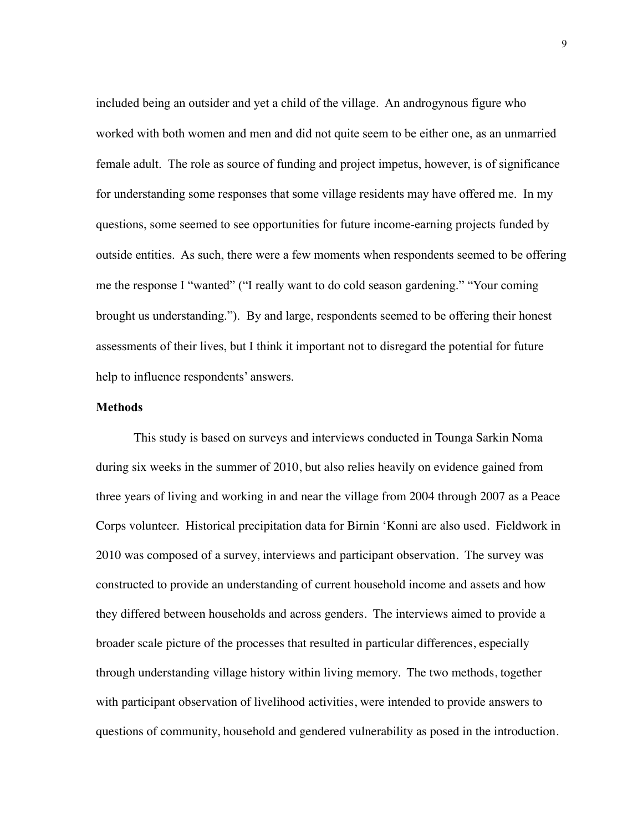included being an outsider and yet a child of the village. An androgynous figure who worked with both women and men and did not quite seem to be either one, as an unmarried female adult. The role as source of funding and project impetus, however, is of significance for understanding some responses that some village residents may have offered me. In my questions, some seemed to see opportunities for future income-earning projects funded by outside entities. As such, there were a few moments when respondents seemed to be offering me the response I "wanted" ("I really want to do cold season gardening." "Your coming brought us understanding."). By and large, respondents seemed to be offering their honest assessments of their lives, but I think it important not to disregard the potential for future help to influence respondents' answers.

#### <span id="page-16-0"></span>**Methods**

This study is based on surveys and interviews conducted in Tounga Sarkin Noma during six weeks in the summer of 2010, but also relies heavily on evidence gained from three years of living and working in and near the village from 2004 through 2007 as a Peace Corps volunteer. Historical precipitation data for Birnin 'Konni are also used. Fieldwork in 2010 was composed of a survey, interviews and participant observation. The survey was constructed to provide an understanding of current household income and assets and how they differed between households and across genders. The interviews aimed to provide a broader scale picture of the processes that resulted in particular differences, especially through understanding village history within living memory. The two methods, together with participant observation of livelihood activities, were intended to provide answers to questions of community, household and gendered vulnerability as posed in the introduction.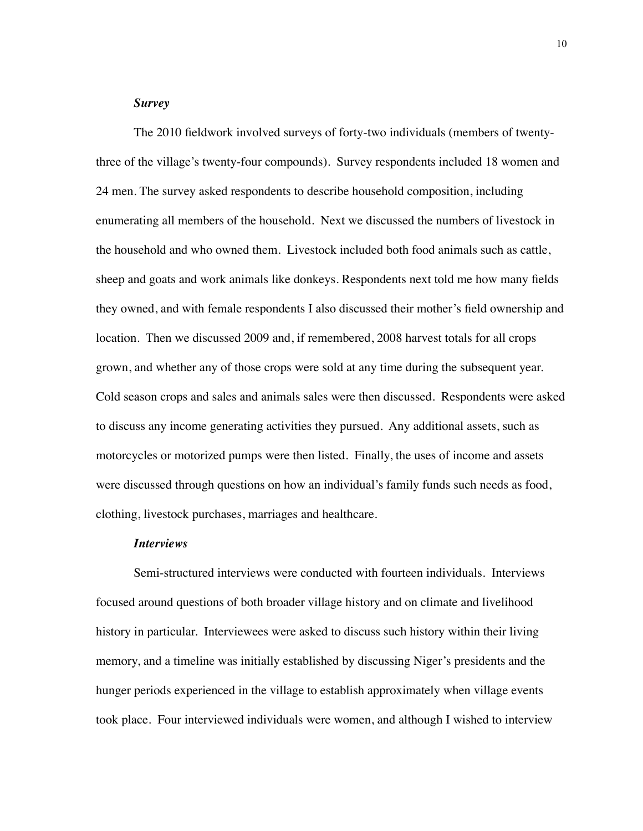### *Survey*

<span id="page-17-0"></span>The 2010 fieldwork involved surveys of forty-two individuals (members of twentythree of the village's twenty-four compounds). Survey respondents included 18 women and 24 men. The survey asked respondents to describe household composition, including enumerating all members of the household. Next we discussed the numbers of livestock in the household and who owned them. Livestock included both food animals such as cattle, sheep and goats and work animals like donkeys. Respondents next told me how many fields they owned, and with female respondents I also discussed their mother's field ownership and location. Then we discussed 2009 and, if remembered, 2008 harvest totals for all crops grown, and whether any of those crops were sold at any time during the subsequent year. Cold season crops and sales and animals sales were then discussed. Respondents were asked to discuss any income generating activities they pursued. Any additional assets, such as motorcycles or motorized pumps were then listed. Finally, the uses of income and assets were discussed through questions on how an individual's family funds such needs as food, clothing, livestock purchases, marriages and healthcare.

#### *Interviews*

<span id="page-17-1"></span>Semi-structured interviews were conducted with fourteen individuals. Interviews focused around questions of both broader village history and on climate and livelihood history in particular. Interviewees were asked to discuss such history within their living memory, and a timeline was initially established by discussing Niger's presidents and the hunger periods experienced in the village to establish approximately when village events took place. Four interviewed individuals were women, and although I wished to interview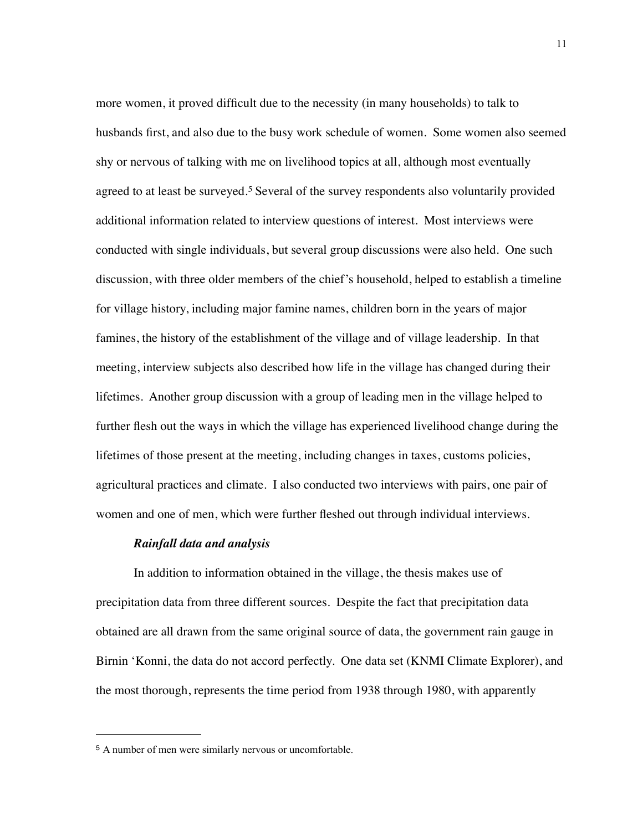more women, it proved difficult due to the necessity (in many households) to talk to husbands first, and also due to the busy work schedule of women. Some women also seemed shy or nervous of talking with me on livelihood topics at all, although most eventually agreed to at least be surveyed.<sup>5</sup> Several of the survey respondents also voluntarily provided additional information related to interview questions of interest. Most interviews were conducted with single individuals, but several group discussions were also held. One such discussion, with three older members of the chief's household, helped to establish a timeline for village history, including major famine names, children born in the years of major famines, the history of the establishment of the village and of village leadership. In that meeting, interview subjects also described how life in the village has changed during their lifetimes. Another group discussion with a group of leading men in the village helped to further flesh out the ways in which the village has experienced livelihood change during the lifetimes of those present at the meeting, including changes in taxes, customs policies, agricultural practices and climate. I also conducted two interviews with pairs, one pair of women and one of men, which were further fleshed out through individual interviews.

#### *Rainfall data and analysis*

<span id="page-18-0"></span>In addition to information obtained in the village, the thesis makes use of precipitation data from three different sources. Despite the fact that precipitation data obtained are all drawn from the same original source of data, the government rain gauge in Birnin 'Konni, the data do not accord perfectly. One data set (KNMI Climate Explorer), and the most thorough, represents the time period from 1938 through 1980, with apparently

<span id="page-18-1"></span><sup>5</sup> A number of men were similarly nervous or uncomfortable.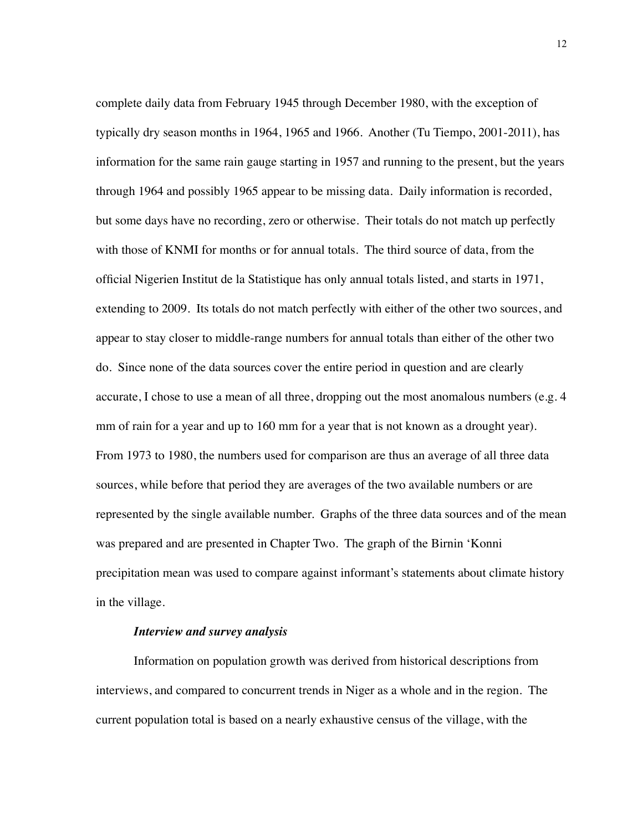complete daily data from February 1945 through December 1980, with the exception of typically dry season months in 1964, 1965 and 1966. Another (Tu Tiempo, 2001-2011), has information for the same rain gauge starting in 1957 and running to the present, but the years through 1964 and possibly 1965 appear to be missing data. Daily information is recorded, but some days have no recording, zero or otherwise. Their totals do not match up perfectly with those of KNMI for months or for annual totals. The third source of data, from the official Nigerien Institut de la Statistique has only annual totals listed, and starts in 1971, extending to 2009. Its totals do not match perfectly with either of the other two sources, and appear to stay closer to middle-range numbers for annual totals than either of the other two do. Since none of the data sources cover the entire period in question and are clearly accurate, I chose to use a mean of all three, dropping out the most anomalous numbers (e.g. 4 mm of rain for a year and up to 160 mm for a year that is not known as a drought year). From 1973 to 1980, the numbers used for comparison are thus an average of all three data sources, while before that period they are averages of the two available numbers or are represented by the single available number. Graphs of the three data sources and of the mean was prepared and are presented in Chapter Two. The graph of the Birnin 'Konni precipitation mean was used to compare against informant's statements about climate history in the village.

#### *Interview and survey analysis*

<span id="page-19-0"></span>Information on population growth was derived from historical descriptions from interviews, and compared to concurrent trends in Niger as a whole and in the region. The current population total is based on a nearly exhaustive census of the village, with the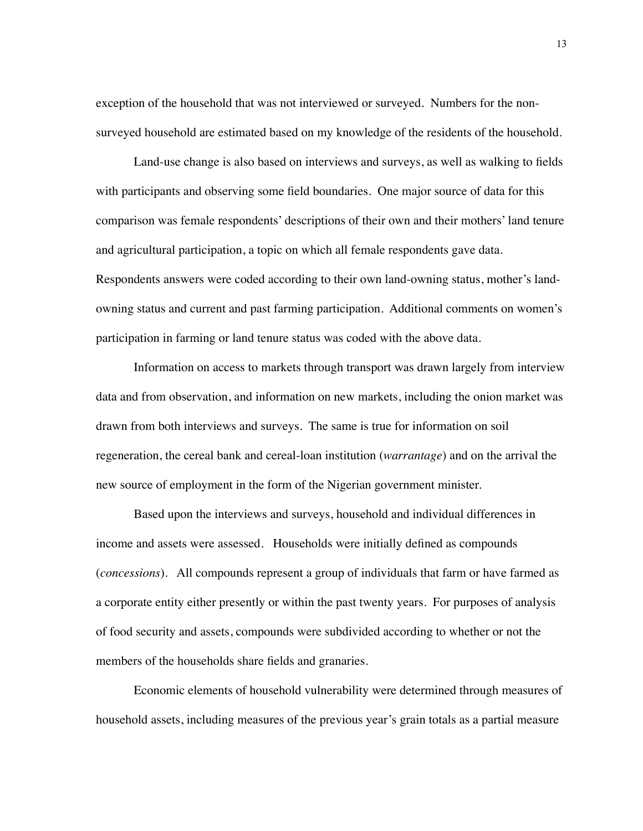exception of the household that was not interviewed or surveyed. Numbers for the nonsurveyed household are estimated based on my knowledge of the residents of the household.

Land-use change is also based on interviews and surveys, as well as walking to fields with participants and observing some field boundaries. One major source of data for this comparison was female respondents' descriptions of their own and their mothers' land tenure and agricultural participation, a topic on which all female respondents gave data. Respondents answers were coded according to their own land-owning status, mother's landowning status and current and past farming participation. Additional comments on women's participation in farming or land tenure status was coded with the above data.

Information on access to markets through transport was drawn largely from interview data and from observation, and information on new markets, including the onion market was drawn from both interviews and surveys. The same is true for information on soil regeneration, the cereal bank and cereal-loan institution (*warrantage*) and on the arrival the new source of employment in the form of the Nigerian government minister.

Based upon the interviews and surveys, household and individual differences in income and assets were assessed. Households were initially defined as compounds (*concessions*). All compounds represent a group of individuals that farm or have farmed as a corporate entity either presently or within the past twenty years. For purposes of analysis of food security and assets, compounds were subdivided according to whether or not the members of the households share fields and granaries.

Economic elements of household vulnerability were determined through measures of household assets, including measures of the previous year's grain totals as a partial measure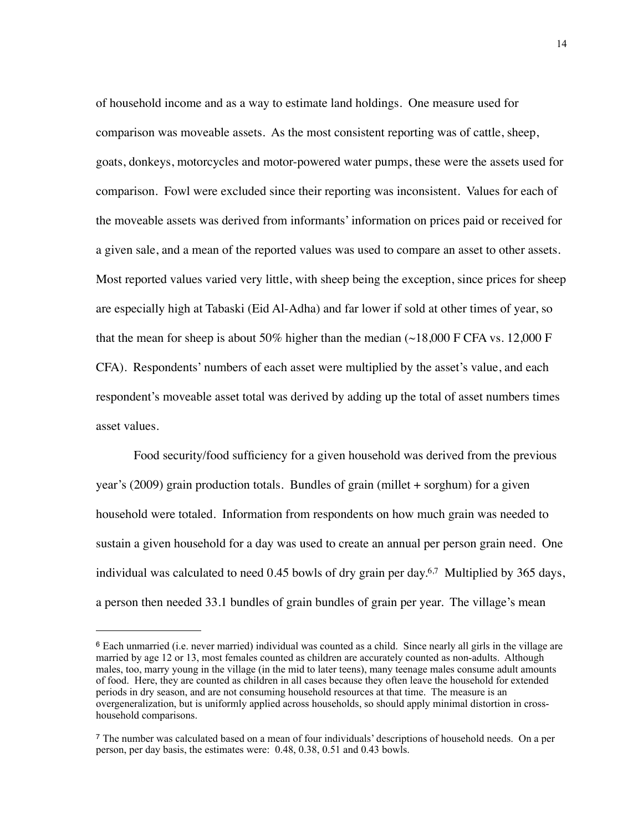of household income and as a way to estimate land holdings. One measure used for comparison was moveable assets. As the most consistent reporting was of cattle, sheep, goats, donkeys, motorcycles and motor-powered water pumps, these were the assets used for comparison. Fowl were excluded since their reporting was inconsistent. Values for each of the moveable assets was derived from informants' information on prices paid or received for a given sale, and a mean of the reported values was used to compare an asset to other assets. Most reported values varied very little, with sheep being the exception, since prices for sheep are especially high at Tabaski (Eid Al-Adha) and far lower if sold at other times of year, so that the mean for sheep is about 50% higher than the median  $(\sim 18,000 \text{ F CFA} \text{ vs. } 12,000 \text{ F}$ CFA). Respondents' numbers of each asset were multiplied by the asset's value, and each respondent's moveable asset total was derived by adding up the total of asset numbers times asset values.

Food security/food sufficiency for a given household was derived from the previous year's (2009) grain production totals. Bundles of grain (millet + sorghum) for a given household were totaled. Information from respondents on how much grain was needed to sustain a given household for a day was used to create an annual per person grain need. One individual was calculated to need 0.45 bowls of dry grain per day.<sup>6,7</sup> Multiplied by 365 days, a person then needed 33.1 bundles of grain bundles of grain per year. The village's mean

<span id="page-21-0"></span><sup>6</sup> Each unmarried (i.e. never married) individual was counted as a child. Since nearly all girls in the village are married by age 12 or 13, most females counted as children are accurately counted as non-adults. Although males, too, marry young in the village (in the mid to later teens), many teenage males consume adult amounts of food. Here, they are counted as children in all cases because they often leave the household for extended periods in dry season, and are not consuming household resources at that time. The measure is an overgeneralization, but is uniformly applied across households, so should apply minimal distortion in crosshousehold comparisons.

<span id="page-21-1"></span><sup>7</sup> The number was calculated based on a mean of four individuals' descriptions of household needs. On a per person, per day basis, the estimates were: 0.48, 0.38, 0.51 and 0.43 bowls.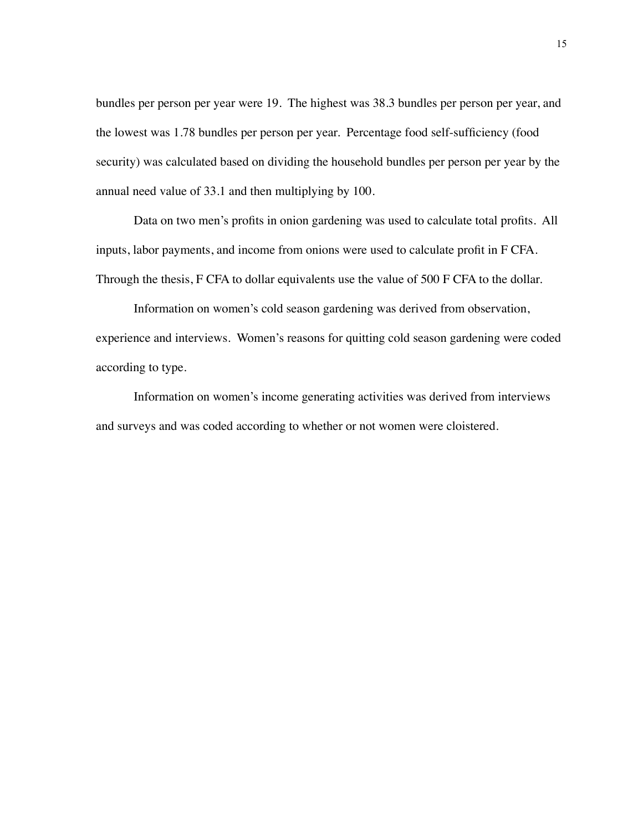bundles per person per year were 19. The highest was 38.3 bundles per person per year, and the lowest was 1.78 bundles per person per year. Percentage food self-sufficiency (food security) was calculated based on dividing the household bundles per person per year by the annual need value of 33.1 and then multiplying by 100.

Data on two men's profits in onion gardening was used to calculate total profits. All inputs, labor payments, and income from onions were used to calculate profit in F CFA. Through the thesis, F CFA to dollar equivalents use the value of 500 F CFA to the dollar.

Information on women's cold season gardening was derived from observation, experience and interviews. Women's reasons for quitting cold season gardening were coded according to type.

Information on women's income generating activities was derived from interviews and surveys and was coded according to whether or not women were cloistered.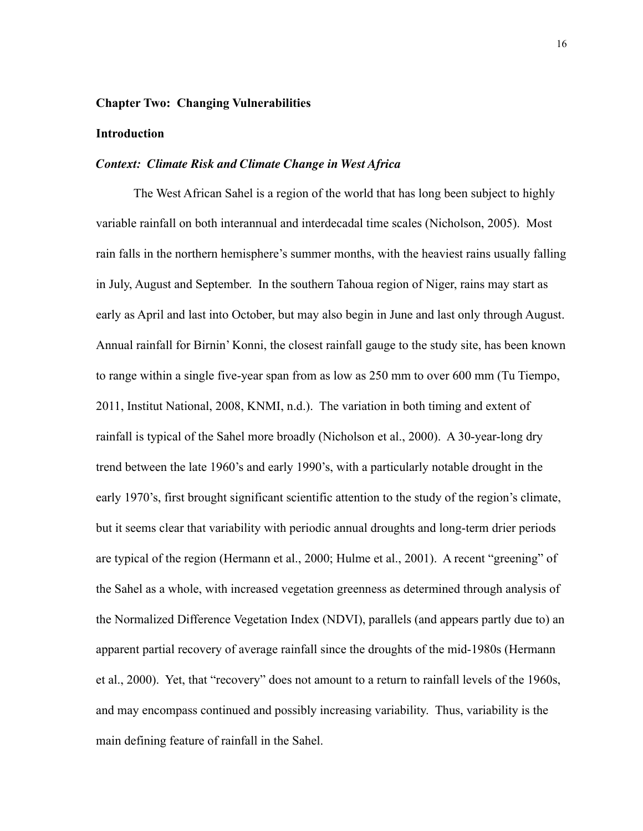#### <span id="page-23-0"></span>**Chapter Two: Changing Vulnerabilities**

#### <span id="page-23-1"></span>**Introduction**

#### <span id="page-23-2"></span>*Context: Climate Risk and Climate Change in West Africa*

 The West African Sahel is a region of the world that has long been subject to highly variable rainfall on both interannual and interdecadal time scales (Nicholson, 2005). Most rain falls in the northern hemisphere's summer months, with the heaviest rains usually falling in July, August and September. In the southern Tahoua region of Niger, rains may start as early as April and last into October, but may also begin in June and last only through August. Annual rainfall for Birnin' Konni, the closest rainfall gauge to the study site, has been known to range within a single five-year span from as low as 250 mm to over 600 mm (Tu Tiempo, 2011, Institut National, 2008, KNMI, n.d.). The variation in both timing and extent of rainfall is typical of the Sahel more broadly (Nicholson et al., 2000). A 30-year-long dry trend between the late 1960's and early 1990's, with a particularly notable drought in the early 1970's, first brought significant scientific attention to the study of the region's climate, but it seems clear that variability with periodic annual droughts and long-term drier periods are typical of the region (Hermann et al., 2000; Hulme et al., 2001). A recent "greening" of the Sahel as a whole, with increased vegetation greenness as determined through analysis of the Normalized Difference Vegetation Index (NDVI), parallels (and appears partly due to) an apparent partial recovery of average rainfall since the droughts of the mid-1980s (Hermann et al., 2000). Yet, that "recovery" does not amount to a return to rainfall levels of the 1960s, and may encompass continued and possibly increasing variability. Thus, variability is the main defining feature of rainfall in the Sahel.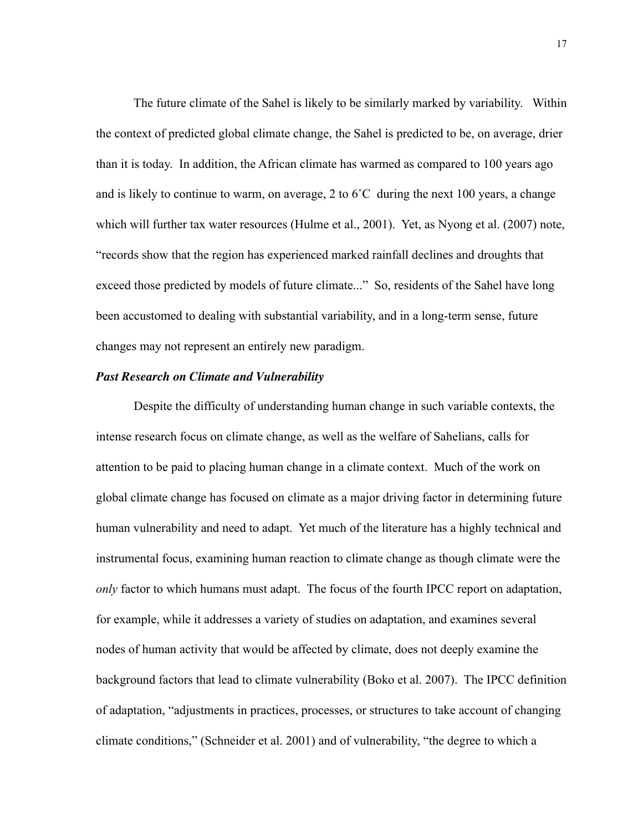The future climate of the Sahel is likely to be similarly marked by variability. Within the context of predicted global climate change, the Sahel is predicted to be, on average, drier than it is today. In addition, the African climate has warmed as compared to 100 years ago and is likely to continue to warm, on average, 2 to 6˚C during the next 100 years, a change which will further tax water resources (Hulme et al., 2001). Yet, as Nyong et al. (2007) note, "records show that the region has experienced marked rainfall declines and droughts that exceed those predicted by models of future climate..." So, residents of the Sahel have long been accustomed to dealing with substantial variability, and in a long-term sense, future changes may not represent an entirely new paradigm.

# <span id="page-24-0"></span>*Past Research on Climate and Vulnerability*

 Despite the difficulty of understanding human change in such variable contexts, the intense research focus on climate change, as well as the welfare of Sahelians, calls for attention to be paid to placing human change in a climate context. Much of the work on global climate change has focused on climate as a major driving factor in determining future human vulnerability and need to adapt. Yet much of the literature has a highly technical and instrumental focus, examining human reaction to climate change as though climate were the *only* factor to which humans must adapt. The focus of the fourth IPCC report on adaptation, for example, while it addresses a variety of studies on adaptation, and examines several nodes of human activity that would be affected by climate, does not deeply examine the background factors that lead to climate vulnerability (Boko et al. 2007). The IPCC definition of adaptation, "adjustments in practices, processes, or structures to take account of changing climate conditions," (Schneider et al. 2001) and of vulnerability, "the degree to which a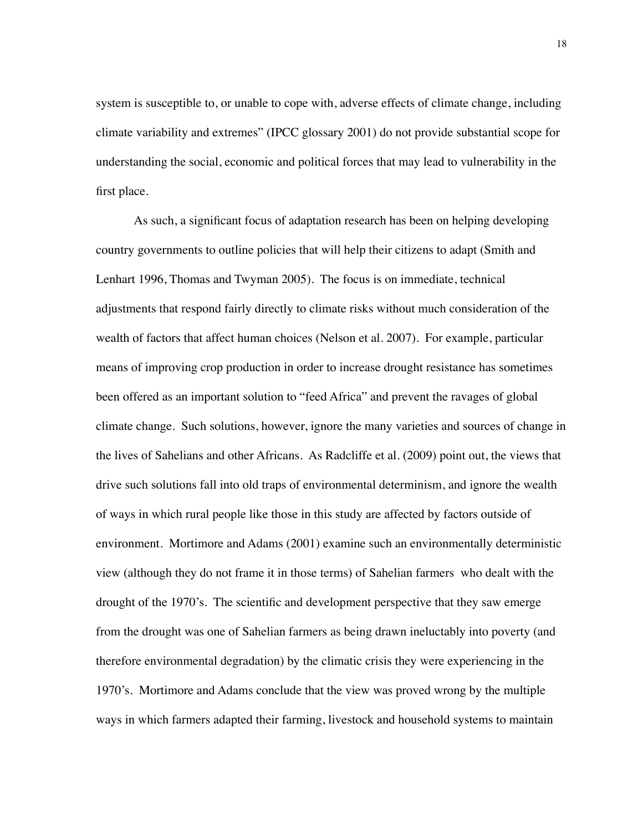system is susceptible to, or unable to cope with, adverse effects of climate change, including climate variability and extremes" (IPCC glossary 2001) do not provide substantial scope for understanding the social, economic and political forces that may lead to vulnerability in the first place.

As such, a significant focus of adaptation research has been on helping developing country governments to outline policies that will help their citizens to adapt (Smith and Lenhart 1996, Thomas and Twyman 2005). The focus is on immediate, technical adjustments that respond fairly directly to climate risks without much consideration of the wealth of factors that affect human choices (Nelson et al. 2007). For example, particular means of improving crop production in order to increase drought resistance has sometimes been offered as an important solution to "feed Africa" and prevent the ravages of global climate change. Such solutions, however, ignore the many varieties and sources of change in the lives of Sahelians and other Africans. As Radcliffe et al. (2009) point out, the views that drive such solutions fall into old traps of environmental determinism, and ignore the wealth of ways in which rural people like those in this study are affected by factors outside of environment. Mortimore and Adams (2001) examine such an environmentally deterministic view (although they do not frame it in those terms) of Sahelian farmers who dealt with the drought of the 1970's. The scientific and development perspective that they saw emerge from the drought was one of Sahelian farmers as being drawn ineluctably into poverty (and therefore environmental degradation) by the climatic crisis they were experiencing in the 1970's. Mortimore and Adams conclude that the view was proved wrong by the multiple ways in which farmers adapted their farming, livestock and household systems to maintain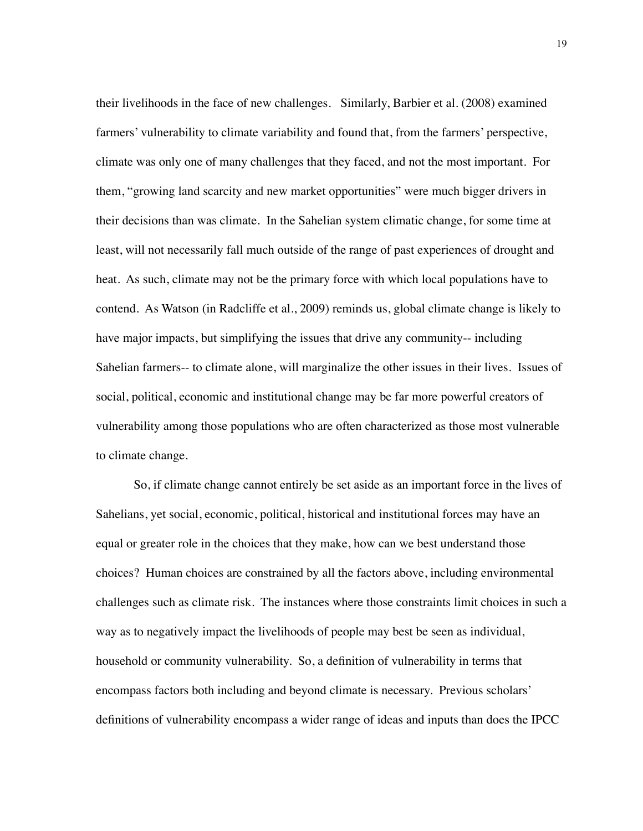their livelihoods in the face of new challenges. Similarly, Barbier et al. (2008) examined farmers' vulnerability to climate variability and found that, from the farmers' perspective, climate was only one of many challenges that they faced, and not the most important. For them, "growing land scarcity and new market opportunities" were much bigger drivers in their decisions than was climate. In the Sahelian system climatic change, for some time at least, will not necessarily fall much outside of the range of past experiences of drought and heat. As such, climate may not be the primary force with which local populations have to contend. As Watson (in Radcliffe et al., 2009) reminds us, global climate change is likely to have major impacts, but simplifying the issues that drive any community-- including Sahelian farmers-- to climate alone, will marginalize the other issues in their lives. Issues of social, political, economic and institutional change may be far more powerful creators of vulnerability among those populations who are often characterized as those most vulnerable to climate change.

So, if climate change cannot entirely be set aside as an important force in the lives of Sahelians, yet social, economic, political, historical and institutional forces may have an equal or greater role in the choices that they make, how can we best understand those choices? Human choices are constrained by all the factors above, including environmental challenges such as climate risk. The instances where those constraints limit choices in such a way as to negatively impact the livelihoods of people may best be seen as individual, household or community vulnerability. So, a definition of vulnerability in terms that encompass factors both including and beyond climate is necessary. Previous scholars' definitions of vulnerability encompass a wider range of ideas and inputs than does the IPCC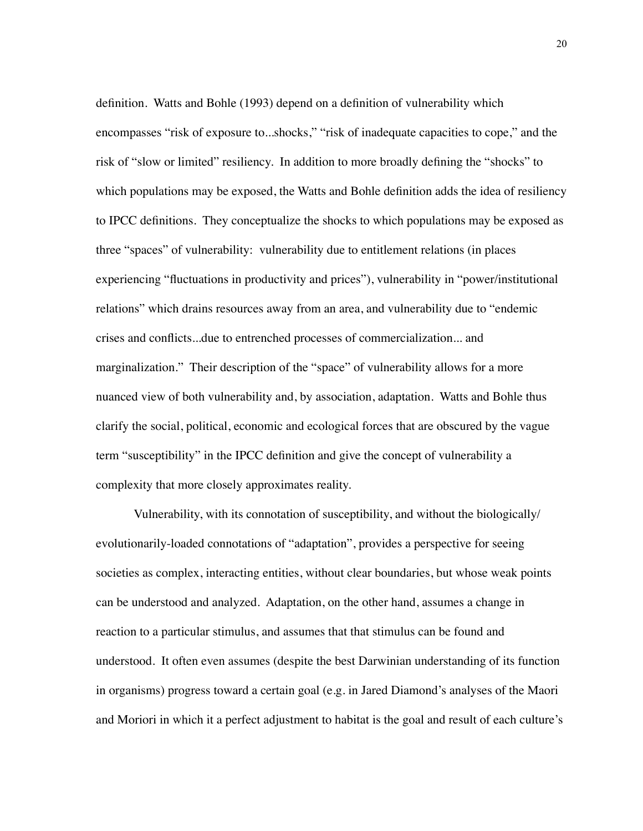definition. Watts and Bohle (1993) depend on a definition of vulnerability which encompasses "risk of exposure to...shocks," "risk of inadequate capacities to cope," and the risk of "slow or limited" resiliency. In addition to more broadly defining the "shocks" to which populations may be exposed, the Watts and Bohle definition adds the idea of resiliency to IPCC definitions. They conceptualize the shocks to which populations may be exposed as three "spaces" of vulnerability: vulnerability due to entitlement relations (in places experiencing "fluctuations in productivity and prices"), vulnerability in "power/institutional relations" which drains resources away from an area, and vulnerability due to "endemic crises and conflicts...due to entrenched processes of commercialization... and marginalization." Their description of the "space" of vulnerability allows for a more nuanced view of both vulnerability and, by association, adaptation. Watts and Bohle thus clarify the social, political, economic and ecological forces that are obscured by the vague term "susceptibility" in the IPCC definition and give the concept of vulnerability a complexity that more closely approximates reality.

Vulnerability, with its connotation of susceptibility, and without the biologically/ evolutionarily-loaded connotations of "adaptation", provides a perspective for seeing societies as complex, interacting entities, without clear boundaries, but whose weak points can be understood and analyzed. Adaptation, on the other hand, assumes a change in reaction to a particular stimulus, and assumes that that stimulus can be found and understood. It often even assumes (despite the best Darwinian understanding of its function in organisms) progress toward a certain goal (e.g. in Jared Diamond's analyses of the Maori and Moriori in which it a perfect adjustment to habitat is the goal and result of each culture's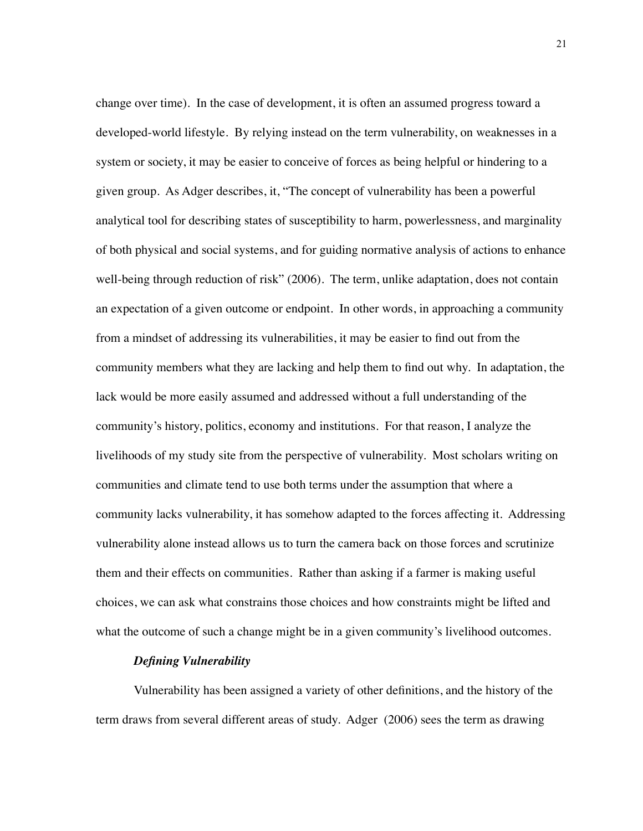change over time). In the case of development, it is often an assumed progress toward a developed-world lifestyle. By relying instead on the term vulnerability, on weaknesses in a system or society, it may be easier to conceive of forces as being helpful or hindering to a given group. As Adger describes, it, "The concept of vulnerability has been a powerful analytical tool for describing states of susceptibility to harm, powerlessness, and marginality of both physical and social systems, and for guiding normative analysis of actions to enhance well-being through reduction of risk" (2006). The term, unlike adaptation, does not contain an expectation of a given outcome or endpoint. In other words, in approaching a community from a mindset of addressing its vulnerabilities, it may be easier to find out from the community members what they are lacking and help them to find out why. In adaptation, the lack would be more easily assumed and addressed without a full understanding of the community's history, politics, economy and institutions. For that reason, I analyze the livelihoods of my study site from the perspective of vulnerability. Most scholars writing on communities and climate tend to use both terms under the assumption that where a community lacks vulnerability, it has somehow adapted to the forces affecting it. Addressing vulnerability alone instead allows us to turn the camera back on those forces and scrutinize them and their effects on communities. Rather than asking if a farmer is making useful choices, we can ask what constrains those choices and how constraints might be lifted and what the outcome of such a change might be in a given community's livelihood outcomes.

#### *Defining Vulnerability*

<span id="page-28-0"></span>Vulnerability has been assigned a variety of other definitions, and the history of the term draws from several different areas of study. Adger (2006) sees the term as drawing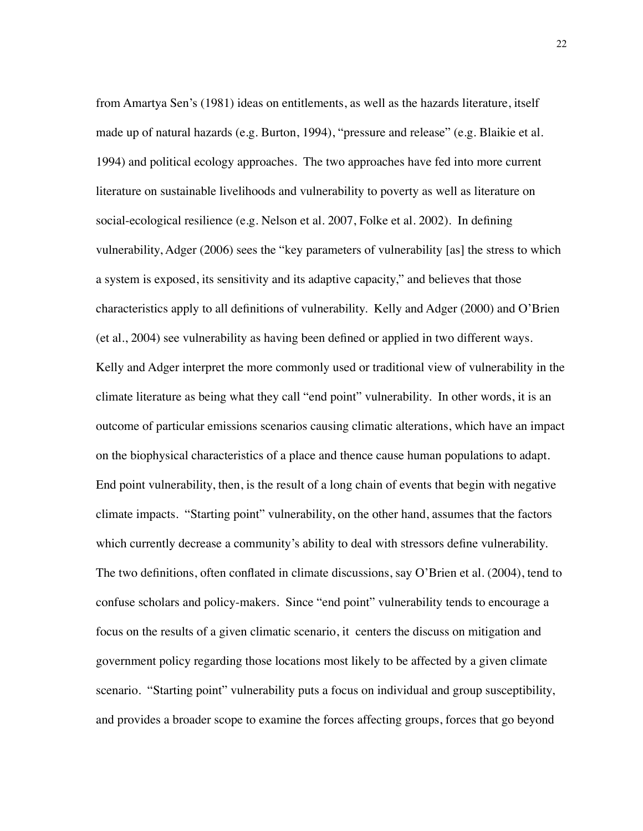from Amartya Sen's (1981) ideas on entitlements, as well as the hazards literature, itself made up of natural hazards (e.g. Burton, 1994), "pressure and release" (e.g. Blaikie et al. 1994) and political ecology approaches. The two approaches have fed into more current literature on sustainable livelihoods and vulnerability to poverty as well as literature on social-ecological resilience (e.g. Nelson et al. 2007, Folke et al. 2002). In defining vulnerability, Adger (2006) sees the "key parameters of vulnerability [as] the stress to which a system is exposed, its sensitivity and its adaptive capacity," and believes that those characteristics apply to all definitions of vulnerability. Kelly and Adger (2000) and O'Brien (et al., 2004) see vulnerability as having been defined or applied in two different ways. Kelly and Adger interpret the more commonly used or traditional view of vulnerability in the climate literature as being what they call "end point" vulnerability. In other words, it is an outcome of particular emissions scenarios causing climatic alterations, which have an impact on the biophysical characteristics of a place and thence cause human populations to adapt. End point vulnerability, then, is the result of a long chain of events that begin with negative climate impacts. "Starting point" vulnerability, on the other hand, assumes that the factors which currently decrease a community's ability to deal with stressors define vulnerability. The two definitions, often conflated in climate discussions, say O'Brien et al. (2004), tend to confuse scholars and policy-makers. Since "end point" vulnerability tends to encourage a focus on the results of a given climatic scenario, it centers the discuss on mitigation and government policy regarding those locations most likely to be affected by a given climate scenario. "Starting point" vulnerability puts a focus on individual and group susceptibility, and provides a broader scope to examine the forces affecting groups, forces that go beyond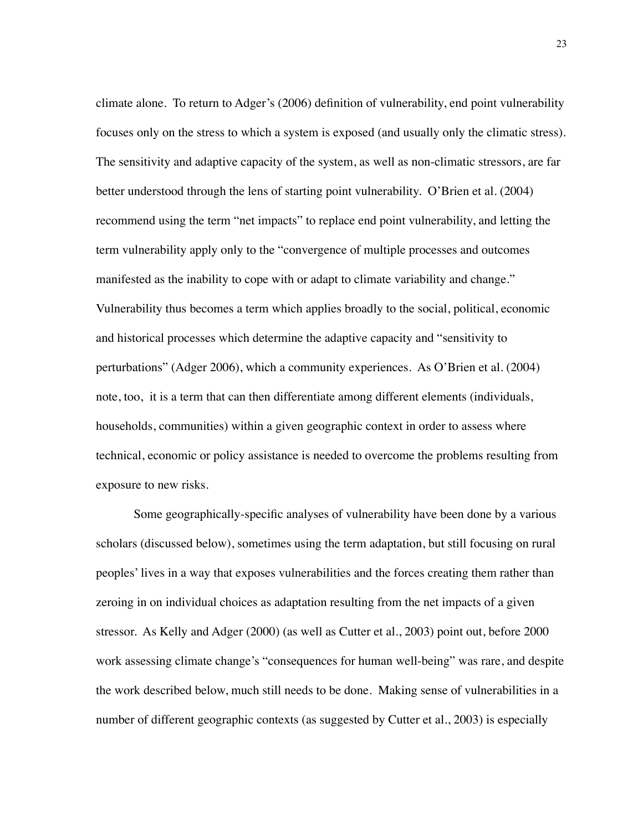climate alone. To return to Adger's (2006) definition of vulnerability, end point vulnerability focuses only on the stress to which a system is exposed (and usually only the climatic stress). The sensitivity and adaptive capacity of the system, as well as non-climatic stressors, are far better understood through the lens of starting point vulnerability. O'Brien et al. (2004) recommend using the term "net impacts" to replace end point vulnerability, and letting the term vulnerability apply only to the "convergence of multiple processes and outcomes manifested as the inability to cope with or adapt to climate variability and change." Vulnerability thus becomes a term which applies broadly to the social, political, economic and historical processes which determine the adaptive capacity and "sensitivity to perturbations" (Adger 2006), which a community experiences. As O'Brien et al. (2004) note, too, it is a term that can then differentiate among different elements (individuals, households, communities) within a given geographic context in order to assess where technical, economic or policy assistance is needed to overcome the problems resulting from exposure to new risks.

Some geographically-specific analyses of vulnerability have been done by a various scholars (discussed below), sometimes using the term adaptation, but still focusing on rural peoples' lives in a way that exposes vulnerabilities and the forces creating them rather than zeroing in on individual choices as adaptation resulting from the net impacts of a given stressor. As Kelly and Adger (2000) (as well as Cutter et al., 2003) point out, before 2000 work assessing climate change's "consequences for human well-being" was rare, and despite the work described below, much still needs to be done. Making sense of vulnerabilities in a number of different geographic contexts (as suggested by Cutter et al., 2003) is especially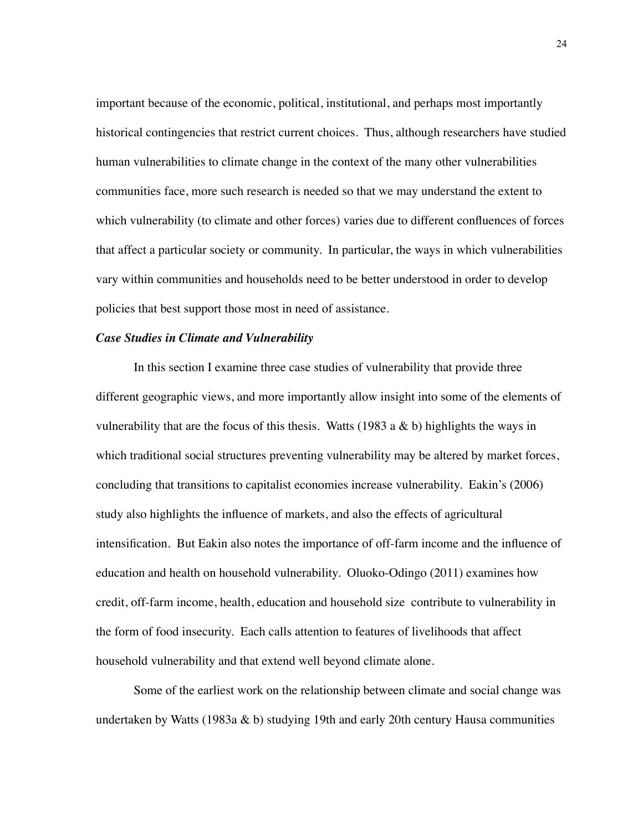important because of the economic, political, institutional, and perhaps most importantly historical contingencies that restrict current choices. Thus, although researchers have studied human vulnerabilities to climate change in the context of the many other vulnerabilities communities face, more such research is needed so that we may understand the extent to which vulnerability (to climate and other forces) varies due to different confluences of forces that affect a particular society or community. In particular, the ways in which vulnerabilities vary within communities and households need to be better understood in order to develop policies that best support those most in need of assistance.

#### <span id="page-31-0"></span>*Case Studies in Climate and Vulnerability*

In this section I examine three case studies of vulnerability that provide three different geographic views, and more importantly allow insight into some of the elements of vulnerability that are the focus of this thesis. Watts (1983 a  $\&$  b) highlights the ways in which traditional social structures preventing vulnerability may be altered by market forces, concluding that transitions to capitalist economies increase vulnerability. Eakin's (2006) study also highlights the influence of markets, and also the effects of agricultural intensification. But Eakin also notes the importance of off-farm income and the influence of education and health on household vulnerability. Oluoko-Odingo (2011) examines how credit, off-farm income, health, education and household size contribute to vulnerability in the form of food insecurity. Each calls attention to features of livelihoods that affect household vulnerability and that extend well beyond climate alone.

Some of the earliest work on the relationship between climate and social change was undertaken by Watts (1983a & b) studying 19th and early 20th century Hausa communities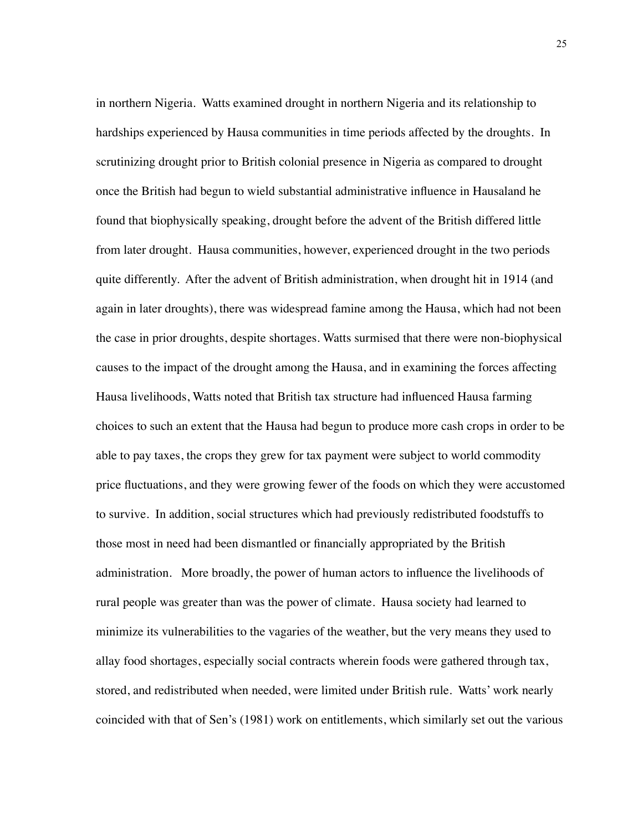in northern Nigeria. Watts examined drought in northern Nigeria and its relationship to hardships experienced by Hausa communities in time periods affected by the droughts. In scrutinizing drought prior to British colonial presence in Nigeria as compared to drought once the British had begun to wield substantial administrative influence in Hausaland he found that biophysically speaking, drought before the advent of the British differed little from later drought. Hausa communities, however, experienced drought in the two periods quite differently. After the advent of British administration, when drought hit in 1914 (and again in later droughts), there was widespread famine among the Hausa, which had not been the case in prior droughts, despite shortages. Watts surmised that there were non-biophysical causes to the impact of the drought among the Hausa, and in examining the forces affecting Hausa livelihoods, Watts noted that British tax structure had influenced Hausa farming choices to such an extent that the Hausa had begun to produce more cash crops in order to be able to pay taxes, the crops they grew for tax payment were subject to world commodity price fluctuations, and they were growing fewer of the foods on which they were accustomed to survive. In addition, social structures which had previously redistributed foodstuffs to those most in need had been dismantled or financially appropriated by the British administration. More broadly, the power of human actors to influence the livelihoods of rural people was greater than was the power of climate. Hausa society had learned to minimize its vulnerabilities to the vagaries of the weather, but the very means they used to allay food shortages, especially social contracts wherein foods were gathered through tax, stored, and redistributed when needed, were limited under British rule. Watts' work nearly coincided with that of Sen's (1981) work on entitlements, which similarly set out the various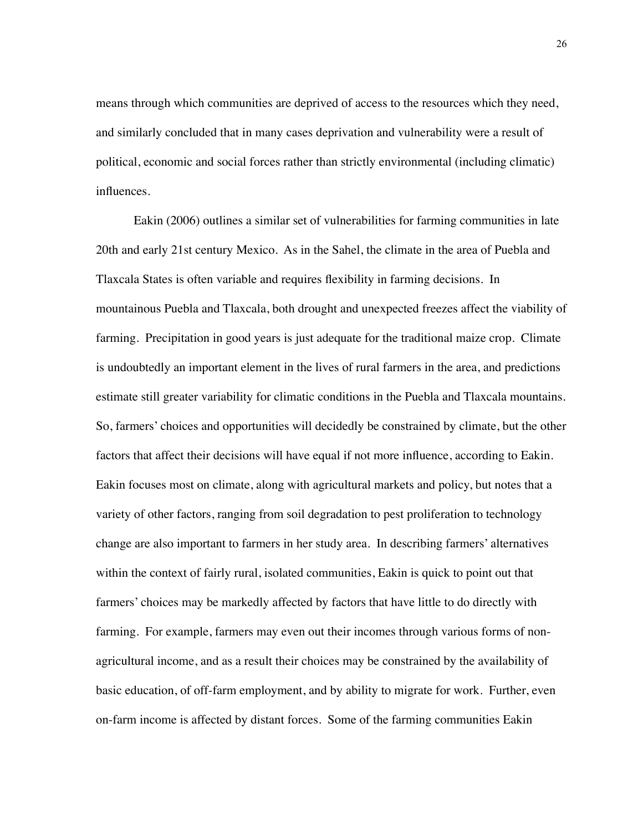means through which communities are deprived of access to the resources which they need, and similarly concluded that in many cases deprivation and vulnerability were a result of political, economic and social forces rather than strictly environmental (including climatic) influences.

Eakin (2006) outlines a similar set of vulnerabilities for farming communities in late 20th and early 21st century Mexico. As in the Sahel, the climate in the area of Puebla and Tlaxcala States is often variable and requires flexibility in farming decisions. In mountainous Puebla and Tlaxcala, both drought and unexpected freezes affect the viability of farming. Precipitation in good years is just adequate for the traditional maize crop. Climate is undoubtedly an important element in the lives of rural farmers in the area, and predictions estimate still greater variability for climatic conditions in the Puebla and Tlaxcala mountains. So, farmers' choices and opportunities will decidedly be constrained by climate, but the other factors that affect their decisions will have equal if not more influence, according to Eakin. Eakin focuses most on climate, along with agricultural markets and policy, but notes that a variety of other factors, ranging from soil degradation to pest proliferation to technology change are also important to farmers in her study area. In describing farmers' alternatives within the context of fairly rural, isolated communities, Eakin is quick to point out that farmers' choices may be markedly affected by factors that have little to do directly with farming. For example, farmers may even out their incomes through various forms of nonagricultural income, and as a result their choices may be constrained by the availability of basic education, of off-farm employment, and by ability to migrate for work. Further, even on-farm income is affected by distant forces. Some of the farming communities Eakin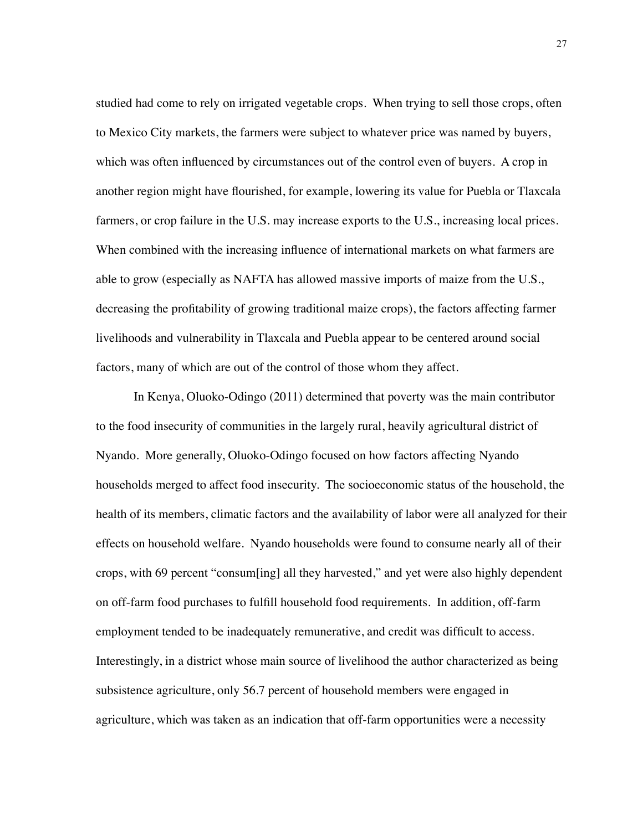studied had come to rely on irrigated vegetable crops. When trying to sell those crops, often to Mexico City markets, the farmers were subject to whatever price was named by buyers, which was often influenced by circumstances out of the control even of buyers. A crop in another region might have flourished, for example, lowering its value for Puebla or Tlaxcala farmers, or crop failure in the U.S. may increase exports to the U.S., increasing local prices. When combined with the increasing influence of international markets on what farmers are able to grow (especially as NAFTA has allowed massive imports of maize from the U.S., decreasing the profitability of growing traditional maize crops), the factors affecting farmer livelihoods and vulnerability in Tlaxcala and Puebla appear to be centered around social factors, many of which are out of the control of those whom they affect.

In Kenya, Oluoko-Odingo (2011) determined that poverty was the main contributor to the food insecurity of communities in the largely rural, heavily agricultural district of Nyando. More generally, Oluoko-Odingo focused on how factors affecting Nyando households merged to affect food insecurity. The socioeconomic status of the household, the health of its members, climatic factors and the availability of labor were all analyzed for their effects on household welfare. Nyando households were found to consume nearly all of their crops, with 69 percent "consum[ing] all they harvested," and yet were also highly dependent on off-farm food purchases to fulfill household food requirements. In addition, off-farm employment tended to be inadequately remunerative, and credit was difficult to access. Interestingly, in a district whose main source of livelihood the author characterized as being subsistence agriculture, only 56.7 percent of household members were engaged in agriculture, which was taken as an indication that off-farm opportunities were a necessity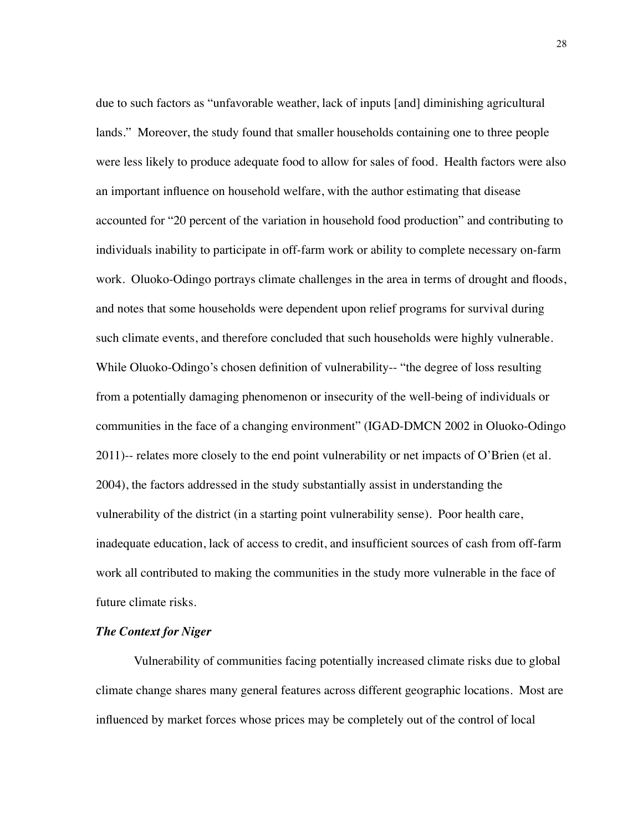due to such factors as "unfavorable weather, lack of inputs [and] diminishing agricultural lands." Moreover, the study found that smaller households containing one to three people were less likely to produce adequate food to allow for sales of food. Health factors were also an important influence on household welfare, with the author estimating that disease accounted for "20 percent of the variation in household food production" and contributing to individuals inability to participate in off-farm work or ability to complete necessary on-farm work. Oluoko-Odingo portrays climate challenges in the area in terms of drought and floods, and notes that some households were dependent upon relief programs for survival during such climate events, and therefore concluded that such households were highly vulnerable. While Oluoko-Odingo's chosen definition of vulnerability-- "the degree of loss resulting from a potentially damaging phenomenon or insecurity of the well-being of individuals or communities in the face of a changing environment" (IGAD-DMCN 2002 in Oluoko-Odingo 2011)-- relates more closely to the end point vulnerability or net impacts of O'Brien (et al. 2004), the factors addressed in the study substantially assist in understanding the vulnerability of the district (in a starting point vulnerability sense). Poor health care, inadequate education, lack of access to credit, and insufficient sources of cash from off-farm work all contributed to making the communities in the study more vulnerable in the face of future climate risks.

#### <span id="page-35-0"></span>*The Context for Niger*

Vulnerability of communities facing potentially increased climate risks due to global climate change shares many general features across different geographic locations. Most are influenced by market forces whose prices may be completely out of the control of local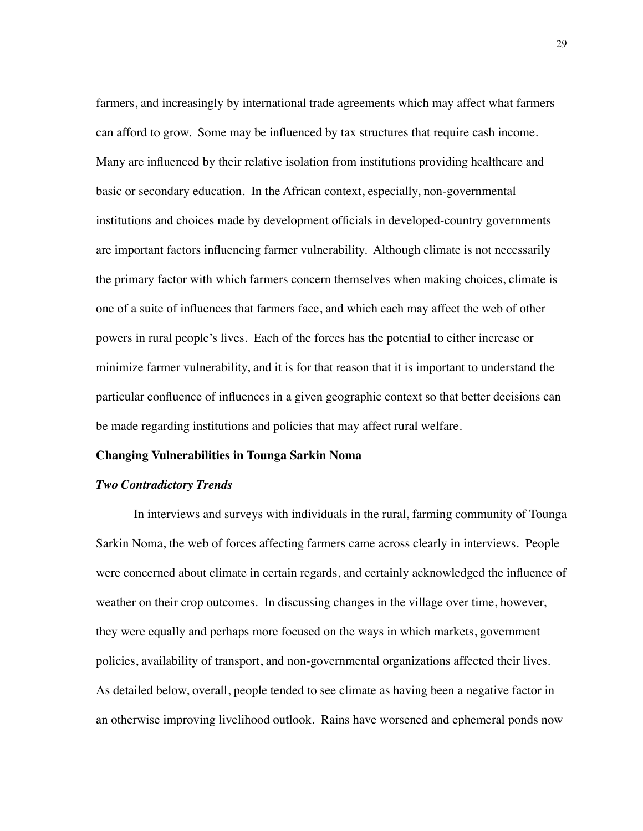farmers, and increasingly by international trade agreements which may affect what farmers can afford to grow. Some may be influenced by tax structures that require cash income. Many are influenced by their relative isolation from institutions providing healthcare and basic or secondary education. In the African context, especially, non-governmental institutions and choices made by development officials in developed-country governments are important factors influencing farmer vulnerability. Although climate is not necessarily the primary factor with which farmers concern themselves when making choices, climate is one of a suite of influences that farmers face, and which each may affect the web of other powers in rural people's lives. Each of the forces has the potential to either increase or minimize farmer vulnerability, and it is for that reason that it is important to understand the particular confluence of influences in a given geographic context so that better decisions can be made regarding institutions and policies that may affect rural welfare.

### **Changing Vulnerabilities in Tounga Sarkin Noma**

# *Two Contradictory Trends*

In interviews and surveys with individuals in the rural, farming community of Tounga Sarkin Noma, the web of forces affecting farmers came across clearly in interviews. People were concerned about climate in certain regards, and certainly acknowledged the influence of weather on their crop outcomes. In discussing changes in the village over time, however, they were equally and perhaps more focused on the ways in which markets, government policies, availability of transport, and non-governmental organizations affected their lives. As detailed below, overall, people tended to see climate as having been a negative factor in an otherwise improving livelihood outlook. Rains have worsened and ephemeral ponds now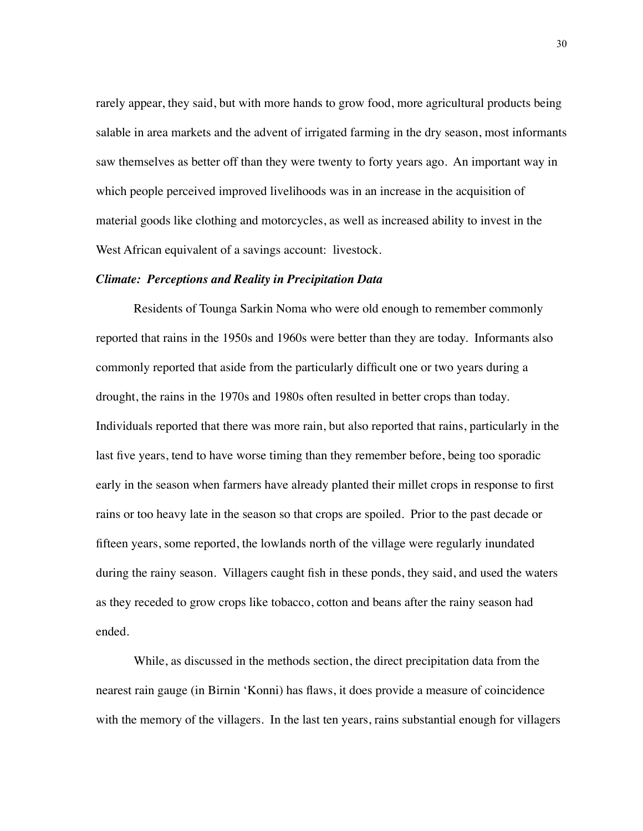rarely appear, they said, but with more hands to grow food, more agricultural products being salable in area markets and the advent of irrigated farming in the dry season, most informants saw themselves as better off than they were twenty to forty years ago. An important way in which people perceived improved livelihoods was in an increase in the acquisition of material goods like clothing and motorcycles, as well as increased ability to invest in the West African equivalent of a savings account: livestock.

#### *Climate: Perceptions and Reality in Precipitation Data*

Residents of Tounga Sarkin Noma who were old enough to remember commonly reported that rains in the 1950s and 1960s were better than they are today. Informants also commonly reported that aside from the particularly difficult one or two years during a drought, the rains in the 1970s and 1980s often resulted in better crops than today. Individuals reported that there was more rain, but also reported that rains, particularly in the last five years, tend to have worse timing than they remember before, being too sporadic early in the season when farmers have already planted their millet crops in response to first rains or too heavy late in the season so that crops are spoiled. Prior to the past decade or fifteen years, some reported, the lowlands north of the village were regularly inundated during the rainy season. Villagers caught fish in these ponds, they said, and used the waters as they receded to grow crops like tobacco, cotton and beans after the rainy season had ended.

While, as discussed in the methods section, the direct precipitation data from the nearest rain gauge (in Birnin 'Konni) has flaws, it does provide a measure of coincidence with the memory of the villagers. In the last ten years, rains substantial enough for villagers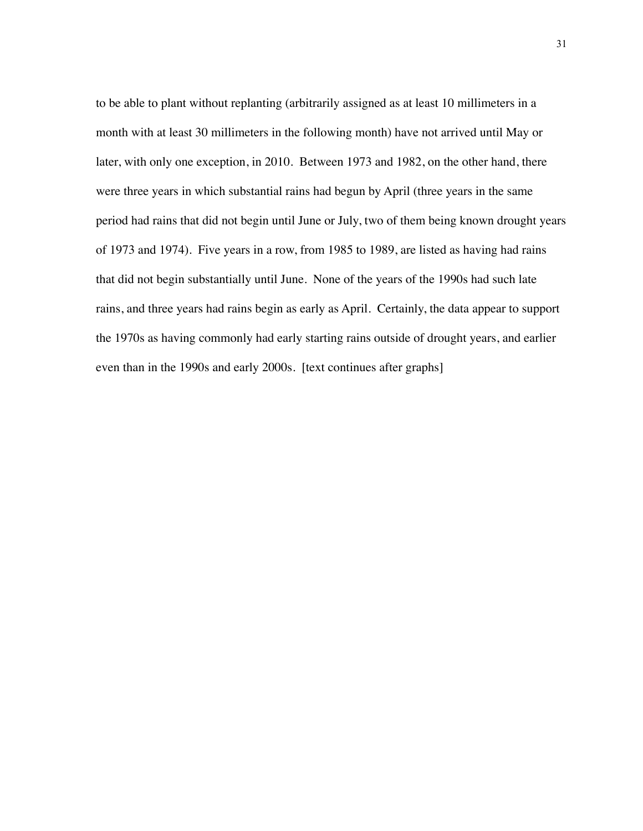to be able to plant without replanting (arbitrarily assigned as at least 10 millimeters in a month with at least 30 millimeters in the following month) have not arrived until May or later, with only one exception, in 2010. Between 1973 and 1982, on the other hand, there were three years in which substantial rains had begun by April (three years in the same period had rains that did not begin until June or July, two of them being known drought years of 1973 and 1974). Five years in a row, from 1985 to 1989, are listed as having had rains that did not begin substantially until June. None of the years of the 1990s had such late rains, and three years had rains begin as early as April. Certainly, the data appear to support the 1970s as having commonly had early starting rains outside of drought years, and earlier even than in the 1990s and early 2000s. [text continues after graphs]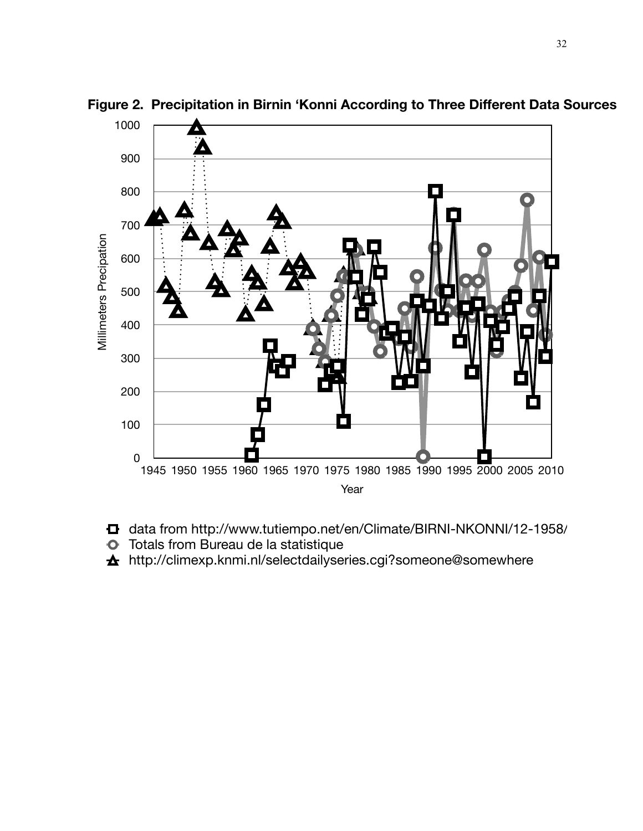

**Figure 2. Precipitation in Birnin 'Konni According to Three Different Data Sources**

- **d** data from http://www.tutiempo.net/en/Climate/BIRNI-NKONNI/12-1958/
- **O** Totals from Bureau de la statistique
- http://climexp.knmi.nl/selectdailyseries.cgi?someone@somewhere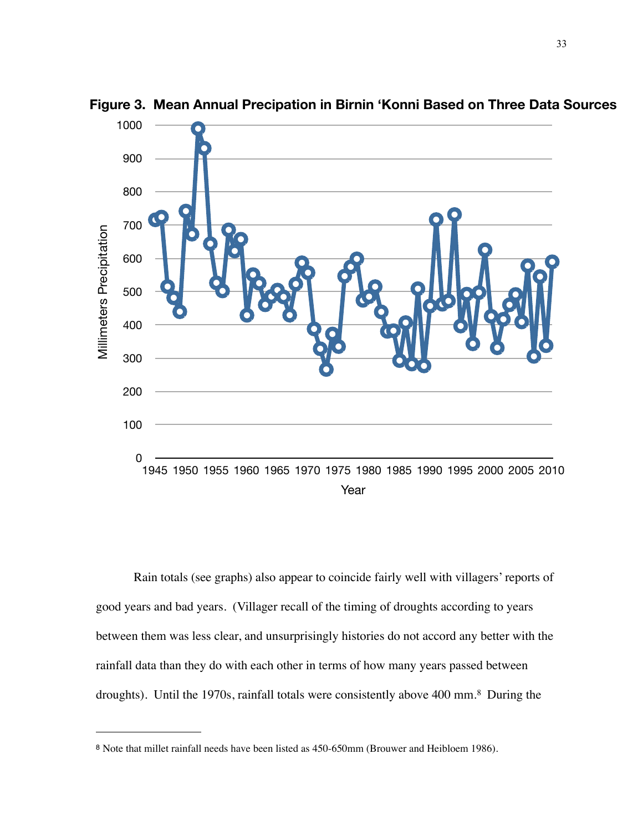

**Figure 3. Mean Annual Precipation in Birnin 'Konni Based on Three Data Sources**

Rain totals (see graphs) also appear to coincide fairly well with villagers' reports of good years and bad years. (Villager recall of the timing of droughts according to years between them was less clear, and unsurprisingly histories do not accord any better with the rainfall data than they do with each other in terms of how many years passed between droughts). Until the 1970s, rainfall totals were consistently above 400 mm[.8](#page-40-0) During the

<span id="page-40-0"></span>Note that millet rainfall needs have been listed as 450-650mm (Brouwer and Heibloem 1986).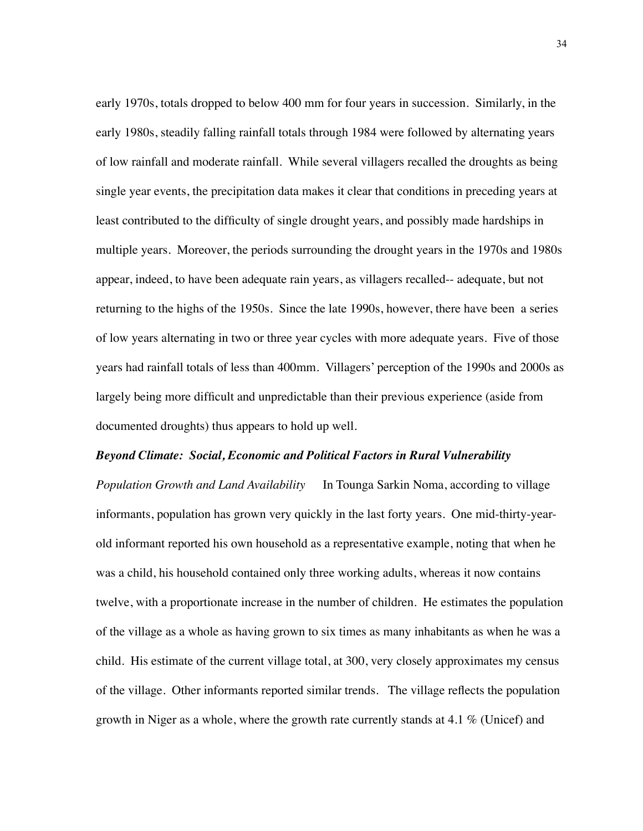early 1970s, totals dropped to below 400 mm for four years in succession. Similarly, in the early 1980s, steadily falling rainfall totals through 1984 were followed by alternating years of low rainfall and moderate rainfall. While several villagers recalled the droughts as being single year events, the precipitation data makes it clear that conditions in preceding years at least contributed to the difficulty of single drought years, and possibly made hardships in multiple years. Moreover, the periods surrounding the drought years in the 1970s and 1980s appear, indeed, to have been adequate rain years, as villagers recalled-- adequate, but not returning to the highs of the 1950s. Since the late 1990s, however, there have been a series of low years alternating in two or three year cycles with more adequate years. Five of those years had rainfall totals of less than 400mm. Villagers' perception of the 1990s and 2000s as largely being more difficult and unpredictable than their previous experience (aside from documented droughts) thus appears to hold up well.

#### *Beyond Climate: Social, Economic and Political Factors in Rural Vulnerability*

*Population Growth and Land Availability* In Tounga Sarkin Noma, according to village informants, population has grown very quickly in the last forty years. One mid-thirty-yearold informant reported his own household as a representative example, noting that when he was a child, his household contained only three working adults, whereas it now contains twelve, with a proportionate increase in the number of children. He estimates the population of the village as a whole as having grown to six times as many inhabitants as when he was a child. His estimate of the current village total, at 300, very closely approximates my census of the village. Other informants reported similar trends. The village reflects the population growth in Niger as a whole, where the growth rate currently stands at 4.1 % (Unicef) and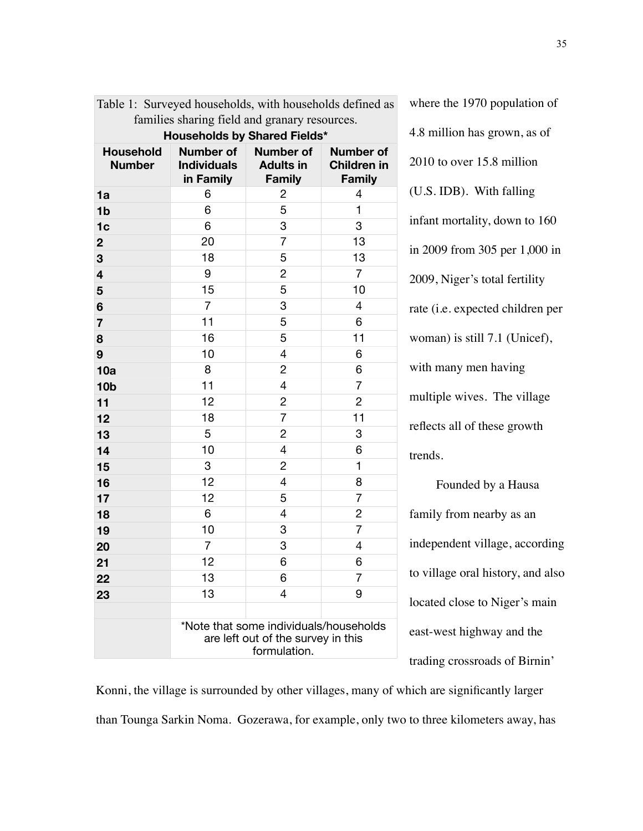| Table 1: Surveyed households, with households defined as |                                                                                              |                                                       |                                                         |
|----------------------------------------------------------|----------------------------------------------------------------------------------------------|-------------------------------------------------------|---------------------------------------------------------|
| families sharing field and granary resources.            |                                                                                              |                                                       |                                                         |
| Households by Shared Fields*                             |                                                                                              |                                                       |                                                         |
| <b>Household</b><br><b>Number</b>                        | Number of<br><b>Individuals</b><br>in Family                                                 | <b>Number of</b><br><b>Adults in</b><br><b>Family</b> | <b>Number of</b><br><b>Children in</b><br><b>Family</b> |
| 1a                                                       | 6                                                                                            | 2                                                     | 4                                                       |
| 1 <sub>b</sub>                                           | 6                                                                                            | 5                                                     | 1                                                       |
| 1 <sub>c</sub>                                           | 6                                                                                            | 3                                                     | 3                                                       |
| $\mathbf 2$                                              | 20                                                                                           | $\overline{7}$                                        | 13                                                      |
| 3                                                        | 18                                                                                           | 5                                                     | 13                                                      |
| $\overline{\mathbf{4}}$                                  | 9                                                                                            | $\overline{c}$                                        | $\overline{7}$                                          |
| 5                                                        | 15                                                                                           | 5                                                     | 10                                                      |
| 6                                                        | $\overline{7}$                                                                               | 3                                                     | $\overline{4}$                                          |
| $\overline{7}$                                           | 11                                                                                           | 5                                                     | 6                                                       |
| 8                                                        | 16                                                                                           | 5                                                     | 11                                                      |
| 9                                                        | 10                                                                                           | 4                                                     | 6                                                       |
| 10a                                                      | 8                                                                                            | $\overline{c}$                                        | 6                                                       |
| 10 <sub>b</sub>                                          | 11                                                                                           | 4                                                     | 7                                                       |
| 11                                                       | 12                                                                                           | $\overline{c}$                                        | $\overline{c}$                                          |
| 12                                                       | 18                                                                                           | 7                                                     | 11                                                      |
| 13                                                       | 5                                                                                            | 2                                                     | 3                                                       |
| 14                                                       | 10                                                                                           | 4                                                     | 6                                                       |
| 15                                                       | 3                                                                                            | 2                                                     | 1                                                       |
| 16                                                       | 12                                                                                           | 4                                                     | 8                                                       |
| 17                                                       | 12                                                                                           | 5                                                     | $\overline{7}$                                          |
| 18                                                       | 6                                                                                            | 4                                                     | $\overline{c}$                                          |
| 19                                                       | 10                                                                                           | 3                                                     | $\overline{7}$                                          |
| 20                                                       | 7                                                                                            | 3                                                     | 4                                                       |
| 21                                                       | 12                                                                                           | 6                                                     | 6                                                       |
| 22                                                       | 13                                                                                           | 6                                                     | 7                                                       |
| 23                                                       | 13                                                                                           | 4                                                     | 9                                                       |
|                                                          |                                                                                              |                                                       |                                                         |
|                                                          | *Note that some individuals/households<br>are left out of the survey in this<br>formulation. |                                                       |                                                         |

where the 1970 population of 4.8 million has grown, as of 2010 to over 15.8 million (U.S. IDB). With falling infant mortality, down to 160 in 2009 from 305 per 1,000 in 2009, Niger's total fertility rate (i.e. expected children per woman) is still 7.1 (Unicef), with many men having multiple wives. The village reflects all of these growth trends.

Founded by a Hausa family from nearby as an independent village, according to village oral history, and also located close to Niger's main east-west highway and the trading crossroads of Birnin'

Konni, the village is surrounded by other villages, many of which are significantly larger than Tounga Sarkin Noma. Gozerawa, for example, only two to three kilometers away, has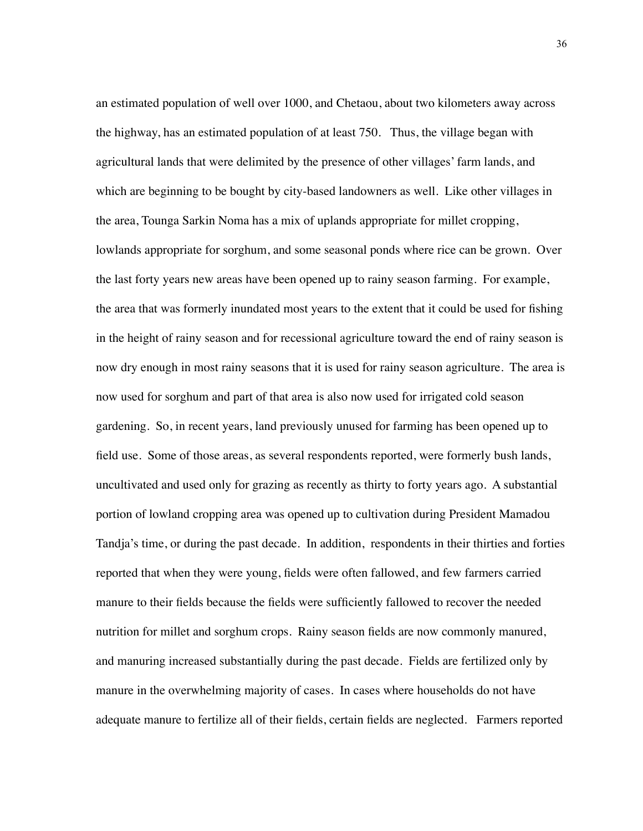an estimated population of well over 1000, and Chetaou, about two kilometers away across the highway, has an estimated population of at least 750. Thus, the village began with agricultural lands that were delimited by the presence of other villages' farm lands, and which are beginning to be bought by city-based landowners as well. Like other villages in the area, Tounga Sarkin Noma has a mix of uplands appropriate for millet cropping, lowlands appropriate for sorghum, and some seasonal ponds where rice can be grown. Over the last forty years new areas have been opened up to rainy season farming. For example, the area that was formerly inundated most years to the extent that it could be used for fishing in the height of rainy season and for recessional agriculture toward the end of rainy season is now dry enough in most rainy seasons that it is used for rainy season agriculture. The area is now used for sorghum and part of that area is also now used for irrigated cold season gardening. So, in recent years, land previously unused for farming has been opened up to field use. Some of those areas, as several respondents reported, were formerly bush lands, uncultivated and used only for grazing as recently as thirty to forty years ago. A substantial portion of lowland cropping area was opened up to cultivation during President Mamadou Tandja's time, or during the past decade. In addition, respondents in their thirties and forties reported that when they were young, fields were often fallowed, and few farmers carried manure to their fields because the fields were sufficiently fallowed to recover the needed nutrition for millet and sorghum crops. Rainy season fields are now commonly manured, and manuring increased substantially during the past decade. Fields are fertilized only by manure in the overwhelming majority of cases. In cases where households do not have adequate manure to fertilize all of their fields, certain fields are neglected. Farmers reported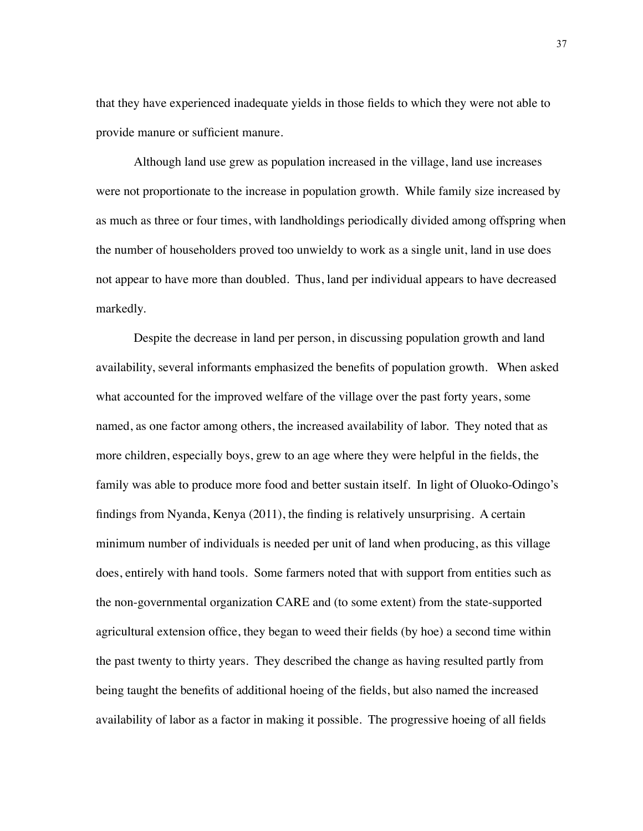that they have experienced inadequate yields in those fields to which they were not able to provide manure or sufficient manure.

Although land use grew as population increased in the village, land use increases were not proportionate to the increase in population growth. While family size increased by as much as three or four times, with landholdings periodically divided among offspring when the number of householders proved too unwieldy to work as a single unit, land in use does not appear to have more than doubled. Thus, land per individual appears to have decreased markedly.

Despite the decrease in land per person, in discussing population growth and land availability, several informants emphasized the benefits of population growth. When asked what accounted for the improved welfare of the village over the past forty years, some named, as one factor among others, the increased availability of labor. They noted that as more children, especially boys, grew to an age where they were helpful in the fields, the family was able to produce more food and better sustain itself. In light of Oluoko-Odingo's findings from Nyanda, Kenya (2011), the finding is relatively unsurprising. A certain minimum number of individuals is needed per unit of land when producing, as this village does, entirely with hand tools. Some farmers noted that with support from entities such as the non-governmental organization CARE and (to some extent) from the state-supported agricultural extension office, they began to weed their fields (by hoe) a second time within the past twenty to thirty years. They described the change as having resulted partly from being taught the benefits of additional hoeing of the fields, but also named the increased availability of labor as a factor in making it possible. The progressive hoeing of all fields

37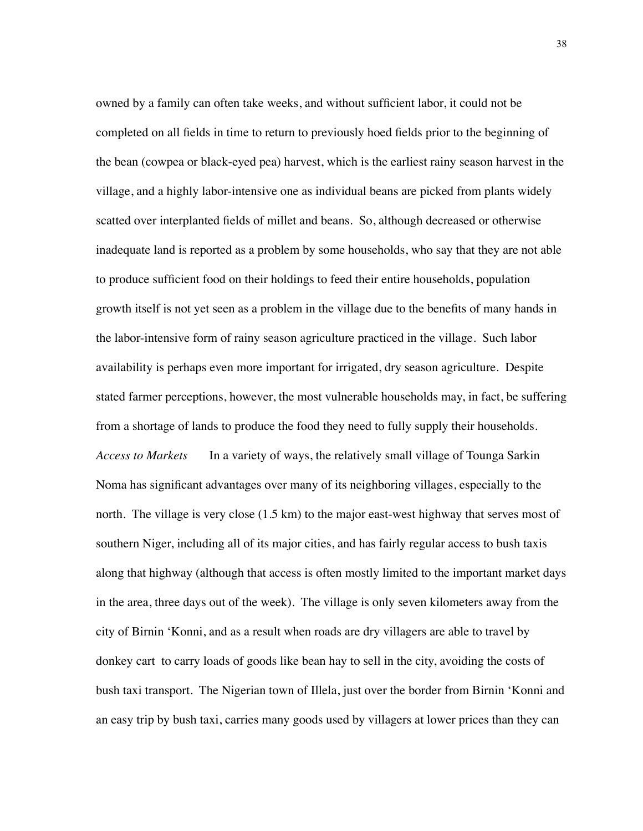owned by a family can often take weeks, and without sufficient labor, it could not be completed on all fields in time to return to previously hoed fields prior to the beginning of the bean (cowpea or black-eyed pea) harvest, which is the earliest rainy season harvest in the village, and a highly labor-intensive one as individual beans are picked from plants widely scatted over interplanted fields of millet and beans. So, although decreased or otherwise inadequate land is reported as a problem by some households, who say that they are not able to produce sufficient food on their holdings to feed their entire households, population growth itself is not yet seen as a problem in the village due to the benefits of many hands in the labor-intensive form of rainy season agriculture practiced in the village. Such labor availability is perhaps even more important for irrigated, dry season agriculture. Despite stated farmer perceptions, however, the most vulnerable households may, in fact, be suffering from a shortage of lands to produce the food they need to fully supply their households. *Access to Markets* In a variety of ways, the relatively small village of Tounga Sarkin Noma has significant advantages over many of its neighboring villages, especially to the north. The village is very close (1.5 km) to the major east-west highway that serves most of southern Niger, including all of its major cities, and has fairly regular access to bush taxis along that highway (although that access is often mostly limited to the important market days in the area, three days out of the week). The village is only seven kilometers away from the city of Birnin 'Konni, and as a result when roads are dry villagers are able to travel by donkey cart to carry loads of goods like bean hay to sell in the city, avoiding the costs of bush taxi transport. The Nigerian town of Illela, just over the border from Birnin 'Konni and an easy trip by bush taxi, carries many goods used by villagers at lower prices than they can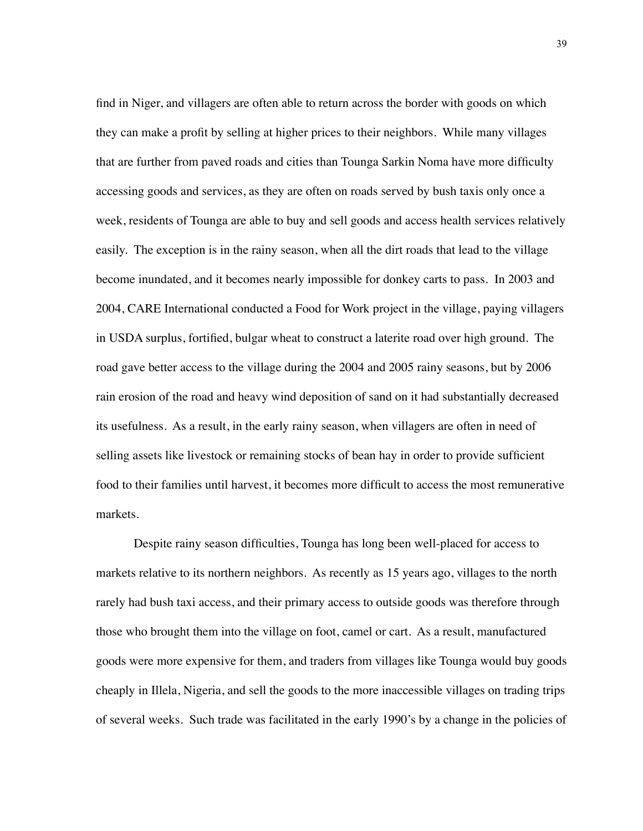find in Niger, and villagers are often able to return across the border with goods on which they can make a profit by selling at higher prices to their neighbors. While many villages that are further from paved roads and cities than Tounga Sarkin Noma have more difficulty accessing goods and services, as they are often on roads served by bush taxis only once a week, residents of Tounga are able to buy and sell goods and access health services relatively easily. The exception is in the rainy season, when all the dirt roads that lead to the village become inundated, and it becomes nearly impossible for donkey carts to pass. In 2003 and 2004, CARE International conducted a Food for Work project in the village, paying villagers in USDA surplus, fortified, bulgar wheat to construct a laterite road over high ground. The road gave better access to the village during the 2004 and 2005 rainy seasons, but by 2006 rain erosion of the road and heavy wind deposition of sand on it had substantially decreased its usefulness. As a result, in the early rainy season, when villagers are often in need of selling assets like livestock or remaining stocks of bean hay in order to provide sufficient food to their families until harvest, it becomes more difficult to access the most remunerative markets.

Despite rainy season difficulties, Tounga has long been well-placed for access to markets relative to its northern neighbors. As recently as 15 years ago, villages to the north rarely had bush taxi access, and their primary access to outside goods was therefore through those who brought them into the village on foot, camel or cart. As a result, manufactured goods were more expensive for them, and traders from villages like Tounga would buy goods cheaply in Illela, Nigeria, and sell the goods to the more inaccessible villages on trading trips of several weeks. Such trade was facilitated in the early 1990's by a change in the policies of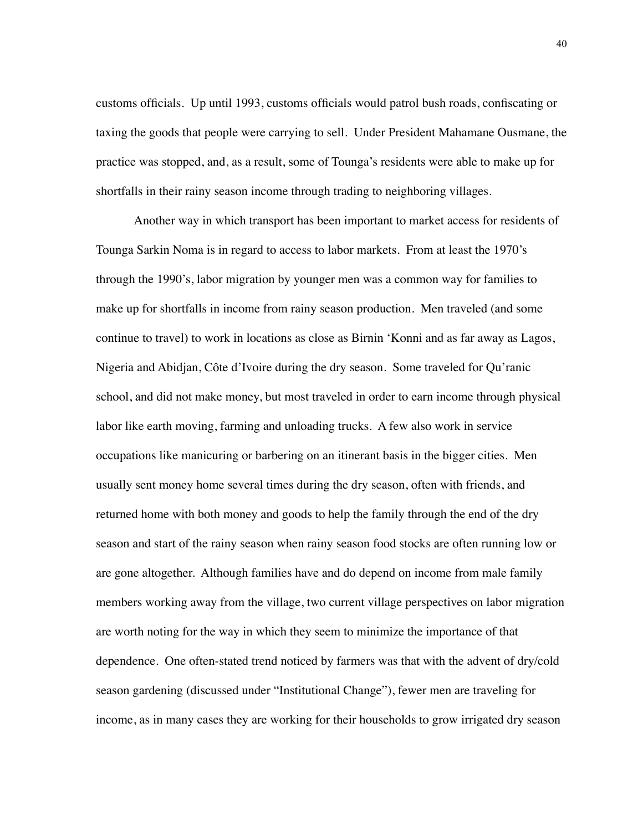customs officials. Up until 1993, customs officials would patrol bush roads, confiscating or taxing the goods that people were carrying to sell. Under President Mahamane Ousmane, the practice was stopped, and, as a result, some of Tounga's residents were able to make up for shortfalls in their rainy season income through trading to neighboring villages.

Another way in which transport has been important to market access for residents of Tounga Sarkin Noma is in regard to access to labor markets. From at least the 1970's through the 1990's, labor migration by younger men was a common way for families to make up for shortfalls in income from rainy season production. Men traveled (and some continue to travel) to work in locations as close as Birnin 'Konni and as far away as Lagos, Nigeria and Abidjan, Côte d'Ivoire during the dry season. Some traveled for Qu'ranic school, and did not make money, but most traveled in order to earn income through physical labor like earth moving, farming and unloading trucks. A few also work in service occupations like manicuring or barbering on an itinerant basis in the bigger cities. Men usually sent money home several times during the dry season, often with friends, and returned home with both money and goods to help the family through the end of the dry season and start of the rainy season when rainy season food stocks are often running low or are gone altogether. Although families have and do depend on income from male family members working away from the village, two current village perspectives on labor migration are worth noting for the way in which they seem to minimize the importance of that dependence. One often-stated trend noticed by farmers was that with the advent of dry/cold season gardening (discussed under "Institutional Change"), fewer men are traveling for income, as in many cases they are working for their households to grow irrigated dry season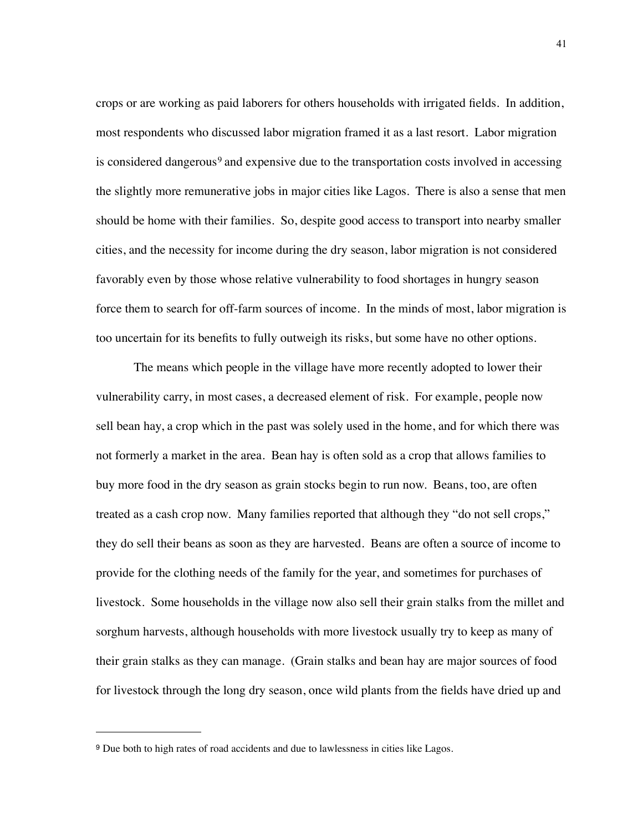crops or are working as paid laborers for others households with irrigated fields. In addition, most respondents who discussed labor migration framed it as a last resort. Labor migration is considered dangerous<sup>9</sup> and expensive due to the transportation costs involved in accessing the slightly more remunerative jobs in major cities like Lagos. There is also a sense that men should be home with their families. So, despite good access to transport into nearby smaller cities, and the necessity for income during the dry season, labor migration is not considered favorably even by those whose relative vulnerability to food shortages in hungry season force them to search for off-farm sources of income. In the minds of most, labor migration is too uncertain for its benefits to fully outweigh its risks, but some have no other options.

The means which people in the village have more recently adopted to lower their vulnerability carry, in most cases, a decreased element of risk. For example, people now sell bean hay, a crop which in the past was solely used in the home, and for which there was not formerly a market in the area. Bean hay is often sold as a crop that allows families to buy more food in the dry season as grain stocks begin to run now. Beans, too, are often treated as a cash crop now. Many families reported that although they "do not sell crops," they do sell their beans as soon as they are harvested. Beans are often a source of income to provide for the clothing needs of the family for the year, and sometimes for purchases of livestock. Some households in the village now also sell their grain stalks from the millet and sorghum harvests, although households with more livestock usually try to keep as many of their grain stalks as they can manage. (Grain stalks and bean hay are major sources of food for livestock through the long dry season, once wild plants from the fields have dried up and

<span id="page-48-0"></span><sup>9</sup> Due both to high rates of road accidents and due to lawlessness in cities like Lagos.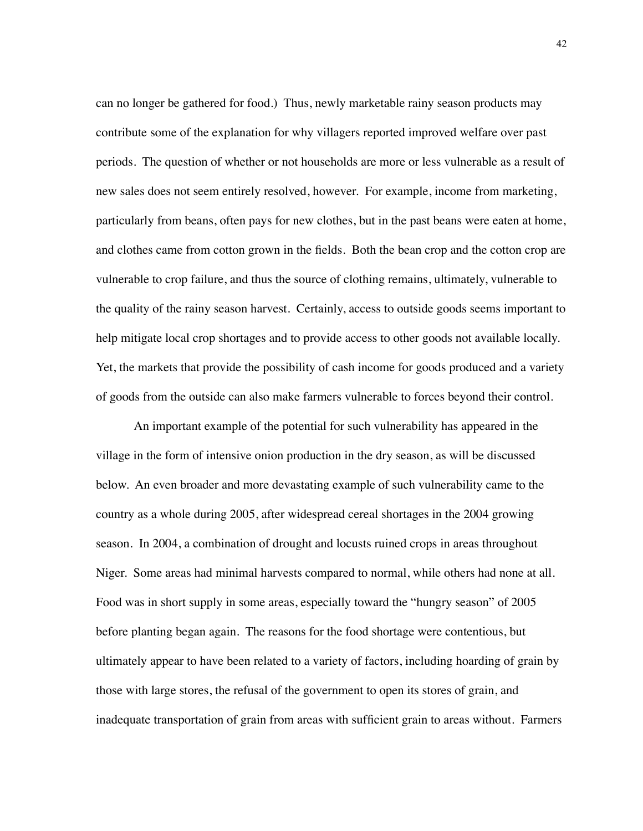can no longer be gathered for food.) Thus, newly marketable rainy season products may contribute some of the explanation for why villagers reported improved welfare over past periods. The question of whether or not households are more or less vulnerable as a result of new sales does not seem entirely resolved, however. For example, income from marketing, particularly from beans, often pays for new clothes, but in the past beans were eaten at home, and clothes came from cotton grown in the fields. Both the bean crop and the cotton crop are vulnerable to crop failure, and thus the source of clothing remains, ultimately, vulnerable to the quality of the rainy season harvest. Certainly, access to outside goods seems important to help mitigate local crop shortages and to provide access to other goods not available locally. Yet, the markets that provide the possibility of cash income for goods produced and a variety of goods from the outside can also make farmers vulnerable to forces beyond their control.

An important example of the potential for such vulnerability has appeared in the village in the form of intensive onion production in the dry season, as will be discussed below. An even broader and more devastating example of such vulnerability came to the country as a whole during 2005, after widespread cereal shortages in the 2004 growing season. In 2004, a combination of drought and locusts ruined crops in areas throughout Niger. Some areas had minimal harvests compared to normal, while others had none at all. Food was in short supply in some areas, especially toward the "hungry season" of 2005 before planting began again. The reasons for the food shortage were contentious, but ultimately appear to have been related to a variety of factors, including hoarding of grain by those with large stores, the refusal of the government to open its stores of grain, and inadequate transportation of grain from areas with sufficient grain to areas without. Farmers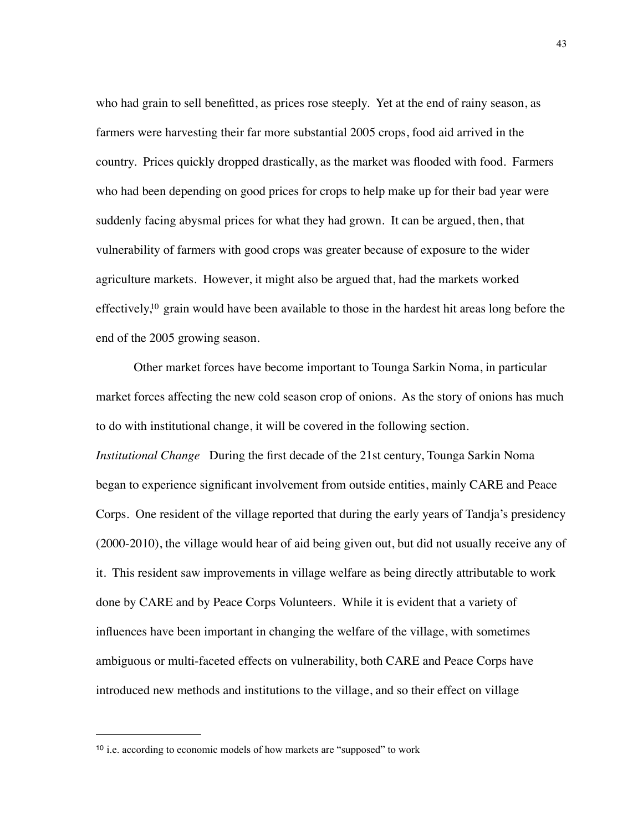who had grain to sell benefitted, as prices rose steeply. Yet at the end of rainy season, as farmers were harvesting their far more substantial 2005 crops, food aid arrived in the country. Prices quickly dropped drastically, as the market was flooded with food. Farmers who had been depending on good prices for crops to help make up for their bad year were suddenly facing abysmal prices for what they had grown. It can be argued, then, that vulnerability of farmers with good crops was greater because of exposure to the wider agriculture markets. However, it might also be argued that, had the markets worked effectively[,10](#page-50-0) grain would have been available to those in the hardest hit areas long before the end of the 2005 growing season.

Other market forces have become important to Tounga Sarkin Noma, in particular market forces affecting the new cold season crop of onions. As the story of onions has much to do with institutional change, it will be covered in the following section. *Institutional Change* During the first decade of the 21st century, Tounga Sarkin Noma began to experience significant involvement from outside entities, mainly CARE and Peace Corps. One resident of the village reported that during the early years of Tandja's presidency (2000-2010), the village would hear of aid being given out, but did not usually receive any of it. This resident saw improvements in village welfare as being directly attributable to work done by CARE and by Peace Corps Volunteers. While it is evident that a variety of influences have been important in changing the welfare of the village, with sometimes ambiguous or multi-faceted effects on vulnerability, both CARE and Peace Corps have introduced new methods and institutions to the village, and so their effect on village

<span id="page-50-0"></span><sup>10</sup> i.e. according to economic models of how markets are "supposed" to work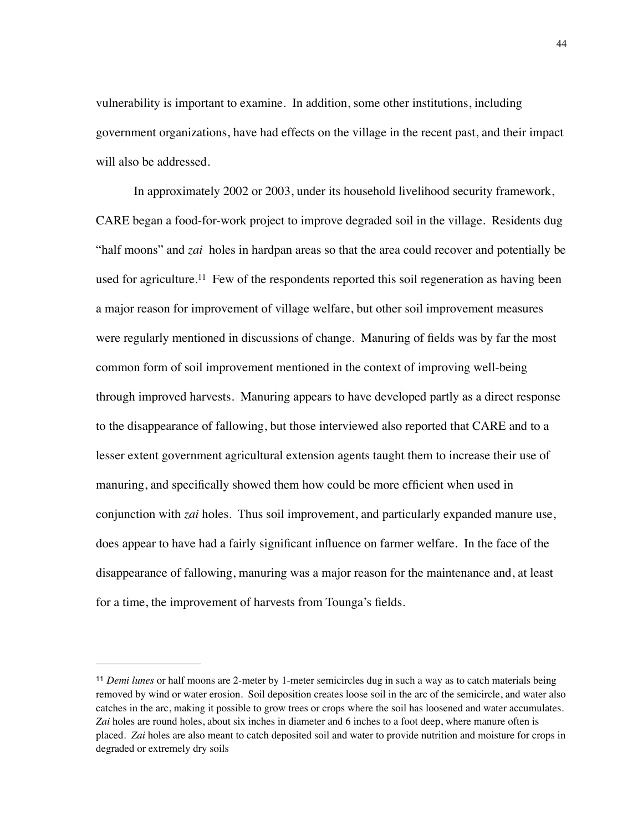vulnerability is important to examine. In addition, some other institutions, including government organizations, have had effects on the village in the recent past, and their impact will also be addressed.

In approximately 2002 or 2003, under its household livelihood security framework, CARE began a food-for-work project to improve degraded soil in the village. Residents dug "half moons" and *zai* holes in hardpan areas so that the area could recover and potentially be used for agriculture.<sup>11</sup> Few of the respondents reported this soil regeneration as having been a major reason for improvement of village welfare, but other soil improvement measures were regularly mentioned in discussions of change. Manuring of fields was by far the most common form of soil improvement mentioned in the context of improving well-being through improved harvests. Manuring appears to have developed partly as a direct response to the disappearance of fallowing, but those interviewed also reported that CARE and to a lesser extent government agricultural extension agents taught them to increase their use of manuring, and specifically showed them how could be more efficient when used in conjunction with *zai* holes. Thus soil improvement, and particularly expanded manure use, does appear to have had a fairly significant influence on farmer welfare. In the face of the disappearance of fallowing, manuring was a major reason for the maintenance and, at least for a time, the improvement of harvests from Tounga's fields.

<span id="page-51-0"></span><sup>11</sup> *Demi lunes* or half moons are 2-meter by 1-meter semicircles dug in such a way as to catch materials being removed by wind or water erosion. Soil deposition creates loose soil in the arc of the semicircle, and water also catches in the arc, making it possible to grow trees or crops where the soil has loosened and water accumulates. *Zai* holes are round holes, about six inches in diameter and 6 inches to a foot deep, where manure often is placed. *Zai* holes are also meant to catch deposited soil and water to provide nutrition and moisture for crops in degraded or extremely dry soils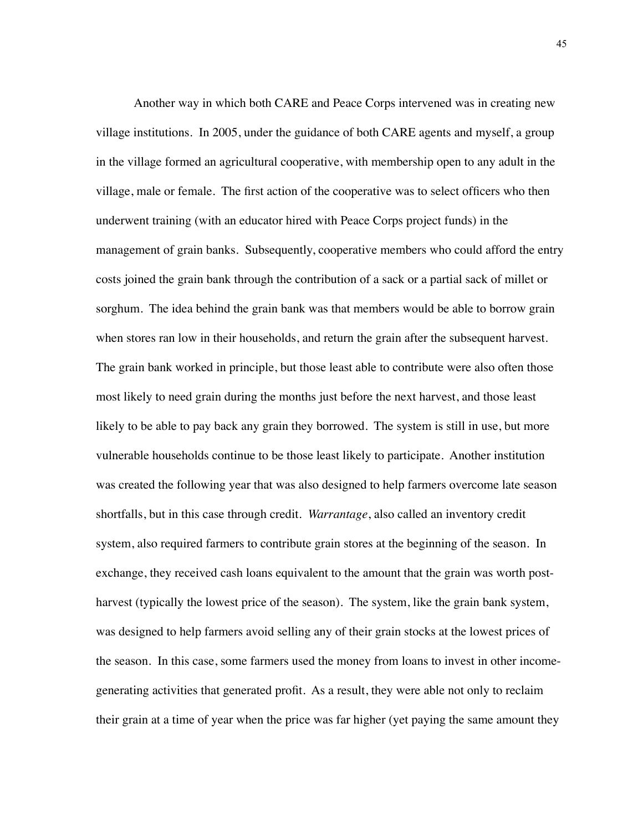Another way in which both CARE and Peace Corps intervened was in creating new village institutions. In 2005, under the guidance of both CARE agents and myself, a group in the village formed an agricultural cooperative, with membership open to any adult in the village, male or female. The first action of the cooperative was to select officers who then underwent training (with an educator hired with Peace Corps project funds) in the management of grain banks. Subsequently, cooperative members who could afford the entry costs joined the grain bank through the contribution of a sack or a partial sack of millet or sorghum. The idea behind the grain bank was that members would be able to borrow grain when stores ran low in their households, and return the grain after the subsequent harvest. The grain bank worked in principle, but those least able to contribute were also often those most likely to need grain during the months just before the next harvest, and those least likely to be able to pay back any grain they borrowed. The system is still in use, but more vulnerable households continue to be those least likely to participate. Another institution was created the following year that was also designed to help farmers overcome late season shortfalls, but in this case through credit. *Warrantage*, also called an inventory credit system, also required farmers to contribute grain stores at the beginning of the season. In exchange, they received cash loans equivalent to the amount that the grain was worth postharvest (typically the lowest price of the season). The system, like the grain bank system, was designed to help farmers avoid selling any of their grain stocks at the lowest prices of the season. In this case, some farmers used the money from loans to invest in other incomegenerating activities that generated profit. As a result, they were able not only to reclaim their grain at a time of year when the price was far higher (yet paying the same amount they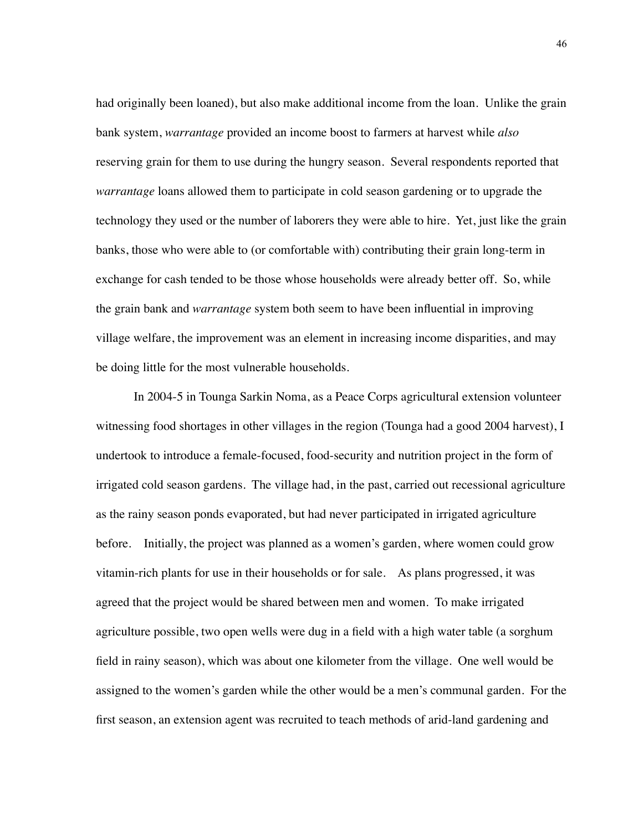had originally been loaned), but also make additional income from the loan. Unlike the grain bank system, *warrantage* provided an income boost to farmers at harvest while *also* reserving grain for them to use during the hungry season. Several respondents reported that *warrantage* loans allowed them to participate in cold season gardening or to upgrade the technology they used or the number of laborers they were able to hire. Yet, just like the grain banks, those who were able to (or comfortable with) contributing their grain long-term in exchange for cash tended to be those whose households were already better off. So, while the grain bank and *warrantage* system both seem to have been influential in improving village welfare, the improvement was an element in increasing income disparities, and may be doing little for the most vulnerable households.

In 2004-5 in Tounga Sarkin Noma, as a Peace Corps agricultural extension volunteer witnessing food shortages in other villages in the region (Tounga had a good 2004 harvest), I undertook to introduce a female-focused, food-security and nutrition project in the form of irrigated cold season gardens. The village had, in the past, carried out recessional agriculture as the rainy season ponds evaporated, but had never participated in irrigated agriculture before. Initially, the project was planned as a women's garden, where women could grow vitamin-rich plants for use in their households or for sale. As plans progressed, it was agreed that the project would be shared between men and women. To make irrigated agriculture possible, two open wells were dug in a field with a high water table (a sorghum field in rainy season), which was about one kilometer from the village. One well would be assigned to the women's garden while the other would be a men's communal garden. For the first season, an extension agent was recruited to teach methods of arid-land gardening and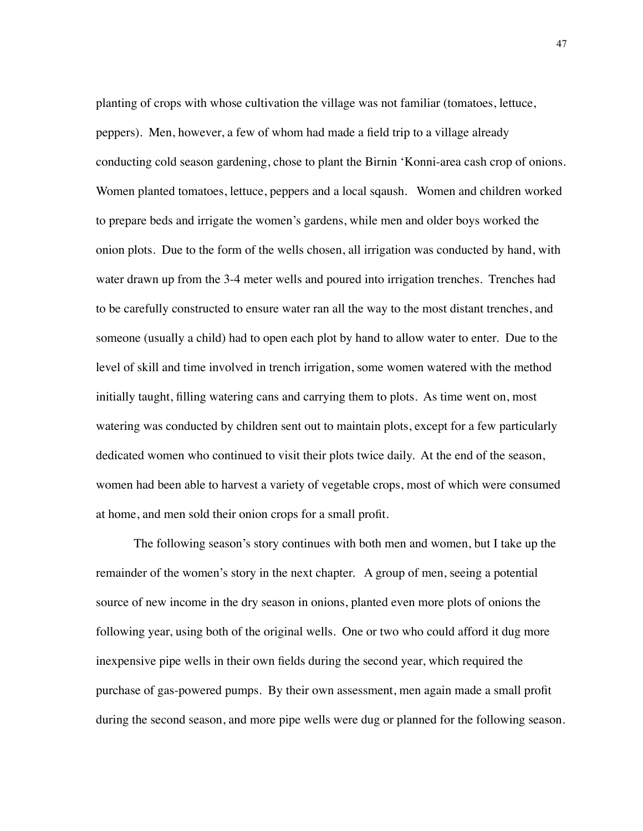planting of crops with whose cultivation the village was not familiar (tomatoes, lettuce, peppers). Men, however, a few of whom had made a field trip to a village already conducting cold season gardening, chose to plant the Birnin 'Konni-area cash crop of onions. Women planted tomatoes, lettuce, peppers and a local sqaush. Women and children worked to prepare beds and irrigate the women's gardens, while men and older boys worked the onion plots. Due to the form of the wells chosen, all irrigation was conducted by hand, with water drawn up from the 3-4 meter wells and poured into irrigation trenches. Trenches had to be carefully constructed to ensure water ran all the way to the most distant trenches, and someone (usually a child) had to open each plot by hand to allow water to enter. Due to the level of skill and time involved in trench irrigation, some women watered with the method initially taught, filling watering cans and carrying them to plots. As time went on, most watering was conducted by children sent out to maintain plots, except for a few particularly dedicated women who continued to visit their plots twice daily. At the end of the season, women had been able to harvest a variety of vegetable crops, most of which were consumed at home, and men sold their onion crops for a small profit.

The following season's story continues with both men and women, but I take up the remainder of the women's story in the next chapter. A group of men, seeing a potential source of new income in the dry season in onions, planted even more plots of onions the following year, using both of the original wells. One or two who could afford it dug more inexpensive pipe wells in their own fields during the second year, which required the purchase of gas-powered pumps. By their own assessment, men again made a small profit during the second season, and more pipe wells were dug or planned for the following season.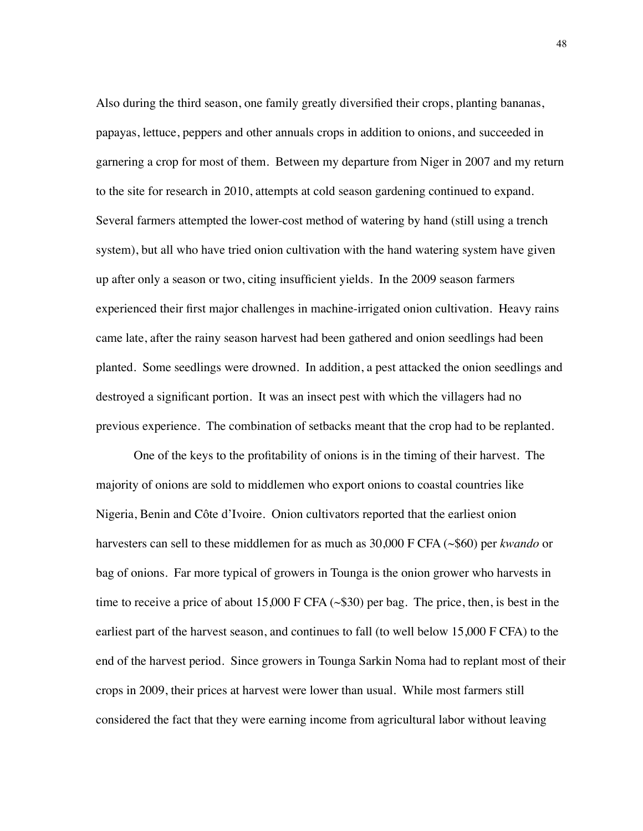Also during the third season, one family greatly diversified their crops, planting bananas, papayas, lettuce, peppers and other annuals crops in addition to onions, and succeeded in garnering a crop for most of them. Between my departure from Niger in 2007 and my return to the site for research in 2010, attempts at cold season gardening continued to expand. Several farmers attempted the lower-cost method of watering by hand (still using a trench system), but all who have tried onion cultivation with the hand watering system have given up after only a season or two, citing insufficient yields. In the 2009 season farmers experienced their first major challenges in machine-irrigated onion cultivation. Heavy rains came late, after the rainy season harvest had been gathered and onion seedlings had been planted. Some seedlings were drowned. In addition, a pest attacked the onion seedlings and destroyed a significant portion. It was an insect pest with which the villagers had no previous experience. The combination of setbacks meant that the crop had to be replanted.

One of the keys to the profitability of onions is in the timing of their harvest. The majority of onions are sold to middlemen who export onions to coastal countries like Nigeria, Benin and Côte d'Ivoire. Onion cultivators reported that the earliest onion harvesters can sell to these middlemen for as much as 30,000 F CFA (~\$60) per *kwando* or bag of onions. Far more typical of growers in Tounga is the onion grower who harvests in time to receive a price of about 15,000 F CFA  $(\sim$ \$30) per bag. The price, then, is best in the earliest part of the harvest season, and continues to fall (to well below 15,000 F CFA) to the end of the harvest period. Since growers in Tounga Sarkin Noma had to replant most of their crops in 2009, their prices at harvest were lower than usual. While most farmers still considered the fact that they were earning income from agricultural labor without leaving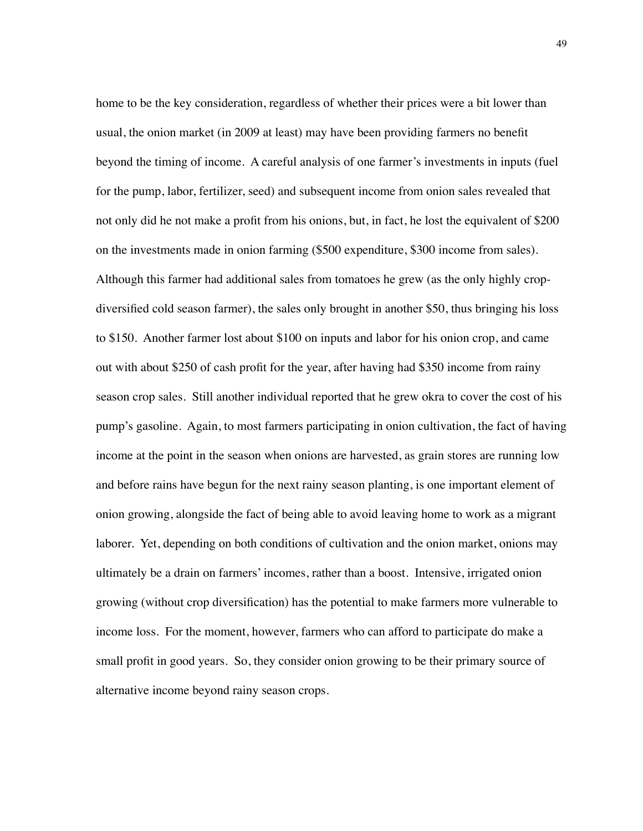home to be the key consideration, regardless of whether their prices were a bit lower than usual, the onion market (in 2009 at least) may have been providing farmers no benefit beyond the timing of income. A careful analysis of one farmer's investments in inputs (fuel for the pump, labor, fertilizer, seed) and subsequent income from onion sales revealed that not only did he not make a profit from his onions, but, in fact, he lost the equivalent of \$200 on the investments made in onion farming (\$500 expenditure, \$300 income from sales). Although this farmer had additional sales from tomatoes he grew (as the only highly cropdiversified cold season farmer), the sales only brought in another \$50, thus bringing his loss to \$150. Another farmer lost about \$100 on inputs and labor for his onion crop, and came out with about \$250 of cash profit for the year, after having had \$350 income from rainy season crop sales. Still another individual reported that he grew okra to cover the cost of his pump's gasoline. Again, to most farmers participating in onion cultivation, the fact of having income at the point in the season when onions are harvested, as grain stores are running low and before rains have begun for the next rainy season planting, is one important element of onion growing, alongside the fact of being able to avoid leaving home to work as a migrant laborer. Yet, depending on both conditions of cultivation and the onion market, onions may ultimately be a drain on farmers' incomes, rather than a boost. Intensive, irrigated onion growing (without crop diversification) has the potential to make farmers more vulnerable to income loss. For the moment, however, farmers who can afford to participate do make a small profit in good years. So, they consider onion growing to be their primary source of alternative income beyond rainy season crops.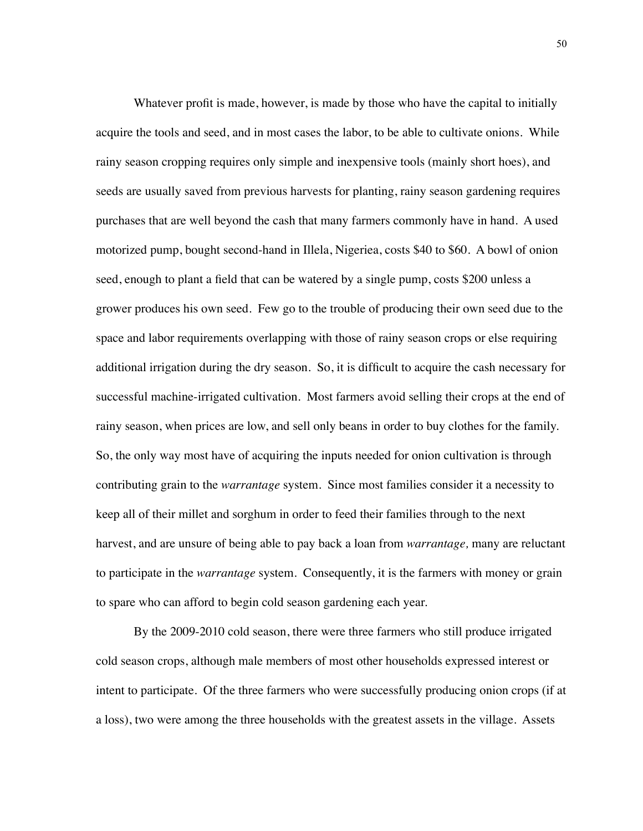Whatever profit is made, however, is made by those who have the capital to initially acquire the tools and seed, and in most cases the labor, to be able to cultivate onions. While rainy season cropping requires only simple and inexpensive tools (mainly short hoes), and seeds are usually saved from previous harvests for planting, rainy season gardening requires purchases that are well beyond the cash that many farmers commonly have in hand. A used motorized pump, bought second-hand in Illela, Nigeriea, costs \$40 to \$60. A bowl of onion seed, enough to plant a field that can be watered by a single pump, costs \$200 unless a grower produces his own seed. Few go to the trouble of producing their own seed due to the space and labor requirements overlapping with those of rainy season crops or else requiring additional irrigation during the dry season. So, it is difficult to acquire the cash necessary for successful machine-irrigated cultivation. Most farmers avoid selling their crops at the end of rainy season, when prices are low, and sell only beans in order to buy clothes for the family. So, the only way most have of acquiring the inputs needed for onion cultivation is through contributing grain to the *warrantage* system. Since most families consider it a necessity to keep all of their millet and sorghum in order to feed their families through to the next harvest, and are unsure of being able to pay back a loan from *warrantage,* many are reluctant to participate in the *warrantage* system. Consequently, it is the farmers with money or grain to spare who can afford to begin cold season gardening each year.

By the 2009-2010 cold season, there were three farmers who still produce irrigated cold season crops, although male members of most other households expressed interest or intent to participate. Of the three farmers who were successfully producing onion crops (if at a loss), two were among the three households with the greatest assets in the village. Assets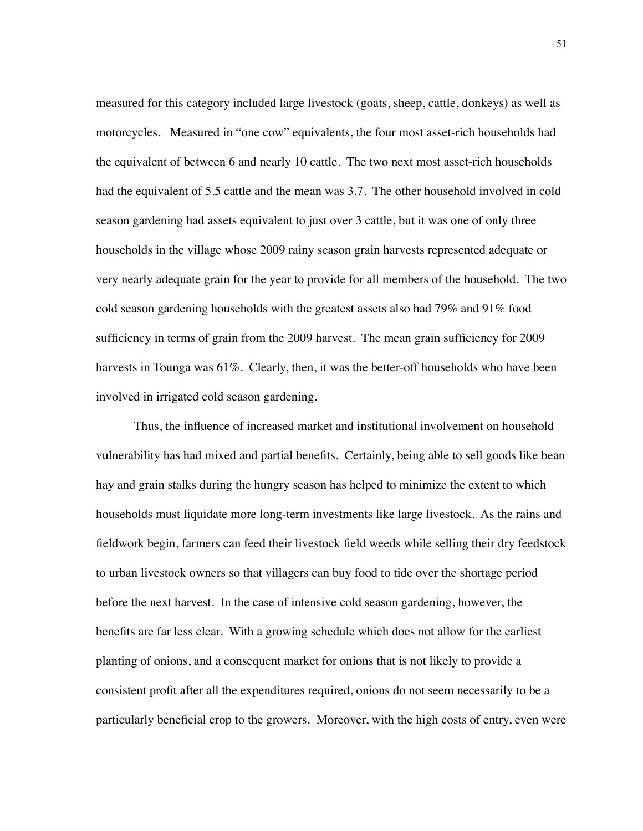measured for this category included large livestock (goats, sheep, cattle, donkeys) as well as motorcycles. Measured in "one cow" equivalents, the four most asset-rich households had the equivalent of between 6 and nearly 10 cattle. The two next most asset-rich households had the equivalent of 5.5 cattle and the mean was 3.7. The other household involved in cold season gardening had assets equivalent to just over 3 cattle, but it was one of only three households in the village whose 2009 rainy season grain harvests represented adequate or very nearly adequate grain for the year to provide for all members of the household. The two cold season gardening households with the greatest assets also had 79% and 91% food sufficiency in terms of grain from the 2009 harvest. The mean grain sufficiency for 2009 harvests in Tounga was 61%. Clearly, then, it was the better-off households who have been involved in irrigated cold season gardening.

Thus, the influence of increased market and institutional involvement on household vulnerability has had mixed and partial benefits. Certainly, being able to sell goods like bean hay and grain stalks during the hungry season has helped to minimize the extent to which households must liquidate more long-term investments like large livestock. As the rains and fieldwork begin, farmers can feed their livestock field weeds while selling their dry feedstock to urban livestock owners so that villagers can buy food to tide over the shortage period before the next harvest. In the case of intensive cold season gardening, however, the benefits are far less clear. With a growing schedule which does not allow for the earliest planting of onions, and a consequent market for onions that is not likely to provide a consistent profit after all the expenditures required, onions do not seem necessarily to be a particularly beneficial crop to the growers. Moreover, with the high costs of entry, even were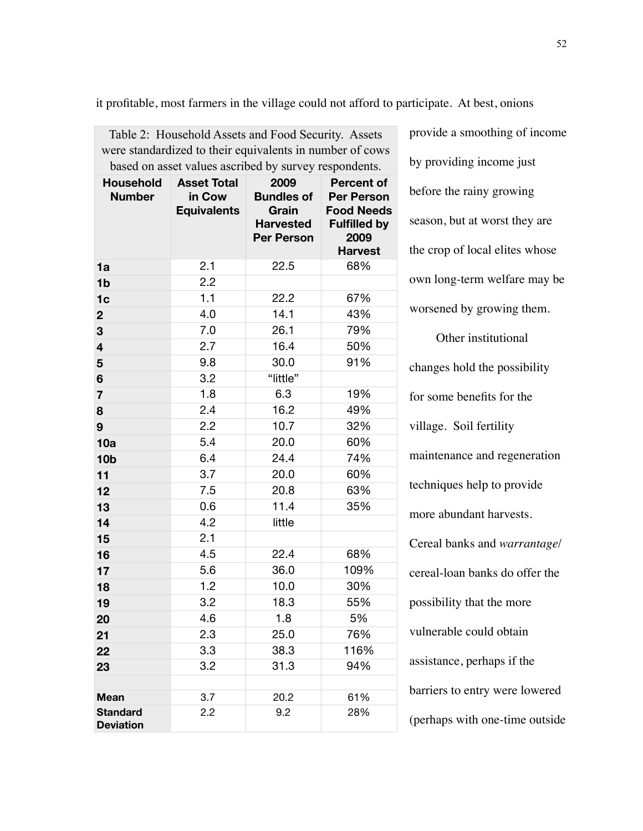provide a smoothing of income by providing income just before the rainy growing season, but at worst they are the crop of local elites whose own long-term welfare may be worsened by growing them. Other institutional changes hold the possibility for some benefits for the village. Soil fertility maintenance and regeneration techniques help to provide more abundant harvests. Cereal banks and *warrantage*/ cereal-loan banks do offer the possibility that the more vulnerable could obtain assistance, perhaps if the barriers to entry were lowered (perhaps with one-time outside Table 2: Household Assets and Food Security. Assets were standardized to their equivalents in number of cows based on asset values ascribed by survey respondents. **Household Number Asset Total in Cow Equivalents 2009 Bundles of Grain Harvested Per Person Percent of Per Person Food Needs Fulfilled by 2009 Harvest 1a** 2.1 22.5 68% **1b** 2.2 **1c** 1.1 22.2 67% **2** 4.0 14.1 43% **3** 7.0 26.1 79% **4** 2.7 16.4 50% **5** 9.8 30.0 91% **6** 3.2 "little" **7** 1.8 6.3 19% **8** 2.4 16.2 49% **9** 2.2 10.7 32% **10a** 5.4 20.0 60% **10b** 6.4 24.4 74% **11** 3.7 20.0 60% **12** 7.5 20.8 63% **13** 0.6 11.4 35% **14** 4.2 little **15** 2.1 **16** 4.5 22.4 68% **17** 5.6 36.0 109% **18** 1.2 10.0 30% **19** 3.2 18.3 55% **20** 4.6 1.8 5% **21** 2.3 25.0 76% **22** 3.3 38.3 116% **23** 3.2 31.3 94% **Mean** 3.7 20.2 61% **Standard Deviation** 2.2 9.2 28%

it profitable, most farmers in the village could not afford to participate. At best, onions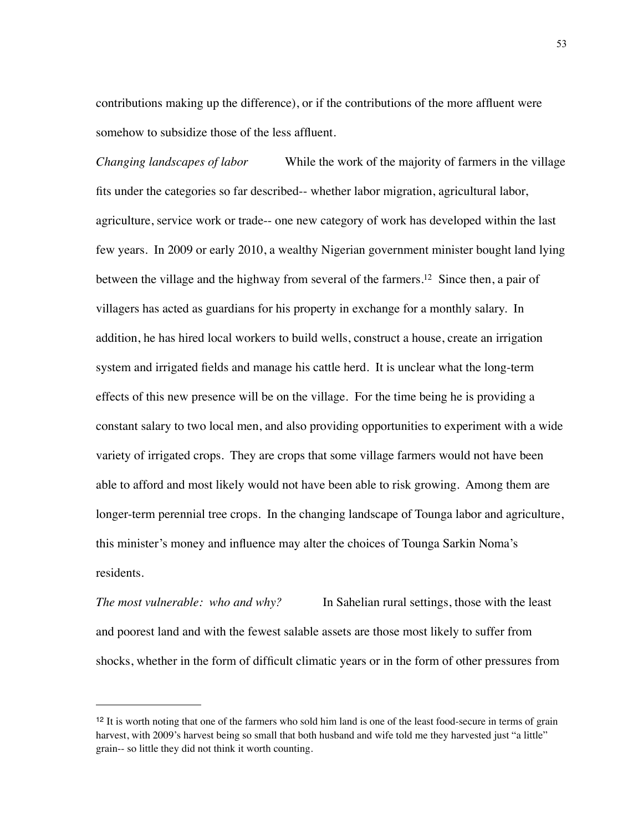contributions making up the difference), or if the contributions of the more affluent were somehow to subsidize those of the less affluent.

*Changing landscapes of labor* While the work of the majority of farmers in the village fits under the categories so far described-- whether labor migration, agricultural labor, agriculture, service work or trade-- one new category of work has developed within the last few years. In 2009 or early 2010, a wealthy Nigerian government minister bought land lying between the village and the highway from several of the farmers[.12](#page-60-0) Since then, a pair of villagers has acted as guardians for his property in exchange for a monthly salary. In addition, he has hired local workers to build wells, construct a house, create an irrigation system and irrigated fields and manage his cattle herd. It is unclear what the long-term effects of this new presence will be on the village. For the time being he is providing a constant salary to two local men, and also providing opportunities to experiment with a wide variety of irrigated crops. They are crops that some village farmers would not have been able to afford and most likely would not have been able to risk growing. Among them are longer-term perennial tree crops. In the changing landscape of Tounga labor and agriculture, this minister's money and influence may alter the choices of Tounga Sarkin Noma's residents.

*The most vulnerable: who and why?* In Sahelian rural settings, those with the least and poorest land and with the fewest salable assets are those most likely to suffer from shocks, whether in the form of difficult climatic years or in the form of other pressures from

<span id="page-60-0"></span><sup>&</sup>lt;sup>12</sup> It is worth noting that one of the farmers who sold him land is one of the least food-secure in terms of grain harvest, with 2009's harvest being so small that both husband and wife told me they harvested just "a little" grain-- so little they did not think it worth counting.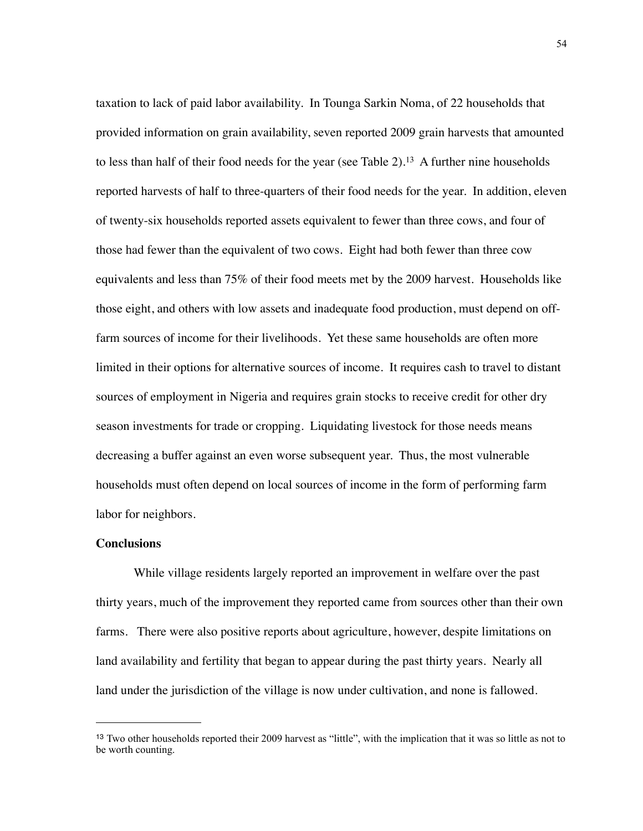taxation to lack of paid labor availability. In Tounga Sarkin Noma, of 22 households that provided information on grain availability, seven reported 2009 grain harvests that amounted to less than half of their food needs for the year (see Table 2)[.13](#page-61-0) A further nine households reported harvests of half to three-quarters of their food needs for the year. In addition, eleven of twenty-six households reported assets equivalent to fewer than three cows, and four of those had fewer than the equivalent of two cows. Eight had both fewer than three cow equivalents and less than 75% of their food meets met by the 2009 harvest. Households like those eight, and others with low assets and inadequate food production, must depend on offfarm sources of income for their livelihoods. Yet these same households are often more limited in their options for alternative sources of income. It requires cash to travel to distant sources of employment in Nigeria and requires grain stocks to receive credit for other dry season investments for trade or cropping. Liquidating livestock for those needs means decreasing a buffer against an even worse subsequent year. Thus, the most vulnerable households must often depend on local sources of income in the form of performing farm labor for neighbors.

#### **Conclusions**

While village residents largely reported an improvement in welfare over the past thirty years, much of the improvement they reported came from sources other than their own farms. There were also positive reports about agriculture, however, despite limitations on land availability and fertility that began to appear during the past thirty years. Nearly all land under the jurisdiction of the village is now under cultivation, and none is fallowed.

<span id="page-61-0"></span><sup>13</sup> Two other households reported their 2009 harvest as "little", with the implication that it was so little as not to be worth counting.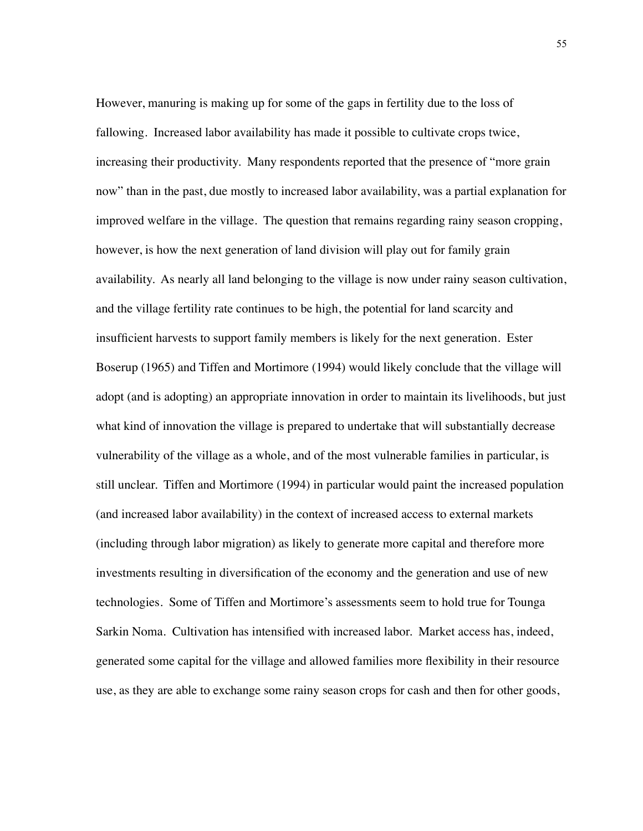However, manuring is making up for some of the gaps in fertility due to the loss of fallowing. Increased labor availability has made it possible to cultivate crops twice, increasing their productivity. Many respondents reported that the presence of "more grain now" than in the past, due mostly to increased labor availability, was a partial explanation for improved welfare in the village. The question that remains regarding rainy season cropping, however, is how the next generation of land division will play out for family grain availability. As nearly all land belonging to the village is now under rainy season cultivation, and the village fertility rate continues to be high, the potential for land scarcity and insufficient harvests to support family members is likely for the next generation. Ester Boserup (1965) and Tiffen and Mortimore (1994) would likely conclude that the village will adopt (and is adopting) an appropriate innovation in order to maintain its livelihoods, but just what kind of innovation the village is prepared to undertake that will substantially decrease vulnerability of the village as a whole, and of the most vulnerable families in particular, is still unclear. Tiffen and Mortimore (1994) in particular would paint the increased population (and increased labor availability) in the context of increased access to external markets (including through labor migration) as likely to generate more capital and therefore more investments resulting in diversification of the economy and the generation and use of new technologies. Some of Tiffen and Mortimore's assessments seem to hold true for Tounga Sarkin Noma. Cultivation has intensified with increased labor. Market access has, indeed, generated some capital for the village and allowed families more flexibility in their resource use, as they are able to exchange some rainy season crops for cash and then for other goods,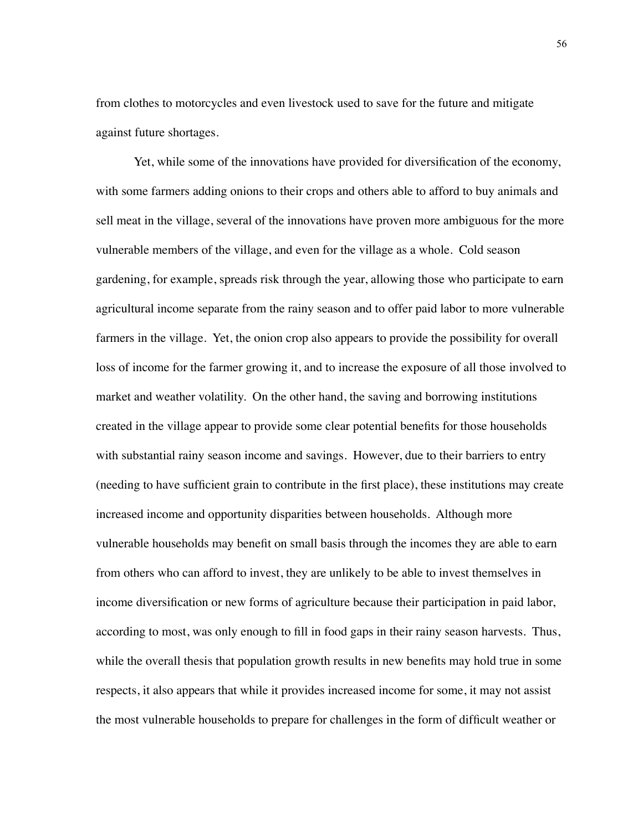from clothes to motorcycles and even livestock used to save for the future and mitigate against future shortages.

Yet, while some of the innovations have provided for diversification of the economy, with some farmers adding onions to their crops and others able to afford to buy animals and sell meat in the village, several of the innovations have proven more ambiguous for the more vulnerable members of the village, and even for the village as a whole. Cold season gardening, for example, spreads risk through the year, allowing those who participate to earn agricultural income separate from the rainy season and to offer paid labor to more vulnerable farmers in the village. Yet, the onion crop also appears to provide the possibility for overall loss of income for the farmer growing it, and to increase the exposure of all those involved to market and weather volatility. On the other hand, the saving and borrowing institutions created in the village appear to provide some clear potential benefits for those households with substantial rainy season income and savings. However, due to their barriers to entry (needing to have sufficient grain to contribute in the first place), these institutions may create increased income and opportunity disparities between households. Although more vulnerable households may benefit on small basis through the incomes they are able to earn from others who can afford to invest, they are unlikely to be able to invest themselves in income diversification or new forms of agriculture because their participation in paid labor, according to most, was only enough to fill in food gaps in their rainy season harvests. Thus, while the overall thesis that population growth results in new benefits may hold true in some respects, it also appears that while it provides increased income for some, it may not assist the most vulnerable households to prepare for challenges in the form of difficult weather or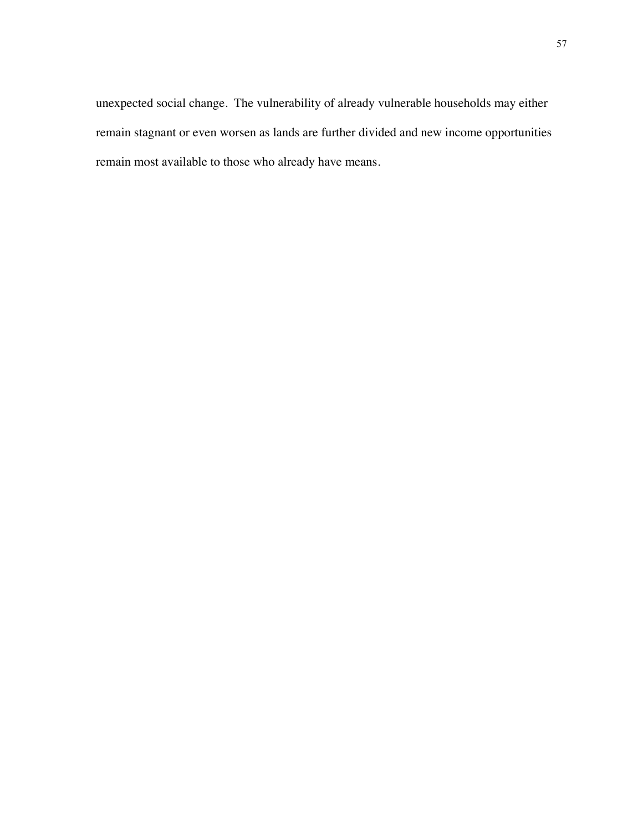unexpected social change. The vulnerability of already vulnerable households may either remain stagnant or even worsen as lands are further divided and new income opportunities remain most available to those who already have means.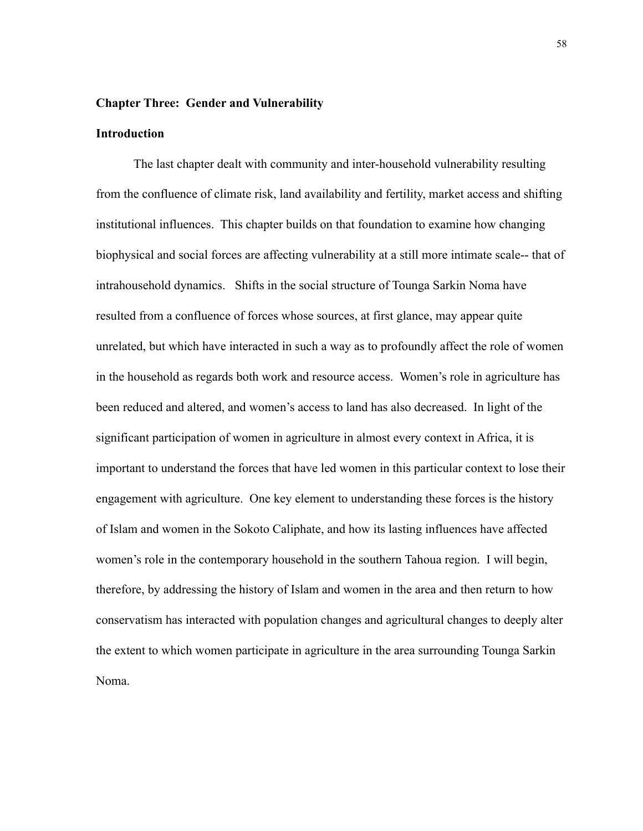### **Chapter Three: Gender and Vulnerability**

# **Introduction**

 The last chapter dealt with community and inter-household vulnerability resulting from the confluence of climate risk, land availability and fertility, market access and shifting institutional influences. This chapter builds on that foundation to examine how changing biophysical and social forces are affecting vulnerability at a still more intimate scale-- that of intrahousehold dynamics. Shifts in the social structure of Tounga Sarkin Noma have resulted from a confluence of forces whose sources, at first glance, may appear quite unrelated, but which have interacted in such a way as to profoundly affect the role of women in the household as regards both work and resource access. Women's role in agriculture has been reduced and altered, and women's access to land has also decreased. In light of the significant participation of women in agriculture in almost every context in Africa, it is important to understand the forces that have led women in this particular context to lose their engagement with agriculture. One key element to understanding these forces is the history of Islam and women in the Sokoto Caliphate, and how its lasting influences have affected women's role in the contemporary household in the southern Tahoua region. I will begin, therefore, by addressing the history of Islam and women in the area and then return to how conservatism has interacted with population changes and agricultural changes to deeply alter the extent to which women participate in agriculture in the area surrounding Tounga Sarkin Noma.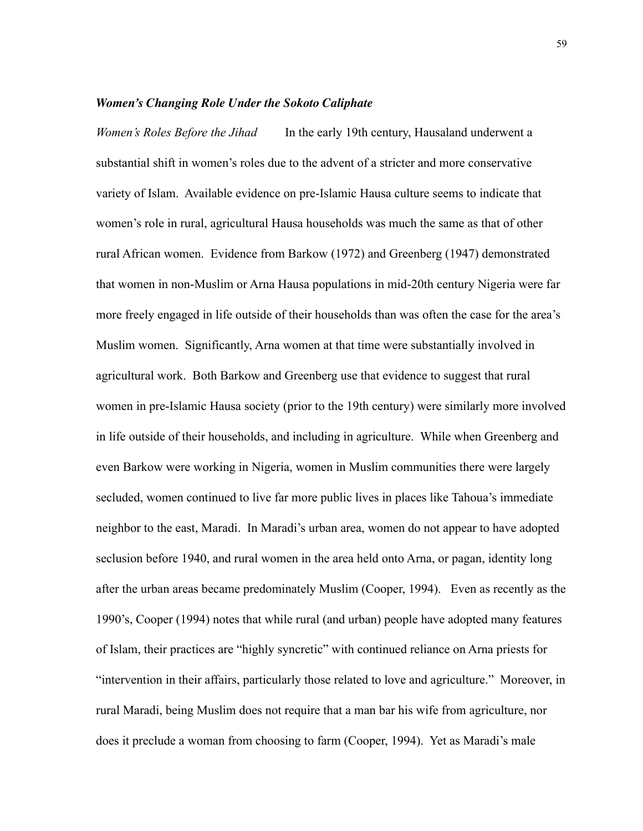### *Women's Changing Role Under the Sokoto Caliphate*

*Women's Roles Before the Jihad* In the early 19th century, Hausaland underwent a substantial shift in women's roles due to the advent of a stricter and more conservative variety of Islam. Available evidence on pre-Islamic Hausa culture seems to indicate that women's role in rural, agricultural Hausa households was much the same as that of other rural African women. Evidence from Barkow (1972) and Greenberg (1947) demonstrated that women in non-Muslim or Arna Hausa populations in mid-20th century Nigeria were far more freely engaged in life outside of their households than was often the case for the area's Muslim women. Significantly, Arna women at that time were substantially involved in agricultural work. Both Barkow and Greenberg use that evidence to suggest that rural women in pre-Islamic Hausa society (prior to the 19th century) were similarly more involved in life outside of their households, and including in agriculture. While when Greenberg and even Barkow were working in Nigeria, women in Muslim communities there were largely secluded, women continued to live far more public lives in places like Tahoua's immediate neighbor to the east, Maradi. In Maradi's urban area, women do not appear to have adopted seclusion before 1940, and rural women in the area held onto Arna, or pagan, identity long after the urban areas became predominately Muslim (Cooper, 1994). Even as recently as the 1990's, Cooper (1994) notes that while rural (and urban) people have adopted many features of Islam, their practices are "highly syncretic" with continued reliance on Arna priests for "intervention in their affairs, particularly those related to love and agriculture." Moreover, in rural Maradi, being Muslim does not require that a man bar his wife from agriculture, nor does it preclude a woman from choosing to farm (Cooper, 1994). Yet as Maradi's male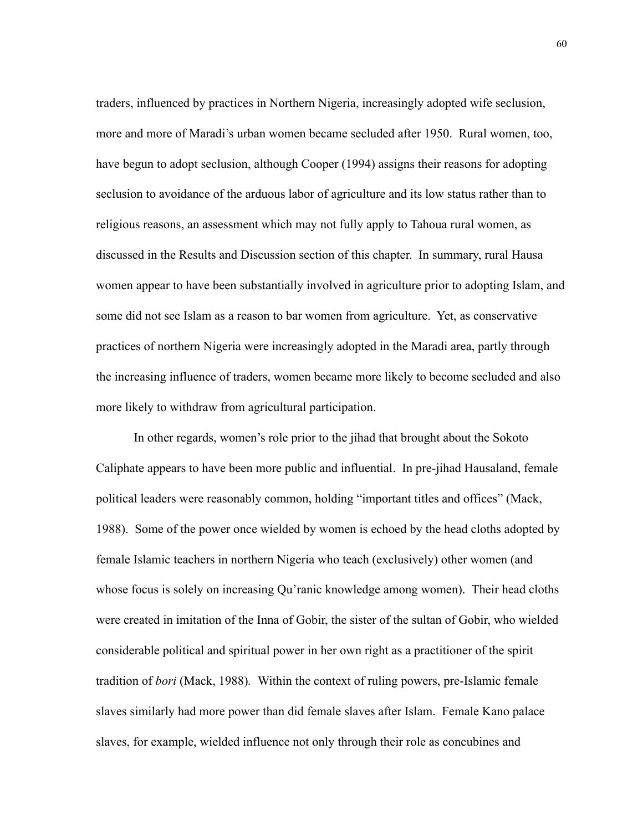traders, influenced by practices in Northern Nigeria, increasingly adopted wife seclusion, more and more of Maradi's urban women became secluded after 1950. Rural women, too, have begun to adopt seclusion, although Cooper (1994) assigns their reasons for adopting seclusion to avoidance of the arduous labor of agriculture and its low status rather than to religious reasons, an assessment which may not fully apply to Tahoua rural women, as discussed in the Results and Discussion section of this chapter. In summary, rural Hausa women appear to have been substantially involved in agriculture prior to adopting Islam, and some did not see Islam as a reason to bar women from agriculture. Yet, as conservative practices of northern Nigeria were increasingly adopted in the Maradi area, partly through the increasing influence of traders, women became more likely to become secluded and also more likely to withdraw from agricultural participation.

 In other regards, women's role prior to the jihad that brought about the Sokoto Caliphate appears to have been more public and influential. In pre-jihad Hausaland, female political leaders were reasonably common, holding "important titles and offices" (Mack, 1988). Some of the power once wielded by women is echoed by the head cloths adopted by female Islamic teachers in northern Nigeria who teach (exclusively) other women (and whose focus is solely on increasing Qu'ranic knowledge among women). Their head cloths were created in imitation of the Inna of Gobir, the sister of the sultan of Gobir, who wielded considerable political and spiritual power in her own right as a practitioner of the spirit tradition of *bori* (Mack, 1988)*.* Within the context of ruling powers, pre-Islamic female slaves similarly had more power than did female slaves after Islam. Female Kano palace slaves, for example, wielded influence not only through their role as concubines and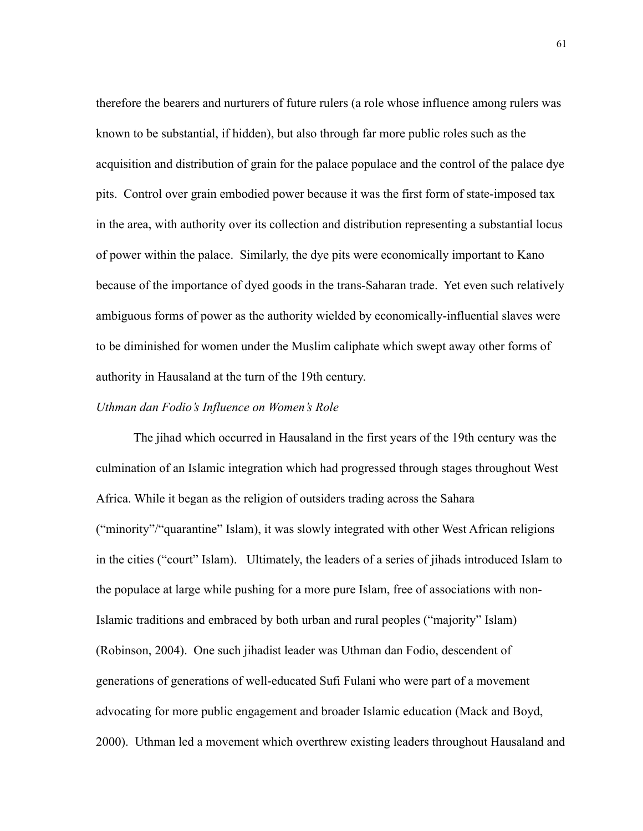therefore the bearers and nurturers of future rulers (a role whose influence among rulers was known to be substantial, if hidden), but also through far more public roles such as the acquisition and distribution of grain for the palace populace and the control of the palace dye pits. Control over grain embodied power because it was the first form of state-imposed tax in the area, with authority over its collection and distribution representing a substantial locus of power within the palace. Similarly, the dye pits were economically important to Kano because of the importance of dyed goods in the trans-Saharan trade. Yet even such relatively ambiguous forms of power as the authority wielded by economically-influential slaves were to be diminished for women under the Muslim caliphate which swept away other forms of authority in Hausaland at the turn of the 19th century.

### *Uthman dan Fodio's Influence on Women's Role*

 The jihad which occurred in Hausaland in the first years of the 19th century was the culmination of an Islamic integration which had progressed through stages throughout West Africa. While it began as the religion of outsiders trading across the Sahara ("minority"/"quarantine" Islam), it was slowly integrated with other West African religions in the cities ("court" Islam). Ultimately, the leaders of a series of jihads introduced Islam to the populace at large while pushing for a more pure Islam, free of associations with non-Islamic traditions and embraced by both urban and rural peoples ("majority" Islam) (Robinson, 2004). One such jihadist leader was Uthman dan Fodio, descendent of generations of generations of well-educated Sufi Fulani who were part of a movement advocating for more public engagement and broader Islamic education (Mack and Boyd, 2000). Uthman led a movement which overthrew existing leaders throughout Hausaland and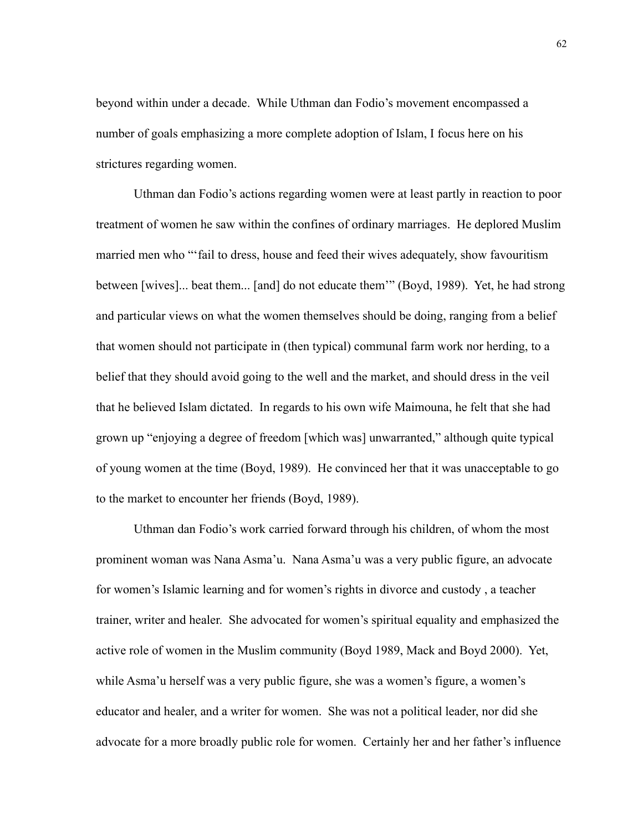beyond within under a decade. While Uthman dan Fodio's movement encompassed a number of goals emphasizing a more complete adoption of Islam, I focus here on his strictures regarding women.

 Uthman dan Fodio's actions regarding women were at least partly in reaction to poor treatment of women he saw within the confines of ordinary marriages. He deplored Muslim married men who "'fail to dress, house and feed their wives adequately, show favouritism between [wives]... beat them... [and] do not educate them'" (Boyd, 1989). Yet, he had strong and particular views on what the women themselves should be doing, ranging from a belief that women should not participate in (then typical) communal farm work nor herding, to a belief that they should avoid going to the well and the market, and should dress in the veil that he believed Islam dictated. In regards to his own wife Maimouna, he felt that she had grown up "enjoying a degree of freedom [which was] unwarranted," although quite typical of young women at the time (Boyd, 1989). He convinced her that it was unacceptable to go to the market to encounter her friends (Boyd, 1989).

Uthman dan Fodio's work carried forward through his children, of whom the most prominent woman was Nana Asma'u. Nana Asma'u was a very public figure, an advocate for women's Islamic learning and for women's rights in divorce and custody , a teacher trainer, writer and healer. She advocated for women's spiritual equality and emphasized the active role of women in the Muslim community (Boyd 1989, Mack and Boyd 2000). Yet, while Asma'u herself was a very public figure, she was a women's figure, a women's educator and healer, and a writer for women. She was not a political leader, nor did she advocate for a more broadly public role for women. Certainly her and her father's influence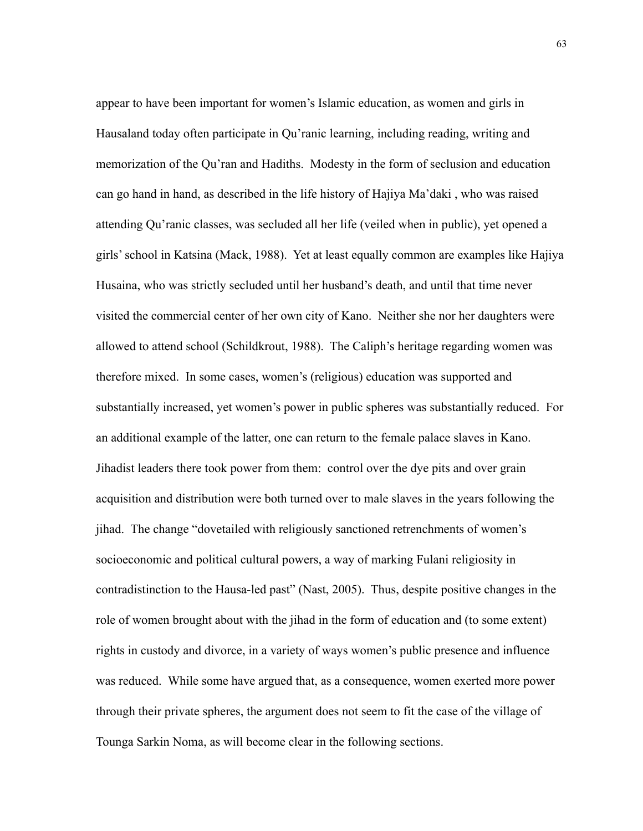appear to have been important for women's Islamic education, as women and girls in Hausaland today often participate in Qu'ranic learning, including reading, writing and memorization of the Qu'ran and Hadiths. Modesty in the form of seclusion and education can go hand in hand, as described in the life history of Hajiya Ma'daki , who was raised attending Qu'ranic classes, was secluded all her life (veiled when in public), yet opened a girls' school in Katsina (Mack, 1988). Yet at least equally common are examples like Hajiya Husaina, who was strictly secluded until her husband's death, and until that time never visited the commercial center of her own city of Kano. Neither she nor her daughters were allowed to attend school (Schildkrout, 1988). The Caliph's heritage regarding women was therefore mixed. In some cases, women's (religious) education was supported and substantially increased, yet women's power in public spheres was substantially reduced. For an additional example of the latter, one can return to the female palace slaves in Kano. Jihadist leaders there took power from them: control over the dye pits and over grain acquisition and distribution were both turned over to male slaves in the years following the jihad. The change "dovetailed with religiously sanctioned retrenchments of women's socioeconomic and political cultural powers, a way of marking Fulani religiosity in contradistinction to the Hausa-led past" (Nast, 2005). Thus, despite positive changes in the role of women brought about with the jihad in the form of education and (to some extent) rights in custody and divorce, in a variety of ways women's public presence and influence was reduced. While some have argued that, as a consequence, women exerted more power through their private spheres, the argument does not seem to fit the case of the village of Tounga Sarkin Noma, as will become clear in the following sections.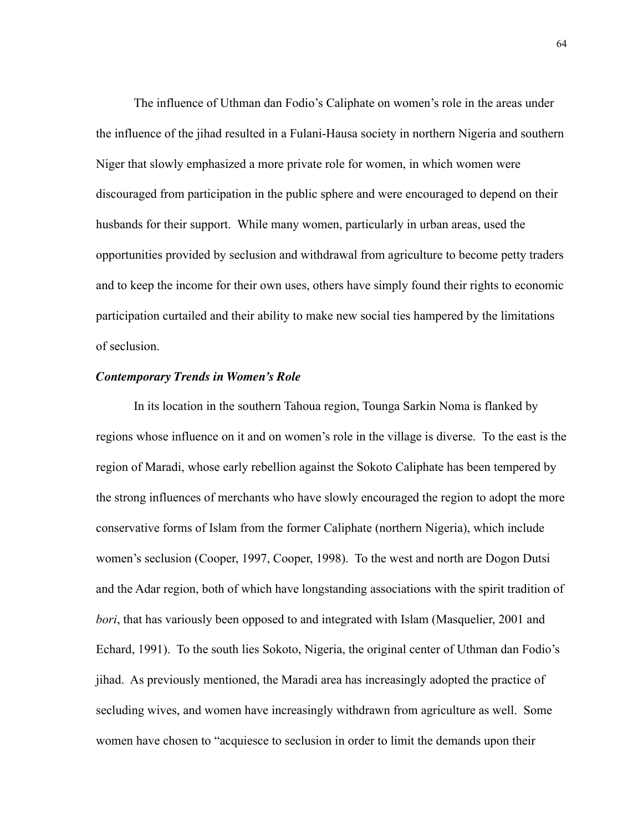The influence of Uthman dan Fodio's Caliphate on women's role in the areas under the influence of the jihad resulted in a Fulani-Hausa society in northern Nigeria and southern Niger that slowly emphasized a more private role for women, in which women were discouraged from participation in the public sphere and were encouraged to depend on their husbands for their support. While many women, particularly in urban areas, used the opportunities provided by seclusion and withdrawal from agriculture to become petty traders and to keep the income for their own uses, others have simply found their rights to economic participation curtailed and their ability to make new social ties hampered by the limitations of seclusion.

## *Contemporary Trends in Women's Role*

 In its location in the southern Tahoua region, Tounga Sarkin Noma is flanked by regions whose influence on it and on women's role in the village is diverse. To the east is the region of Maradi, whose early rebellion against the Sokoto Caliphate has been tempered by the strong influences of merchants who have slowly encouraged the region to adopt the more conservative forms of Islam from the former Caliphate (northern Nigeria), which include women's seclusion (Cooper, 1997, Cooper, 1998). To the west and north are Dogon Dutsi and the Adar region, both of which have longstanding associations with the spirit tradition of *bori*, that has variously been opposed to and integrated with Islam (Masquelier, 2001 and Echard, 1991). To the south lies Sokoto, Nigeria, the original center of Uthman dan Fodio's jihad. As previously mentioned, the Maradi area has increasingly adopted the practice of secluding wives, and women have increasingly withdrawn from agriculture as well. Some women have chosen to "acquiesce to seclusion in order to limit the demands upon their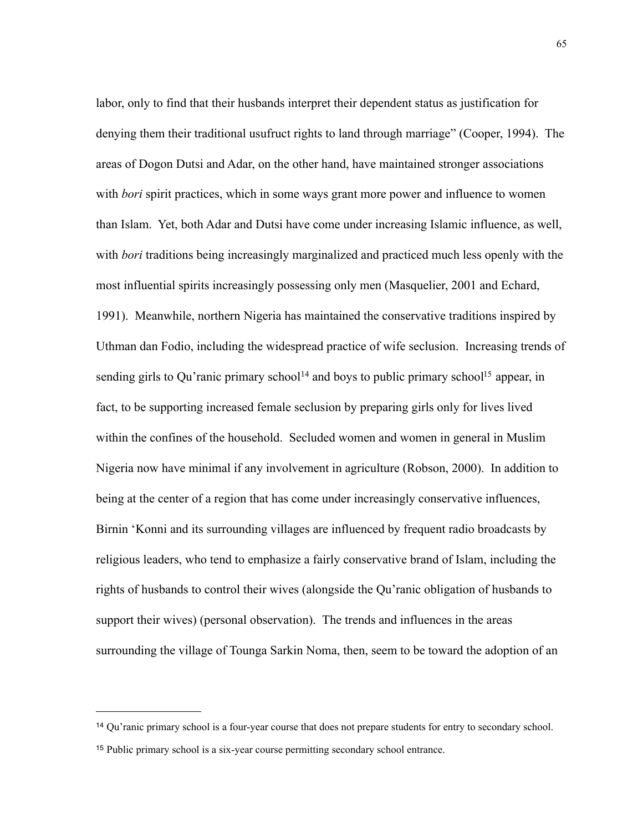labor, only to find that their husbands interpret their dependent status as justification for denying them their traditional usufruct rights to land through marriage" (Cooper, 1994). The areas of Dogon Dutsi and Adar, on the other hand, have maintained stronger associations with *bori* spirit practices, which in some ways grant more power and influence to women than Islam. Yet, both Adar and Dutsi have come under increasing Islamic influence, as well, with *bori* traditions being increasingly marginalized and practiced much less openly with the most influential spirits increasingly possessing only men (Masquelier, 2001 and Echard, 1991). Meanwhile, northern Nigeria has maintained the conservative traditions inspired by Uthman dan Fodio, including the widespread practice of wife seclusion. Increasing trends of sending girls to Qu'ranic primary school<sup>14</sup> and boys to public primary school<sup>15</sup> appear, in fact, to be supporting increased female seclusion by preparing girls only for lives lived within the confines of the household. Secluded women and women in general in Muslim Nigeria now have minimal if any involvement in agriculture (Robson, 2000). In addition to being at the center of a region that has come under increasingly conservative influences, Birnin 'Konni and its surrounding villages are influenced by frequent radio broadcasts by religious leaders, who tend to emphasize a fairly conservative brand of Islam, including the rights of husbands to control their wives (alongside the Qu'ranic obligation of husbands to support their wives) (personal observation). The trends and influences in the areas surrounding the village of Tounga Sarkin Noma, then, seem to be toward the adoption of an

<span id="page-72-0"></span><sup>14</sup> Qu'ranic primary school is a four-year course that does not prepare students for entry to secondary school.

<span id="page-72-1"></span><sup>15</sup> Public primary school is a six-year course permitting secondary school entrance.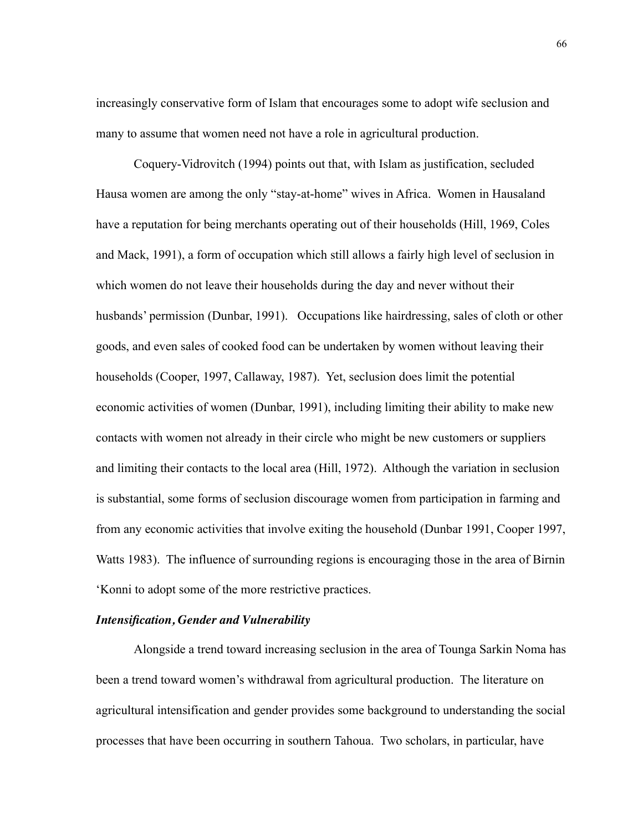increasingly conservative form of Islam that encourages some to adopt wife seclusion and many to assume that women need not have a role in agricultural production.

 Coquery-Vidrovitch (1994) points out that, with Islam as justification, secluded Hausa women are among the only "stay-at-home" wives in Africa. Women in Hausaland have a reputation for being merchants operating out of their households (Hill, 1969, Coles and Mack, 1991), a form of occupation which still allows a fairly high level of seclusion in which women do not leave their households during the day and never without their husbands' permission (Dunbar, 1991). Occupations like hairdressing, sales of cloth or other goods, and even sales of cooked food can be undertaken by women without leaving their households (Cooper, 1997, Callaway, 1987). Yet, seclusion does limit the potential economic activities of women (Dunbar, 1991), including limiting their ability to make new contacts with women not already in their circle who might be new customers or suppliers and limiting their contacts to the local area (Hill, 1972). Although the variation in seclusion is substantial, some forms of seclusion discourage women from participation in farming and from any economic activities that involve exiting the household (Dunbar 1991, Cooper 1997, Watts 1983). The influence of surrounding regions is encouraging those in the area of Birnin 'Konni to adopt some of the more restrictive practices.

### *Intensification, Gender and Vulnerability*

Alongside a trend toward increasing seclusion in the area of Tounga Sarkin Noma has been a trend toward women's withdrawal from agricultural production. The literature on agricultural intensification and gender provides some background to understanding the social processes that have been occurring in southern Tahoua. Two scholars, in particular, have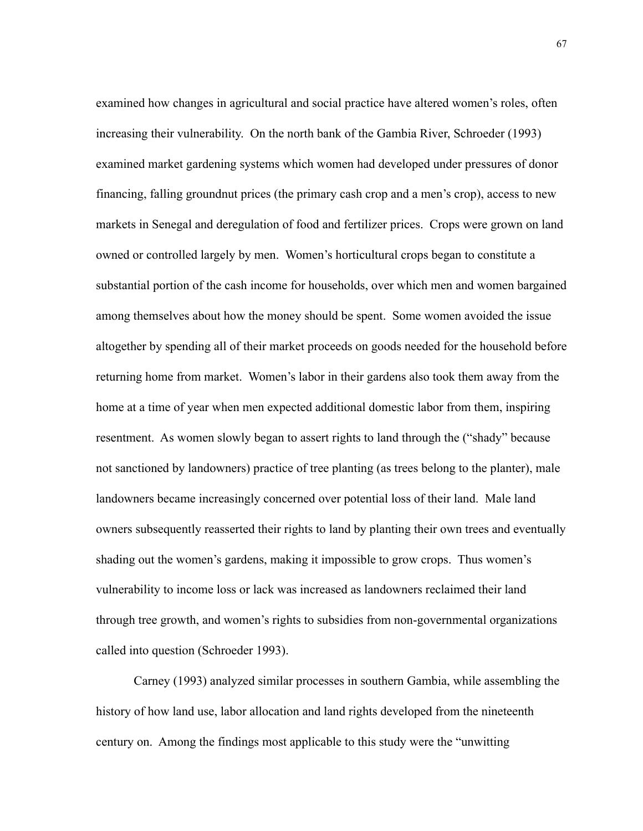examined how changes in agricultural and social practice have altered women's roles, often increasing their vulnerability. On the north bank of the Gambia River, Schroeder (1993) examined market gardening systems which women had developed under pressures of donor financing, falling groundnut prices (the primary cash crop and a men's crop), access to new markets in Senegal and deregulation of food and fertilizer prices. Crops were grown on land owned or controlled largely by men. Women's horticultural crops began to constitute a substantial portion of the cash income for households, over which men and women bargained among themselves about how the money should be spent. Some women avoided the issue altogether by spending all of their market proceeds on goods needed for the household before returning home from market. Women's labor in their gardens also took them away from the home at a time of year when men expected additional domestic labor from them, inspiring resentment. As women slowly began to assert rights to land through the ("shady" because not sanctioned by landowners) practice of tree planting (as trees belong to the planter), male landowners became increasingly concerned over potential loss of their land. Male land owners subsequently reasserted their rights to land by planting their own trees and eventually shading out the women's gardens, making it impossible to grow crops. Thus women's vulnerability to income loss or lack was increased as landowners reclaimed their land through tree growth, and women's rights to subsidies from non-governmental organizations called into question (Schroeder 1993).

 Carney (1993) analyzed similar processes in southern Gambia, while assembling the history of how land use, labor allocation and land rights developed from the nineteenth century on. Among the findings most applicable to this study were the "unwitting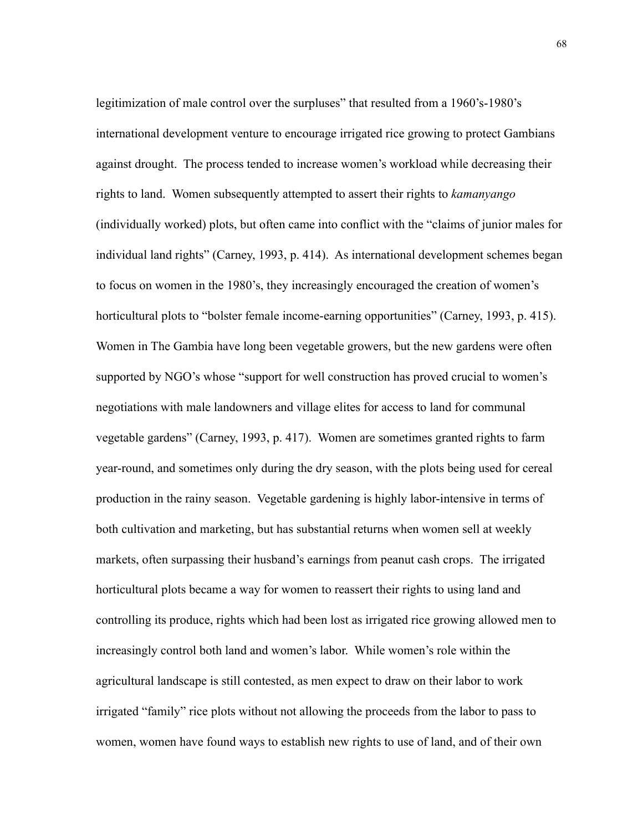legitimization of male control over the surpluses" that resulted from a 1960's-1980's international development venture to encourage irrigated rice growing to protect Gambians against drought. The process tended to increase women's workload while decreasing their rights to land. Women subsequently attempted to assert their rights to *kamanyango* (individually worked) plots, but often came into conflict with the "claims of junior males for individual land rights" (Carney, 1993, p. 414). As international development schemes began to focus on women in the 1980's, they increasingly encouraged the creation of women's horticultural plots to "bolster female income-earning opportunities" (Carney, 1993, p. 415). Women in The Gambia have long been vegetable growers, but the new gardens were often supported by NGO's whose "support for well construction has proved crucial to women's negotiations with male landowners and village elites for access to land for communal vegetable gardens" (Carney, 1993, p. 417). Women are sometimes granted rights to farm year-round, and sometimes only during the dry season, with the plots being used for cereal production in the rainy season. Vegetable gardening is highly labor-intensive in terms of both cultivation and marketing, but has substantial returns when women sell at weekly markets, often surpassing their husband's earnings from peanut cash crops. The irrigated horticultural plots became a way for women to reassert their rights to using land and controlling its produce, rights which had been lost as irrigated rice growing allowed men to increasingly control both land and women's labor. While women's role within the agricultural landscape is still contested, as men expect to draw on their labor to work irrigated "family" rice plots without not allowing the proceeds from the labor to pass to women, women have found ways to establish new rights to use of land, and of their own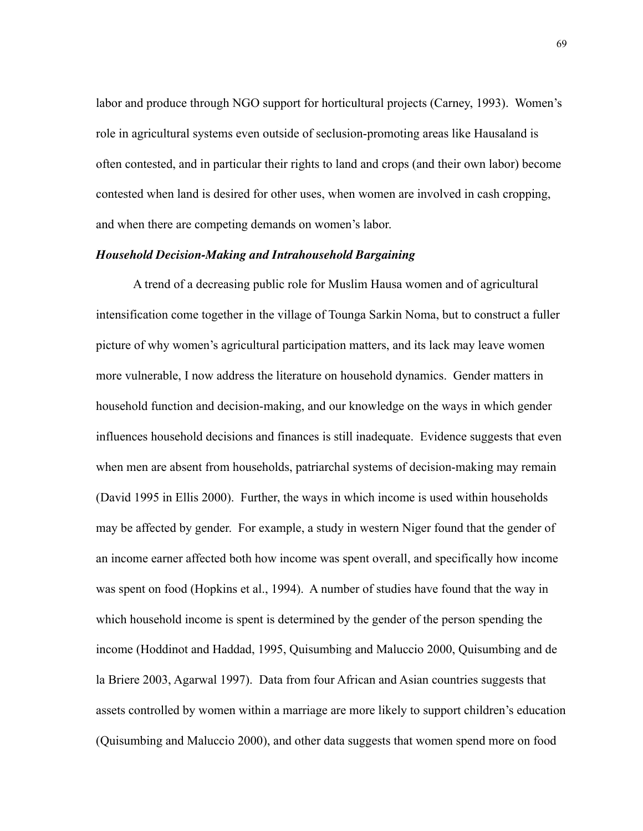labor and produce through NGO support for horticultural projects (Carney, 1993). Women's role in agricultural systems even outside of seclusion-promoting areas like Hausaland is often contested, and in particular their rights to land and crops (and their own labor) become contested when land is desired for other uses, when women are involved in cash cropping, and when there are competing demands on women's labor.

### *Household Decision-Making and Intrahousehold Bargaining*

 A trend of a decreasing public role for Muslim Hausa women and of agricultural intensification come together in the village of Tounga Sarkin Noma, but to construct a fuller picture of why women's agricultural participation matters, and its lack may leave women more vulnerable, I now address the literature on household dynamics. Gender matters in household function and decision-making, and our knowledge on the ways in which gender influences household decisions and finances is still inadequate. Evidence suggests that even when men are absent from households, patriarchal systems of decision-making may remain (David 1995 in Ellis 2000). Further, the ways in which income is used within households may be affected by gender. For example, a study in western Niger found that the gender of an income earner affected both how income was spent overall, and specifically how income was spent on food (Hopkins et al., 1994). A number of studies have found that the way in which household income is spent is determined by the gender of the person spending the income (Hoddinot and Haddad, 1995, Quisumbing and Maluccio 2000, Quisumbing and de la Briere 2003, Agarwal 1997). Data from four African and Asian countries suggests that assets controlled by women within a marriage are more likely to support children's education (Quisumbing and Maluccio 2000), and other data suggests that women spend more on food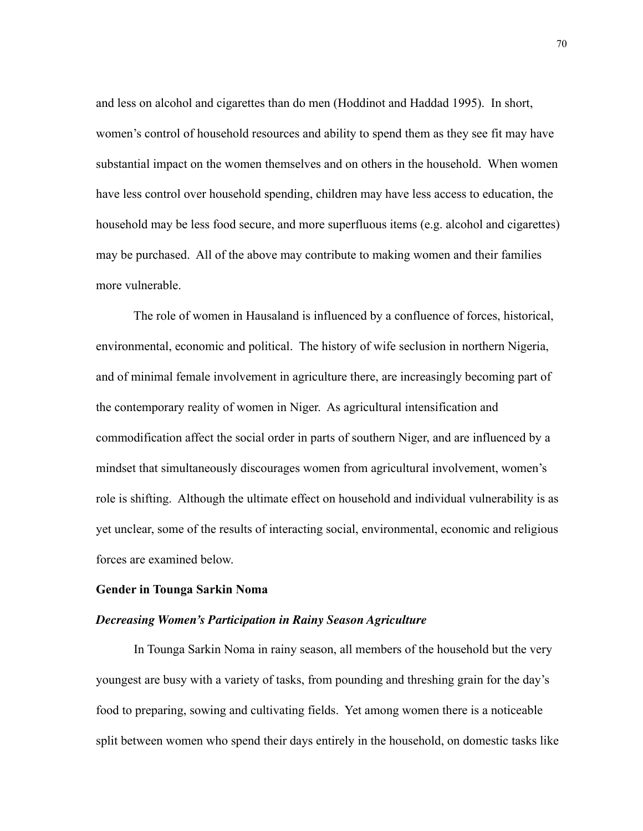and less on alcohol and cigarettes than do men (Hoddinot and Haddad 1995). In short, women's control of household resources and ability to spend them as they see fit may have substantial impact on the women themselves and on others in the household. When women have less control over household spending, children may have less access to education, the household may be less food secure, and more superfluous items (e.g. alcohol and cigarettes) may be purchased. All of the above may contribute to making women and their families more vulnerable.

 The role of women in Hausaland is influenced by a confluence of forces, historical, environmental, economic and political. The history of wife seclusion in northern Nigeria, and of minimal female involvement in agriculture there, are increasingly becoming part of the contemporary reality of women in Niger. As agricultural intensification and commodification affect the social order in parts of southern Niger, and are influenced by a mindset that simultaneously discourages women from agricultural involvement, women's role is shifting. Although the ultimate effect on household and individual vulnerability is as yet unclear, some of the results of interacting social, environmental, economic and religious forces are examined below.

## **Gender in Tounga Sarkin Noma**

# *Decreasing Women's Participation in Rainy Season Agriculture*

In Tounga Sarkin Noma in rainy season, all members of the household but the very youngest are busy with a variety of tasks, from pounding and threshing grain for the day's food to preparing, sowing and cultivating fields. Yet among women there is a noticeable split between women who spend their days entirely in the household, on domestic tasks like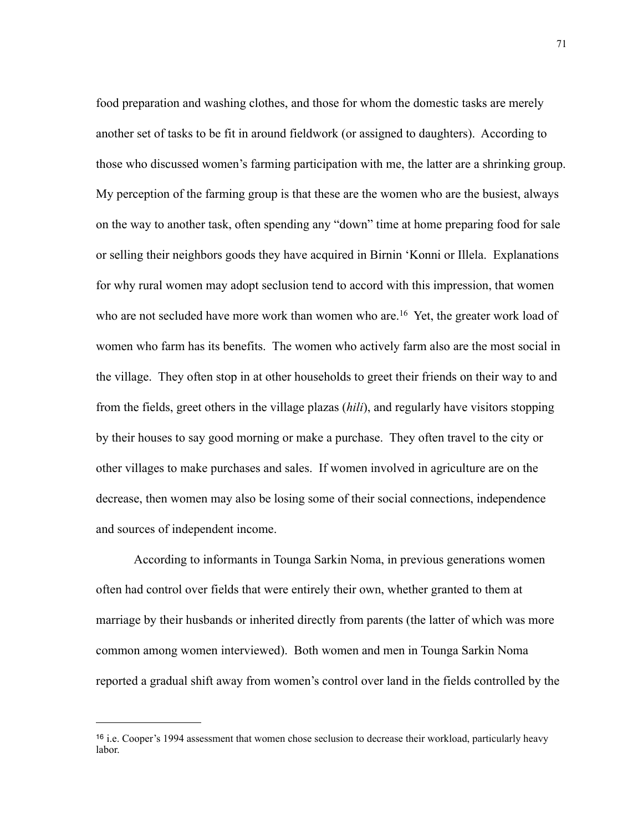food preparation and washing clothes, and those for whom the domestic tasks are merely another set of tasks to be fit in around fieldwork (or assigned to daughters). According to those who discussed women's farming participation with me, the latter are a shrinking group. My perception of the farming group is that these are the women who are the busiest, always on the way to another task, often spending any "down" time at home preparing food for sale or selling their neighbors goods they have acquired in Birnin 'Konni or Illela. Explanations for why rural women may adopt seclusion tend to accord with this impression, that women who are not secluded have more work than women who are.<sup>16</sup> Yet, the greater work load of women who farm has its benefits. The women who actively farm also are the most social in the village. They often stop in at other households to greet their friends on their way to and from the fields, greet others in the village plazas (*hili*), and regularly have visitors stopping by their houses to say good morning or make a purchase. They often travel to the city or other villages to make purchases and sales. If women involved in agriculture are on the decrease, then women may also be losing some of their social connections, independence and sources of independent income.

According to informants in Tounga Sarkin Noma, in previous generations women often had control over fields that were entirely their own, whether granted to them at marriage by their husbands or inherited directly from parents (the latter of which was more common among women interviewed). Both women and men in Tounga Sarkin Noma reported a gradual shift away from women's control over land in the fields controlled by the

<span id="page-78-0"></span><sup>16</sup> i.e. Cooper's 1994 assessment that women chose seclusion to decrease their workload, particularly heavy labor.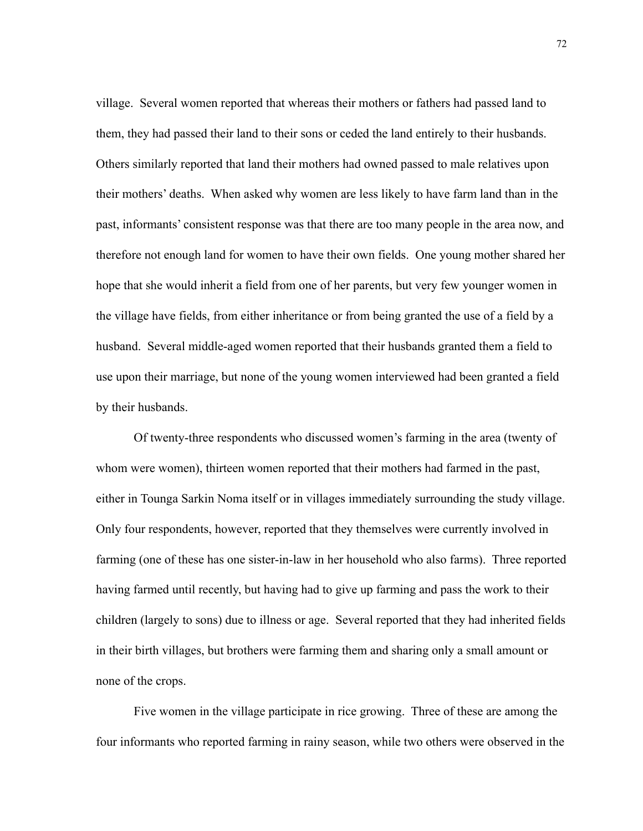village. Several women reported that whereas their mothers or fathers had passed land to them, they had passed their land to their sons or ceded the land entirely to their husbands. Others similarly reported that land their mothers had owned passed to male relatives upon their mothers' deaths. When asked why women are less likely to have farm land than in the past, informants' consistent response was that there are too many people in the area now, and therefore not enough land for women to have their own fields. One young mother shared her hope that she would inherit a field from one of her parents, but very few younger women in the village have fields, from either inheritance or from being granted the use of a field by a husband. Several middle-aged women reported that their husbands granted them a field to use upon their marriage, but none of the young women interviewed had been granted a field by their husbands.

Of twenty-three respondents who discussed women's farming in the area (twenty of whom were women), thirteen women reported that their mothers had farmed in the past, either in Tounga Sarkin Noma itself or in villages immediately surrounding the study village. Only four respondents, however, reported that they themselves were currently involved in farming (one of these has one sister-in-law in her household who also farms). Three reported having farmed until recently, but having had to give up farming and pass the work to their children (largely to sons) due to illness or age. Several reported that they had inherited fields in their birth villages, but brothers were farming them and sharing only a small amount or none of the crops.

 Five women in the village participate in rice growing. Three of these are among the four informants who reported farming in rainy season, while two others were observed in the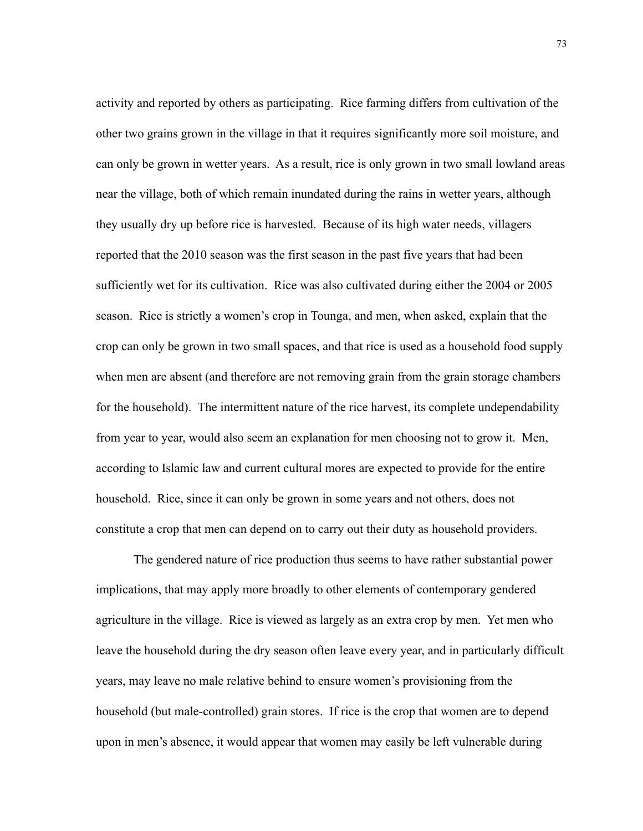activity and reported by others as participating. Rice farming differs from cultivation of the other two grains grown in the village in that it requires significantly more soil moisture, and can only be grown in wetter years. As a result, rice is only grown in two small lowland areas near the village, both of which remain inundated during the rains in wetter years, although they usually dry up before rice is harvested. Because of its high water needs, villagers reported that the 2010 season was the first season in the past five years that had been sufficiently wet for its cultivation. Rice was also cultivated during either the 2004 or 2005 season. Rice is strictly a women's crop in Tounga, and men, when asked, explain that the crop can only be grown in two small spaces, and that rice is used as a household food supply when men are absent (and therefore are not removing grain from the grain storage chambers for the household). The intermittent nature of the rice harvest, its complete undependability from year to year, would also seem an explanation for men choosing not to grow it. Men, according to Islamic law and current cultural mores are expected to provide for the entire household. Rice, since it can only be grown in some years and not others, does not constitute a crop that men can depend on to carry out their duty as household providers.

 The gendered nature of rice production thus seems to have rather substantial power implications, that may apply more broadly to other elements of contemporary gendered agriculture in the village. Rice is viewed as largely as an extra crop by men. Yet men who leave the household during the dry season often leave every year, and in particularly difficult years, may leave no male relative behind to ensure women's provisioning from the household (but male-controlled) grain stores. If rice is the crop that women are to depend upon in men's absence, it would appear that women may easily be left vulnerable during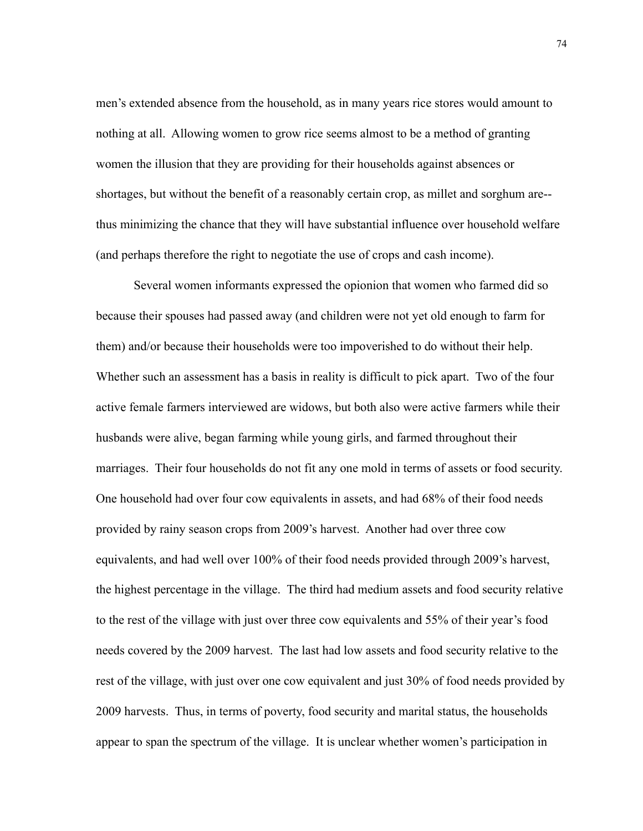men's extended absence from the household, as in many years rice stores would amount to nothing at all. Allowing women to grow rice seems almost to be a method of granting women the illusion that they are providing for their households against absences or shortages, but without the benefit of a reasonably certain crop, as millet and sorghum are- thus minimizing the chance that they will have substantial influence over household welfare (and perhaps therefore the right to negotiate the use of crops and cash income).

 Several women informants expressed the opionion that women who farmed did so because their spouses had passed away (and children were not yet old enough to farm for them) and/or because their households were too impoverished to do without their help. Whether such an assessment has a basis in reality is difficult to pick apart. Two of the four active female farmers interviewed are widows, but both also were active farmers while their husbands were alive, began farming while young girls, and farmed throughout their marriages. Their four households do not fit any one mold in terms of assets or food security. One household had over four cow equivalents in assets, and had 68% of their food needs provided by rainy season crops from 2009's harvest. Another had over three cow equivalents, and had well over 100% of their food needs provided through 2009's harvest, the highest percentage in the village. The third had medium assets and food security relative to the rest of the village with just over three cow equivalents and 55% of their year's food needs covered by the 2009 harvest. The last had low assets and food security relative to the rest of the village, with just over one cow equivalent and just 30% of food needs provided by 2009 harvests. Thus, in terms of poverty, food security and marital status, the households appear to span the spectrum of the village. It is unclear whether women's participation in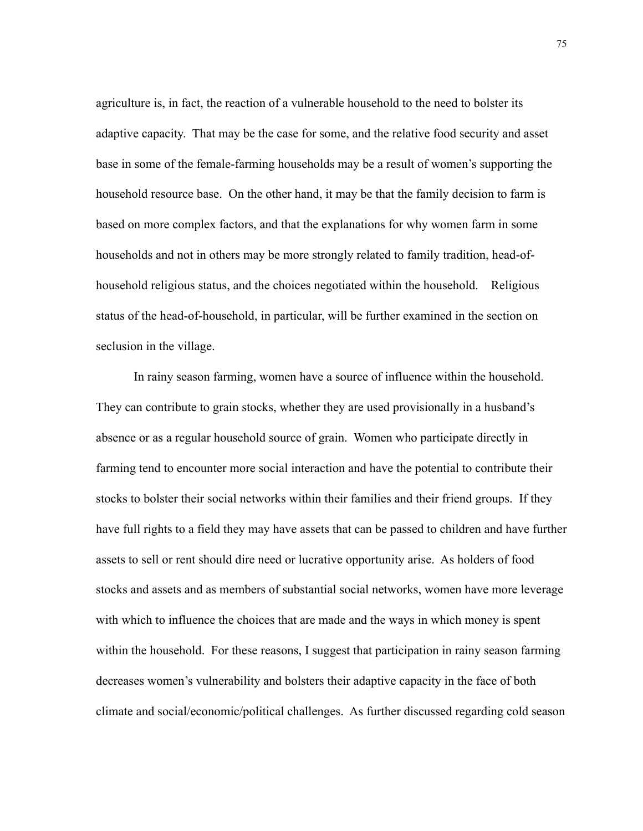agriculture is, in fact, the reaction of a vulnerable household to the need to bolster its adaptive capacity. That may be the case for some, and the relative food security and asset base in some of the female-farming households may be a result of women's supporting the household resource base. On the other hand, it may be that the family decision to farm is based on more complex factors, and that the explanations for why women farm in some households and not in others may be more strongly related to family tradition, head-ofhousehold religious status, and the choices negotiated within the household. Religious status of the head-of-household, in particular, will be further examined in the section on seclusion in the village.

 In rainy season farming, women have a source of influence within the household. They can contribute to grain stocks, whether they are used provisionally in a husband's absence or as a regular household source of grain. Women who participate directly in farming tend to encounter more social interaction and have the potential to contribute their stocks to bolster their social networks within their families and their friend groups. If they have full rights to a field they may have assets that can be passed to children and have further assets to sell or rent should dire need or lucrative opportunity arise. As holders of food stocks and assets and as members of substantial social networks, women have more leverage with which to influence the choices that are made and the ways in which money is spent within the household. For these reasons, I suggest that participation in rainy season farming decreases women's vulnerability and bolsters their adaptive capacity in the face of both climate and social/economic/political challenges. As further discussed regarding cold season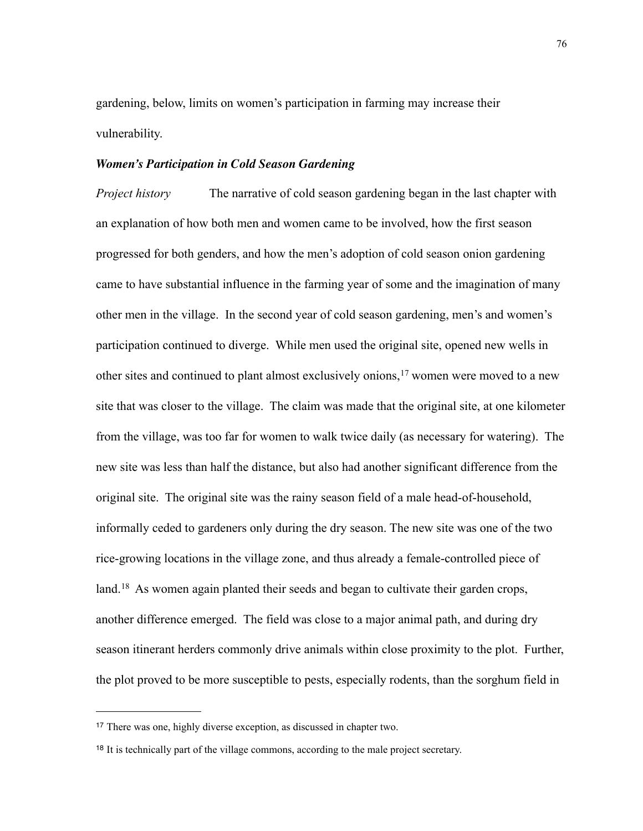gardening, below, limits on women's participation in farming may increase their vulnerability.

### *Women's Participation in Cold Season Gardening*

*Project history* The narrative of cold season gardening began in the last chapter with an explanation of how both men and women came to be involved, how the first season progressed for both genders, and how the men's adoption of cold season onion gardening came to have substantial influence in the farming year of some and the imagination of many other men in the village. In the second year of cold season gardening, men's and women's participation continued to diverge. While men used the original site, opened new wells in other sites and continued to plant almost exclusively onions[,17](#page-83-0) women were moved to a new site that was closer to the village. The claim was made that the original site, at one kilometer from the village, was too far for women to walk twice daily (as necessary for watering). The new site was less than half the distance, but also had another significant difference from the original site. The original site was the rainy season field of a male head-of-household, informally ceded to gardeners only during the dry season. The new site was one of the two rice-growing locations in the village zone, and thus already a female-controlled piece of land.<sup>18</sup> As women again planted their seeds and began to cultivate their garden crops, another difference emerged. The field was close to a major animal path, and during dry season itinerant herders commonly drive animals within close proximity to the plot. Further, the plot proved to be more susceptible to pests, especially rodents, than the sorghum field in

<span id="page-83-0"></span><sup>17</sup> There was one, highly diverse exception, as discussed in chapter two.

<span id="page-83-1"></span><sup>&</sup>lt;sup>18</sup> It is technically part of the village commons, according to the male project secretary.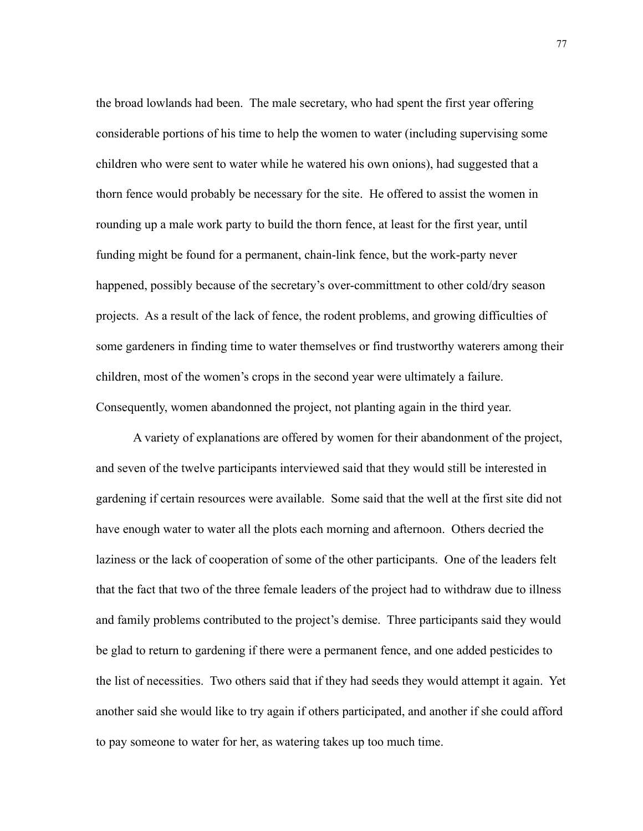the broad lowlands had been. The male secretary, who had spent the first year offering considerable portions of his time to help the women to water (including supervising some children who were sent to water while he watered his own onions), had suggested that a thorn fence would probably be necessary for the site. He offered to assist the women in rounding up a male work party to build the thorn fence, at least for the first year, until funding might be found for a permanent, chain-link fence, but the work-party never happened, possibly because of the secretary's over-committment to other cold/dry season projects. As a result of the lack of fence, the rodent problems, and growing difficulties of some gardeners in finding time to water themselves or find trustworthy waterers among their children, most of the women's crops in the second year were ultimately a failure. Consequently, women abandonned the project, not planting again in the third year.

 A variety of explanations are offered by women for their abandonment of the project, and seven of the twelve participants interviewed said that they would still be interested in gardening if certain resources were available. Some said that the well at the first site did not have enough water to water all the plots each morning and afternoon. Others decried the laziness or the lack of cooperation of some of the other participants. One of the leaders felt that the fact that two of the three female leaders of the project had to withdraw due to illness and family problems contributed to the project's demise. Three participants said they would be glad to return to gardening if there were a permanent fence, and one added pesticides to the list of necessities. Two others said that if they had seeds they would attempt it again. Yet another said she would like to try again if others participated, and another if she could afford to pay someone to water for her, as watering takes up too much time.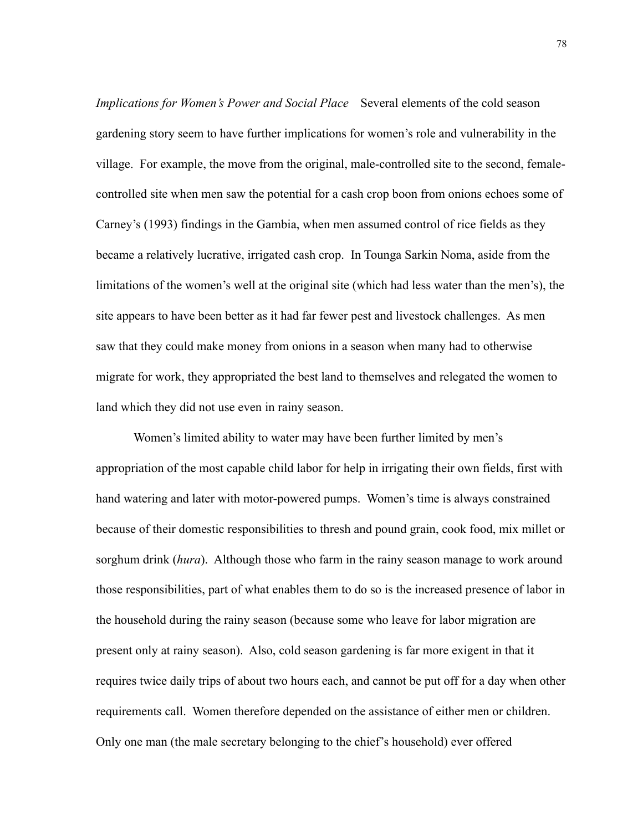*Implications for Women's Power and Social Place* Several elements of the cold season gardening story seem to have further implications for women's role and vulnerability in the village. For example, the move from the original, male-controlled site to the second, femalecontrolled site when men saw the potential for a cash crop boon from onions echoes some of Carney's (1993) findings in the Gambia, when men assumed control of rice fields as they became a relatively lucrative, irrigated cash crop. In Tounga Sarkin Noma, aside from the limitations of the women's well at the original site (which had less water than the men's), the site appears to have been better as it had far fewer pest and livestock challenges. As men saw that they could make money from onions in a season when many had to otherwise migrate for work, they appropriated the best land to themselves and relegated the women to land which they did not use even in rainy season.

 Women's limited ability to water may have been further limited by men's appropriation of the most capable child labor for help in irrigating their own fields, first with hand watering and later with motor-powered pumps. Women's time is always constrained because of their domestic responsibilities to thresh and pound grain, cook food, mix millet or sorghum drink (*hura*). Although those who farm in the rainy season manage to work around those responsibilities, part of what enables them to do so is the increased presence of labor in the household during the rainy season (because some who leave for labor migration are present only at rainy season). Also, cold season gardening is far more exigent in that it requires twice daily trips of about two hours each, and cannot be put off for a day when other requirements call. Women therefore depended on the assistance of either men or children. Only one man (the male secretary belonging to the chief's household) ever offered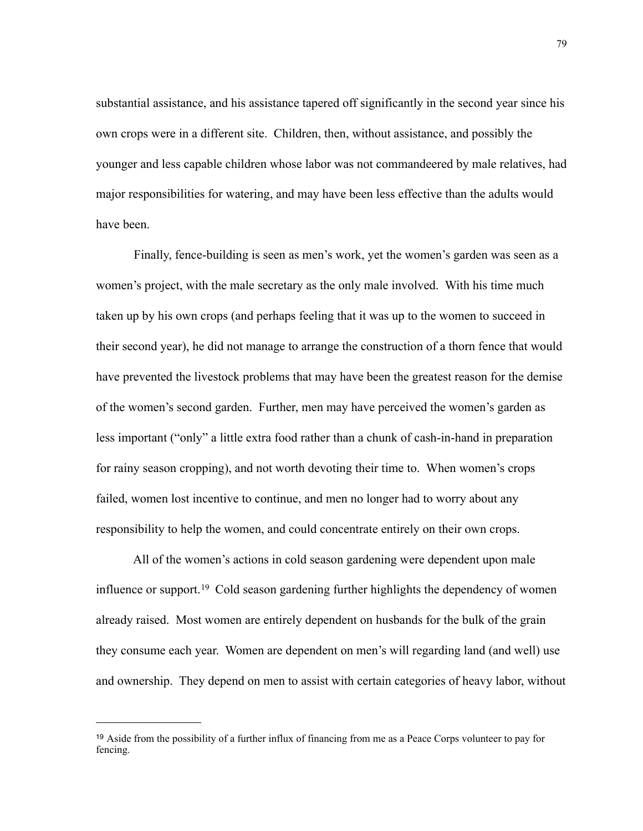substantial assistance, and his assistance tapered off significantly in the second year since his own crops were in a different site. Children, then, without assistance, and possibly the younger and less capable children whose labor was not commandeered by male relatives, had major responsibilities for watering, and may have been less effective than the adults would have been.

 Finally, fence-building is seen as men's work, yet the women's garden was seen as a women's project, with the male secretary as the only male involved. With his time much taken up by his own crops (and perhaps feeling that it was up to the women to succeed in their second year), he did not manage to arrange the construction of a thorn fence that would have prevented the livestock problems that may have been the greatest reason for the demise of the women's second garden. Further, men may have perceived the women's garden as less important ("only" a little extra food rather than a chunk of cash-in-hand in preparation for rainy season cropping), and not worth devoting their time to. When women's crops failed, women lost incentive to continue, and men no longer had to worry about any responsibility to help the women, and could concentrate entirely on their own crops.

 All of the women's actions in cold season gardening were dependent upon male influence or support[.19](#page-86-0) Cold season gardening further highlights the dependency of women already raised. Most women are entirely dependent on husbands for the bulk of the grain they consume each year. Women are dependent on men's will regarding land (and well) use and ownership. They depend on men to assist with certain categories of heavy labor, without

<span id="page-86-0"></span><sup>19</sup> Aside from the possibility of a further influx of financing from me as a Peace Corps volunteer to pay for fencing.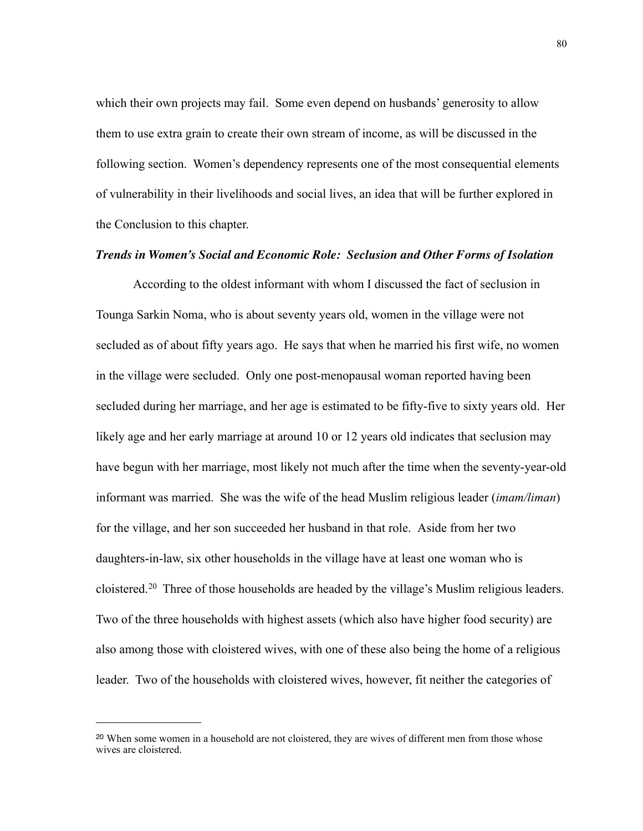which their own projects may fail. Some even depend on husbands' generosity to allow them to use extra grain to create their own stream of income, as will be discussed in the following section. Women's dependency represents one of the most consequential elements of vulnerability in their livelihoods and social lives, an idea that will be further explored in the Conclusion to this chapter.

# *Trends in Women's Social and Economic Role: Seclusion and Other Forms of Isolation*

 According to the oldest informant with whom I discussed the fact of seclusion in Tounga Sarkin Noma, who is about seventy years old, women in the village were not secluded as of about fifty years ago. He says that when he married his first wife, no women in the village were secluded. Only one post-menopausal woman reported having been secluded during her marriage, and her age is estimated to be fifty-five to sixty years old. Her likely age and her early marriage at around 10 or 12 years old indicates that seclusion may have begun with her marriage, most likely not much after the time when the seventy-year-old informant was married. She was the wife of the head Muslim religious leader (*imam/liman*) for the village, and her son succeeded her husband in that role. Aside from her two daughters-in-law, six other households in the village have at least one woman who is cloistered[.20](#page-87-0) Three of those households are headed by the village's Muslim religious leaders. Two of the three households with highest assets (which also have higher food security) are also among those with cloistered wives, with one of these also being the home of a religious leader. Two of the households with cloistered wives, however, fit neither the categories of

<span id="page-87-0"></span><sup>20</sup> When some women in a household are not cloistered, they are wives of different men from those whose wives are cloistered.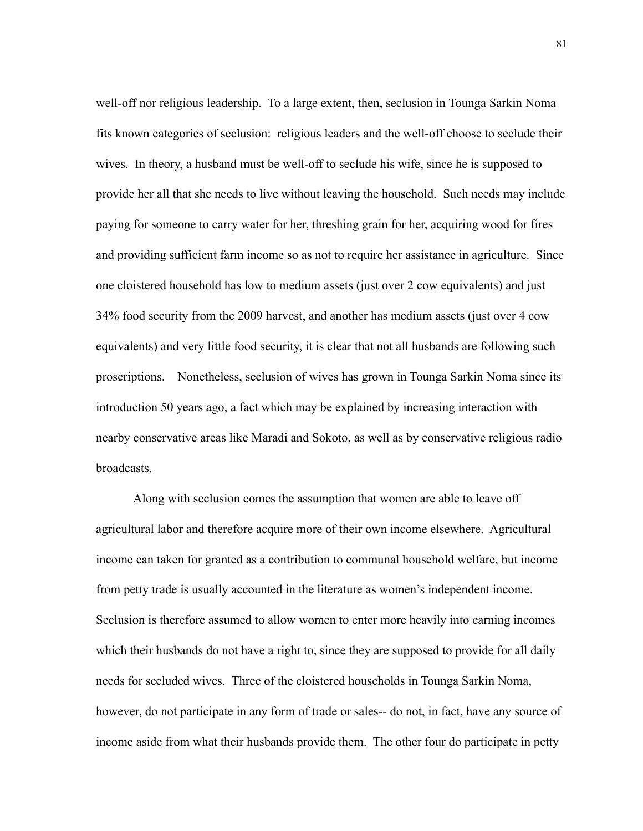well-off nor religious leadership. To a large extent, then, seclusion in Tounga Sarkin Noma fits known categories of seclusion: religious leaders and the well-off choose to seclude their wives. In theory, a husband must be well-off to seclude his wife, since he is supposed to provide her all that she needs to live without leaving the household. Such needs may include paying for someone to carry water for her, threshing grain for her, acquiring wood for fires and providing sufficient farm income so as not to require her assistance in agriculture. Since one cloistered household has low to medium assets (just over 2 cow equivalents) and just 34% food security from the 2009 harvest, and another has medium assets (just over 4 cow equivalents) and very little food security, it is clear that not all husbands are following such proscriptions. Nonetheless, seclusion of wives has grown in Tounga Sarkin Noma since its introduction 50 years ago, a fact which may be explained by increasing interaction with nearby conservative areas like Maradi and Sokoto, as well as by conservative religious radio broadcasts.

 Along with seclusion comes the assumption that women are able to leave off agricultural labor and therefore acquire more of their own income elsewhere. Agricultural income can taken for granted as a contribution to communal household welfare, but income from petty trade is usually accounted in the literature as women's independent income. Seclusion is therefore assumed to allow women to enter more heavily into earning incomes which their husbands do not have a right to, since they are supposed to provide for all daily needs for secluded wives. Three of the cloistered households in Tounga Sarkin Noma, however, do not participate in any form of trade or sales-- do not, in fact, have any source of income aside from what their husbands provide them. The other four do participate in petty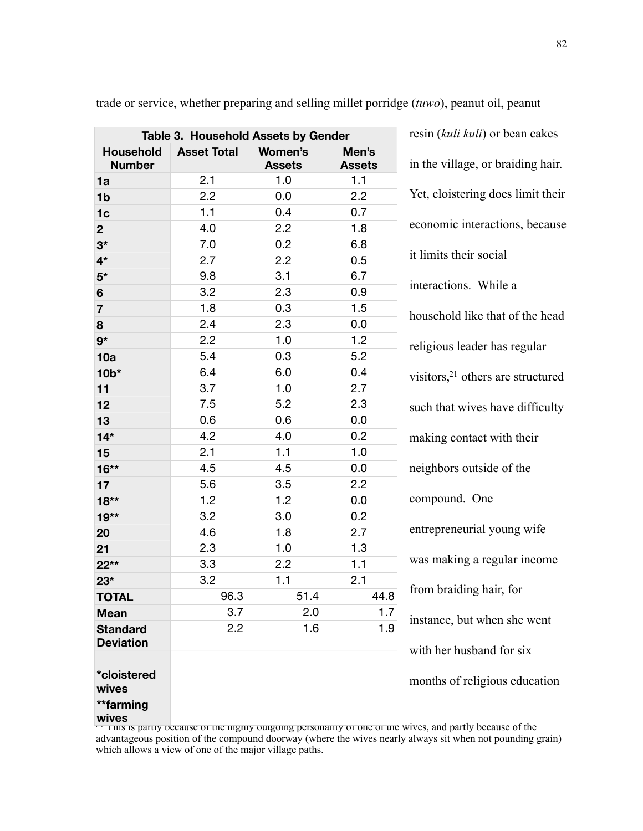| Table 3. Household Assets by Gender |                    |                                 |                        |
|-------------------------------------|--------------------|---------------------------------|------------------------|
| <b>Household</b><br><b>Number</b>   | <b>Asset Total</b> | <b>Women's</b><br><b>Assets</b> | Men's<br><b>Assets</b> |
| 1a                                  | 2.1                | 1.0                             | 1.1                    |
| 1 <sub>b</sub>                      | 2.2                | 0.0                             | 2.2                    |
| 1 <sub>c</sub>                      | 1.1                | 0.4                             | 0.7                    |
| $\overline{2}$                      | 4.0                | 2.2                             | 1.8                    |
| $3^{\star}$                         | 7.0                | 0.2                             | 6.8                    |
| $4*$                                | 2.7                | 2.2                             | 0.5                    |
| $5*$                                | 9.8                | 3.1                             | 6.7                    |
| 6                                   | 3.2                | 2.3                             | 0.9                    |
| $\overline{7}$                      | 1.8                | 0.3                             | 1.5                    |
| 8                                   | 2.4                | 2.3                             | 0.0                    |
| $9*$                                | 2.2                | 1.0                             | 1.2                    |
| 10a                                 | 5.4                | 0.3                             | 5.2                    |
| $10*$                               | 6.4                | 6.0                             | 0.4                    |
| 11                                  | 3.7                | 1.0                             | 2.7                    |
| 12                                  | 7.5                | 5.2                             | 2.3                    |
| 13                                  | 0.6                | 0.6                             | 0.0                    |
| $14*$                               | 4.2                | 4.0                             | 0.2                    |
| 15                                  | 2.1                | 1.1                             | 1.0                    |
| $16**$                              | 4.5                | 4.5                             | 0.0                    |
| 17                                  | 5.6                | 3.5                             | 2.2                    |
| $18**$                              | 1.2                | 1.2                             | 0.0                    |
| $19**$                              | 3.2                | 3.0                             | 0.2                    |
| 20                                  | 4.6                | 1.8                             | 2.7                    |
| 21                                  | 2.3                | 1.0                             | 1.3                    |
| $22**$                              | 3.3                | 2.2                             | 1.1                    |
| $23*$                               | 3.2                | 1.1                             | 2.1                    |
| <b>TOTAL</b>                        | 96.3               | 51.4                            | 44.8                   |
| <b>Mean</b>                         | 3.7                | 2.0                             | 1.7                    |
| <b>Standard</b><br><b>Deviation</b> | 2.2                | 1.6                             | 1.9                    |
| *cloistered<br>wives                |                    |                                 |                        |
| **farming                           |                    |                                 |                        |

trade or service, whether preparing and selling millet porridge (*tuwo*), peanut oil, peanut

in the village, or braiding hair. Yet, cloistering does limit their economic interactions, because it limits their social interactions. While a household like that of the head religious leader has regular visitors[,21](#page-89-0) others are structured such that wives have difficulty making contact with their neighbors outside of the compound. One entrepreneurial young wife was making a regular income from braiding hair, for instance, but when she went with her husband for six months of religious education

resin (*kuli kuli*) or bean cakes

<span id="page-89-0"></span>wives<br> $\epsilon_1$  inis is partly because of the highly outgoing personality of one of the wives, and partly because of the advantageous position of the compound doorway (where the wives nearly always sit when not pounding grain) which allows a view of one of the major village paths.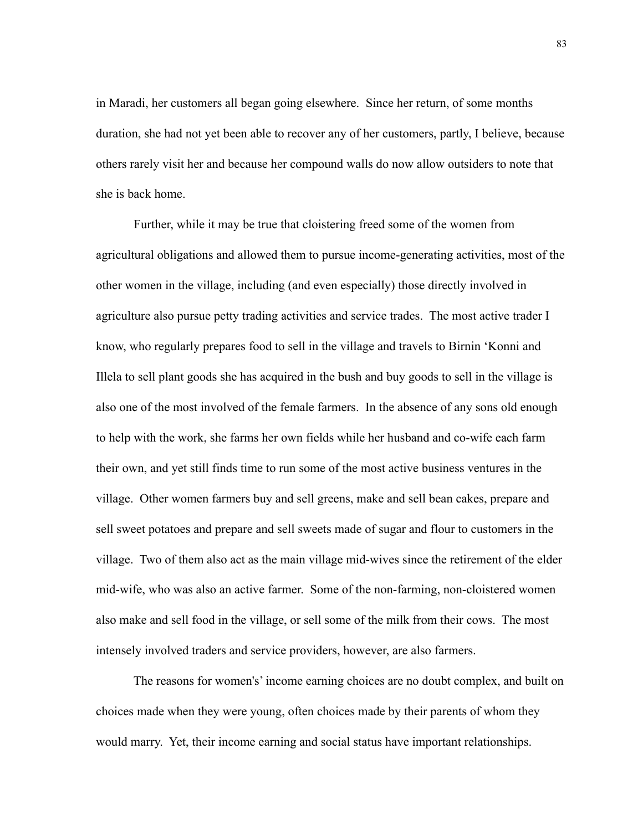in Maradi, her customers all began going elsewhere. Since her return, of some months duration, she had not yet been able to recover any of her customers, partly, I believe, because others rarely visit her and because her compound walls do now allow outsiders to note that she is back home.

 Further, while it may be true that cloistering freed some of the women from agricultural obligations and allowed them to pursue income-generating activities, most of the other women in the village, including (and even especially) those directly involved in agriculture also pursue petty trading activities and service trades. The most active trader I know, who regularly prepares food to sell in the village and travels to Birnin 'Konni and Illela to sell plant goods she has acquired in the bush and buy goods to sell in the village is also one of the most involved of the female farmers. In the absence of any sons old enough to help with the work, she farms her own fields while her husband and co-wife each farm their own, and yet still finds time to run some of the most active business ventures in the village. Other women farmers buy and sell greens, make and sell bean cakes, prepare and sell sweet potatoes and prepare and sell sweets made of sugar and flour to customers in the village. Two of them also act as the main village mid-wives since the retirement of the elder mid-wife, who was also an active farmer. Some of the non-farming, non-cloistered women also make and sell food in the village, or sell some of the milk from their cows. The most intensely involved traders and service providers, however, are also farmers.

 The reasons for women's' income earning choices are no doubt complex, and built on choices made when they were young, often choices made by their parents of whom they would marry. Yet, their income earning and social status have important relationships.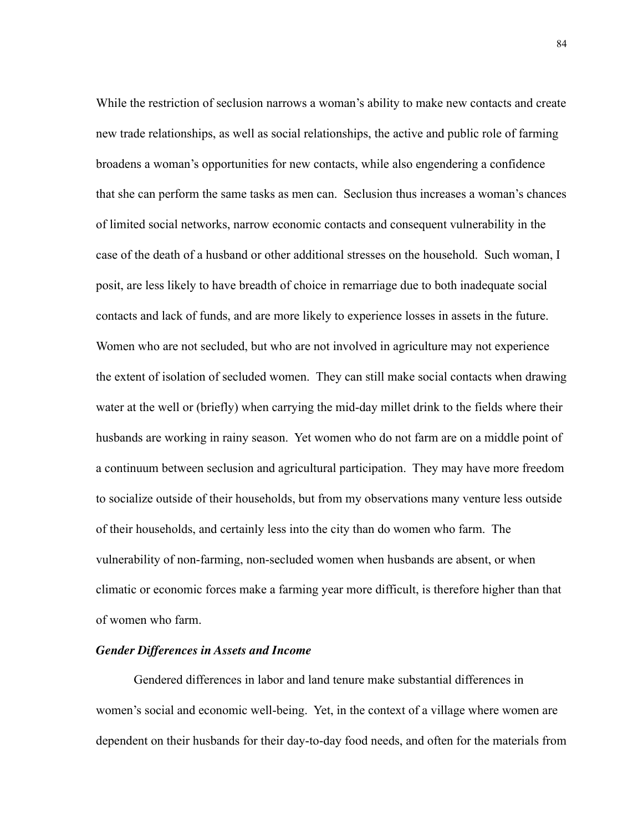While the restriction of seclusion narrows a woman's ability to make new contacts and create new trade relationships, as well as social relationships, the active and public role of farming broadens a woman's opportunities for new contacts, while also engendering a confidence that she can perform the same tasks as men can. Seclusion thus increases a woman's chances of limited social networks, narrow economic contacts and consequent vulnerability in the case of the death of a husband or other additional stresses on the household. Such woman, I posit, are less likely to have breadth of choice in remarriage due to both inadequate social contacts and lack of funds, and are more likely to experience losses in assets in the future. Women who are not secluded, but who are not involved in agriculture may not experience the extent of isolation of secluded women. They can still make social contacts when drawing water at the well or (briefly) when carrying the mid-day millet drink to the fields where their husbands are working in rainy season. Yet women who do not farm are on a middle point of a continuum between seclusion and agricultural participation. They may have more freedom to socialize outside of their households, but from my observations many venture less outside of their households, and certainly less into the city than do women who farm. The vulnerability of non-farming, non-secluded women when husbands are absent, or when climatic or economic forces make a farming year more difficult, is therefore higher than that of women who farm.

#### *Gender Differences in Assets and Income*

 Gendered differences in labor and land tenure make substantial differences in women's social and economic well-being. Yet, in the context of a village where women are dependent on their husbands for their day-to-day food needs, and often for the materials from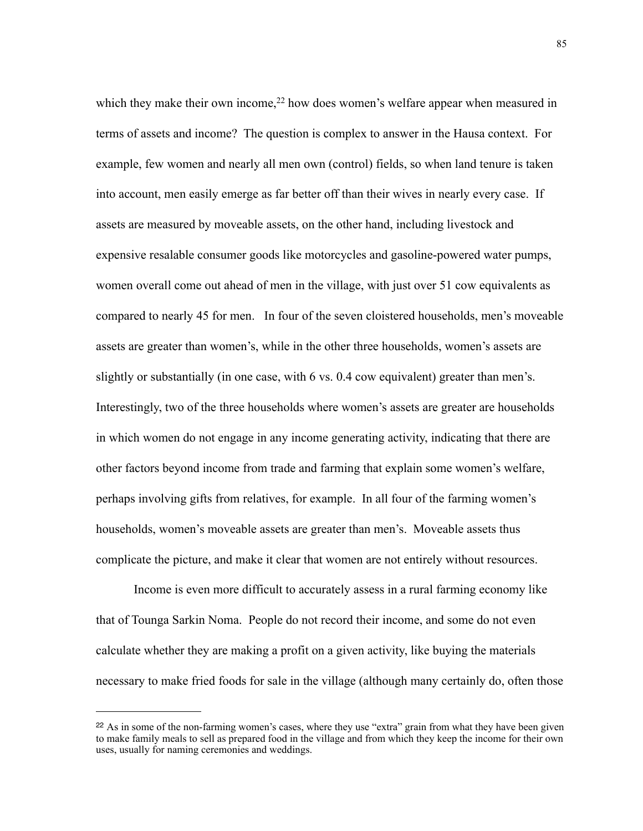which they make their own income,<sup>22</sup> how does women's welfare appear when measured in terms of assets and income? The question is complex to answer in the Hausa context. For example, few women and nearly all men own (control) fields, so when land tenure is taken into account, men easily emerge as far better off than their wives in nearly every case. If assets are measured by moveable assets, on the other hand, including livestock and expensive resalable consumer goods like motorcycles and gasoline-powered water pumps, women overall come out ahead of men in the village, with just over 51 cow equivalents as compared to nearly 45 for men. In four of the seven cloistered households, men's moveable assets are greater than women's, while in the other three households, women's assets are slightly or substantially (in one case, with 6 vs. 0.4 cow equivalent) greater than men's. Interestingly, two of the three households where women's assets are greater are households in which women do not engage in any income generating activity, indicating that there are other factors beyond income from trade and farming that explain some women's welfare, perhaps involving gifts from relatives, for example. In all four of the farming women's households, women's moveable assets are greater than men's. Moveable assets thus complicate the picture, and make it clear that women are not entirely without resources.

 Income is even more difficult to accurately assess in a rural farming economy like that of Tounga Sarkin Noma. People do not record their income, and some do not even calculate whether they are making a profit on a given activity, like buying the materials necessary to make fried foods for sale in the village (although many certainly do, often those

<span id="page-92-0"></span><sup>&</sup>lt;sup>22</sup> As in some of the non-farming women's cases, where they use "extra" grain from what they have been given to make family meals to sell as prepared food in the village and from which they keep the income for their own uses, usually for naming ceremonies and weddings.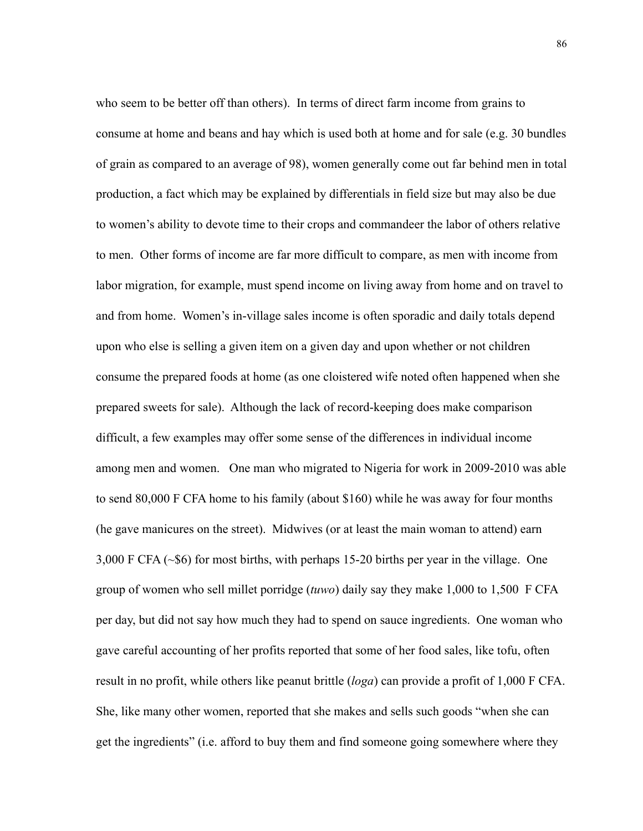who seem to be better off than others). In terms of direct farm income from grains to consume at home and beans and hay which is used both at home and for sale (e.g. 30 bundles of grain as compared to an average of 98), women generally come out far behind men in total production, a fact which may be explained by differentials in field size but may also be due to women's ability to devote time to their crops and commandeer the labor of others relative to men. Other forms of income are far more difficult to compare, as men with income from labor migration, for example, must spend income on living away from home and on travel to and from home. Women's in-village sales income is often sporadic and daily totals depend upon who else is selling a given item on a given day and upon whether or not children consume the prepared foods at home (as one cloistered wife noted often happened when she prepared sweets for sale). Although the lack of record-keeping does make comparison difficult, a few examples may offer some sense of the differences in individual income among men and women. One man who migrated to Nigeria for work in 2009-2010 was able to send 80,000 F CFA home to his family (about \$160) while he was away for four months (he gave manicures on the street). Midwives (or at least the main woman to attend) earn 3,000 F CFA (~\$6) for most births, with perhaps 15-20 births per year in the village. One group of women who sell millet porridge (*tuwo*) daily say they make 1,000 to 1,500 F CFA per day, but did not say how much they had to spend on sauce ingredients. One woman who gave careful accounting of her profits reported that some of her food sales, like tofu, often result in no profit, while others like peanut brittle (*loga*) can provide a profit of 1,000 F CFA. She, like many other women, reported that she makes and sells such goods "when she can get the ingredients" (i.e. afford to buy them and find someone going somewhere where they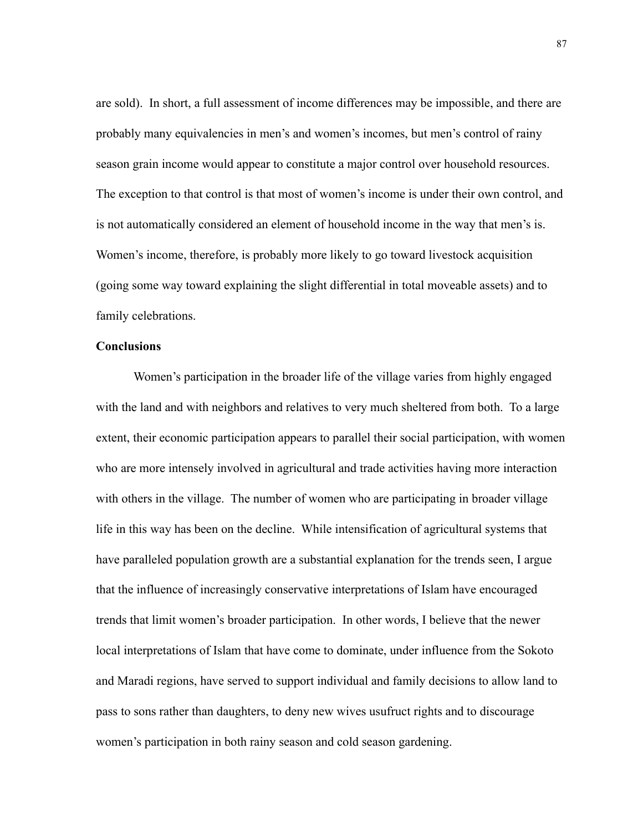are sold). In short, a full assessment of income differences may be impossible, and there are probably many equivalencies in men's and women's incomes, but men's control of rainy season grain income would appear to constitute a major control over household resources. The exception to that control is that most of women's income is under their own control, and is not automatically considered an element of household income in the way that men's is. Women's income, therefore, is probably more likely to go toward livestock acquisition (going some way toward explaining the slight differential in total moveable assets) and to family celebrations.

# **Conclusions**

 Women's participation in the broader life of the village varies from highly engaged with the land and with neighbors and relatives to very much sheltered from both. To a large extent, their economic participation appears to parallel their social participation, with women who are more intensely involved in agricultural and trade activities having more interaction with others in the village. The number of women who are participating in broader village life in this way has been on the decline. While intensification of agricultural systems that have paralleled population growth are a substantial explanation for the trends seen, I argue that the influence of increasingly conservative interpretations of Islam have encouraged trends that limit women's broader participation. In other words, I believe that the newer local interpretations of Islam that have come to dominate, under influence from the Sokoto and Maradi regions, have served to support individual and family decisions to allow land to pass to sons rather than daughters, to deny new wives usufruct rights and to discourage women's participation in both rainy season and cold season gardening.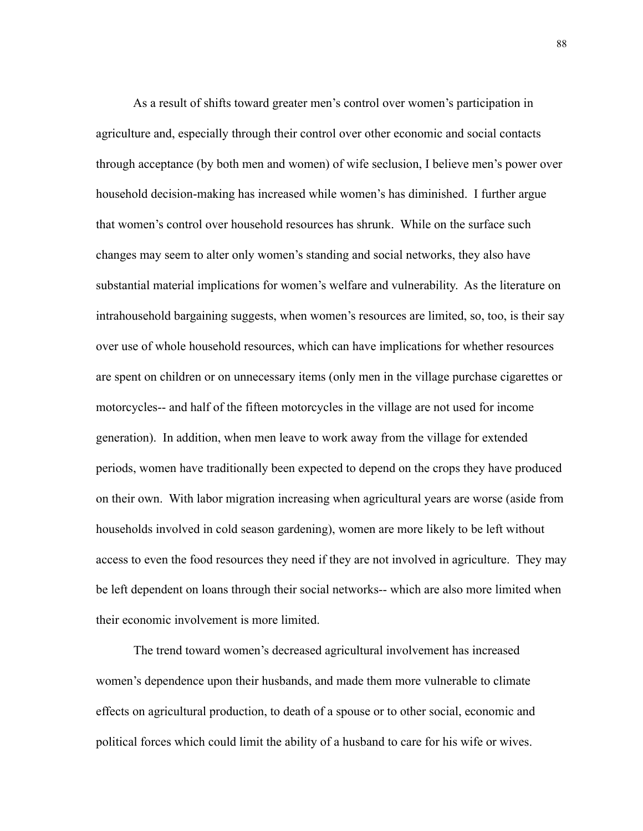As a result of shifts toward greater men's control over women's participation in agriculture and, especially through their control over other economic and social contacts through acceptance (by both men and women) of wife seclusion, I believe men's power over household decision-making has increased while women's has diminished. I further argue that women's control over household resources has shrunk. While on the surface such changes may seem to alter only women's standing and social networks, they also have substantial material implications for women's welfare and vulnerability. As the literature on intrahousehold bargaining suggests, when women's resources are limited, so, too, is their say over use of whole household resources, which can have implications for whether resources are spent on children or on unnecessary items (only men in the village purchase cigarettes or motorcycles-- and half of the fifteen motorcycles in the village are not used for income generation). In addition, when men leave to work away from the village for extended periods, women have traditionally been expected to depend on the crops they have produced on their own. With labor migration increasing when agricultural years are worse (aside from households involved in cold season gardening), women are more likely to be left without access to even the food resources they need if they are not involved in agriculture. They may be left dependent on loans through their social networks-- which are also more limited when their economic involvement is more limited.

 The trend toward women's decreased agricultural involvement has increased women's dependence upon their husbands, and made them more vulnerable to climate effects on agricultural production, to death of a spouse or to other social, economic and political forces which could limit the ability of a husband to care for his wife or wives.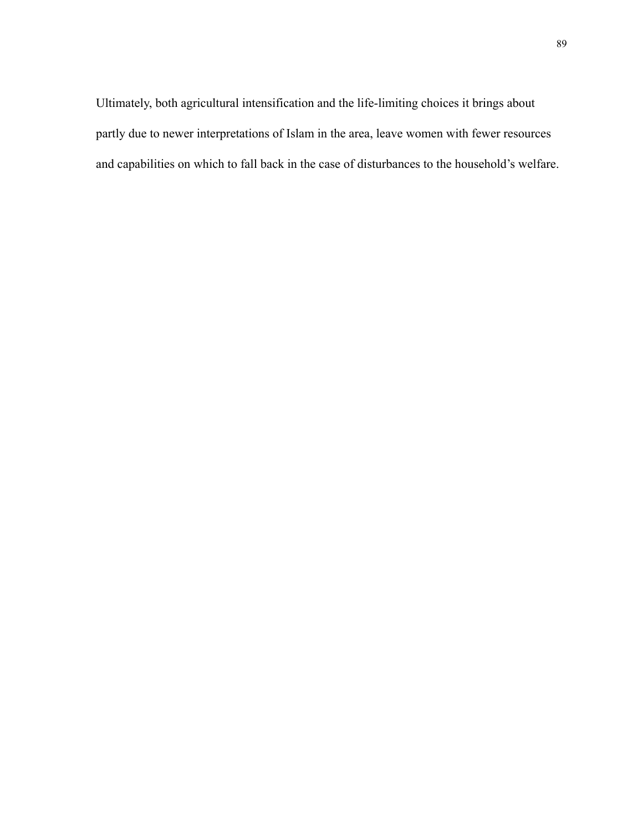Ultimately, both agricultural intensification and the life-limiting choices it brings about partly due to newer interpretations of Islam in the area, leave women with fewer resources and capabilities on which to fall back in the case of disturbances to the household's welfare.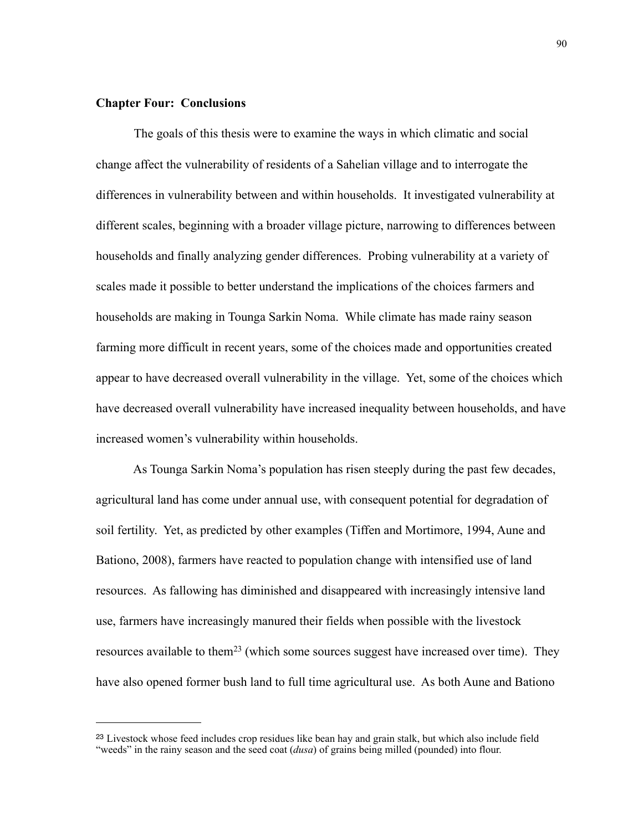## **Chapter Four: Conclusions**

The goals of this thesis were to examine the ways in which climatic and social change affect the vulnerability of residents of a Sahelian village and to interrogate the differences in vulnerability between and within households. It investigated vulnerability at different scales, beginning with a broader village picture, narrowing to differences between households and finally analyzing gender differences. Probing vulnerability at a variety of scales made it possible to better understand the implications of the choices farmers and households are making in Tounga Sarkin Noma. While climate has made rainy season farming more difficult in recent years, some of the choices made and opportunities created appear to have decreased overall vulnerability in the village. Yet, some of the choices which have decreased overall vulnerability have increased inequality between households, and have increased women's vulnerability within households.

 As Tounga Sarkin Noma's population has risen steeply during the past few decades, agricultural land has come under annual use, with consequent potential for degradation of soil fertility. Yet, as predicted by other examples (Tiffen and Mortimore, 1994, Aune and Bationo, 2008), farmers have reacted to population change with intensified use of land resources. As fallowing has diminished and disappeared with increasingly intensive land use, farmers have increasingly manured their fields when possible with the livestock resources available to them<sup>23</sup> (which some sources suggest have increased over time). They have also opened former bush land to full time agricultural use. As both Aune and Bationo

<span id="page-97-0"></span><sup>23</sup> Livestock whose feed includes crop residues like bean hay and grain stalk, but which also include field "weeds" in the rainy season and the seed coat (*dusa*) of grains being milled (pounded) into flour.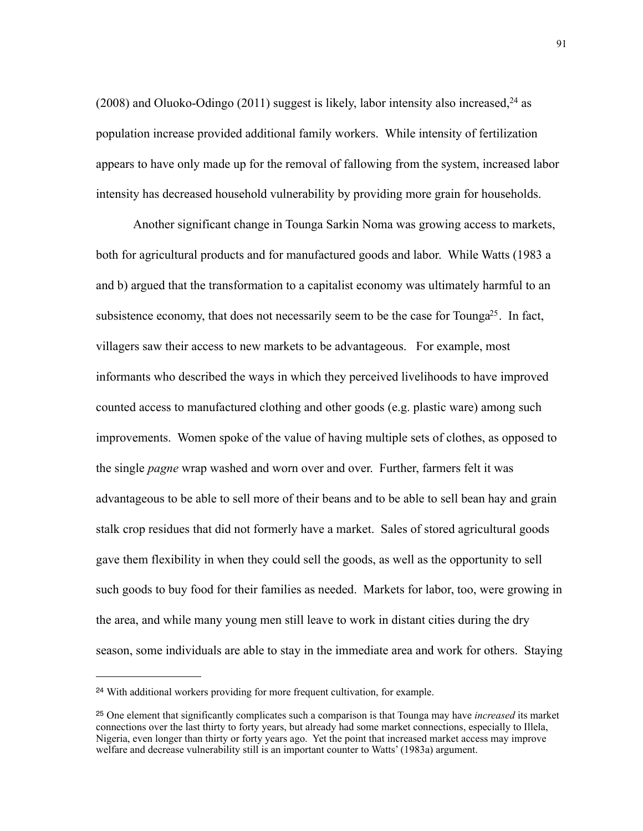(2008) and Oluoko-Odingo (2011) suggest is likely, labor intensity also increased,  $24$  as population increase provided additional family workers. While intensity of fertilization appears to have only made up for the removal of fallowing from the system, increased labor intensity has decreased household vulnerability by providing more grain for households.

 Another significant change in Tounga Sarkin Noma was growing access to markets, both for agricultural products and for manufactured goods and labor. While Watts (1983 a and b) argued that the transformation to a capitalist economy was ultimately harmful to an subsistence economy, that does not necessarily seem to be the case for Tounga<sup>25</sup>. In fact, villagers saw their access to new markets to be advantageous. For example, most informants who described the ways in which they perceived livelihoods to have improved counted access to manufactured clothing and other goods (e.g. plastic ware) among such improvements. Women spoke of the value of having multiple sets of clothes, as opposed to the single *pagne* wrap washed and worn over and over. Further, farmers felt it was advantageous to be able to sell more of their beans and to be able to sell bean hay and grain stalk crop residues that did not formerly have a market. Sales of stored agricultural goods gave them flexibility in when they could sell the goods, as well as the opportunity to sell such goods to buy food for their families as needed. Markets for labor, too, were growing in the area, and while many young men still leave to work in distant cities during the dry season, some individuals are able to stay in the immediate area and work for others. Staying

<span id="page-98-0"></span><sup>24</sup> With additional workers providing for more frequent cultivation, for example.

<span id="page-98-1"></span><sup>25</sup> One element that significantly complicates such a comparison is that Tounga may have *increased* its market connections over the last thirty to forty years, but already had some market connections, especially to Illela, Nigeria, even longer than thirty or forty years ago. Yet the point that increased market access may improve welfare and decrease vulnerability still is an important counter to Watts' (1983a) argument.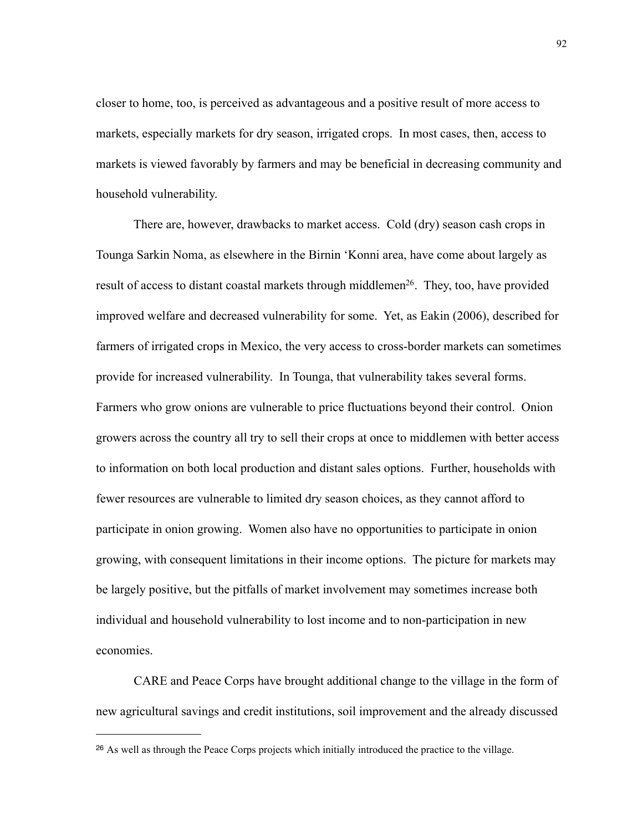closer to home, too, is perceived as advantageous and a positive result of more access to markets, especially markets for dry season, irrigated crops. In most cases, then, access to markets is viewed favorably by farmers and may be beneficial in decreasing community and household vulnerability.

 There are, however, drawbacks to market access. Cold (dry) season cash crops in Tounga Sarkin Noma, as elsewhere in the Birnin 'Konni area, have come about largely as result of access to distant coastal markets through middlemen<sup>26</sup>. They, too, have provided improved welfare and decreased vulnerability for some. Yet, as Eakin (2006), described for farmers of irrigated crops in Mexico, the very access to cross-border markets can sometimes provide for increased vulnerability. In Tounga, that vulnerability takes several forms. Farmers who grow onions are vulnerable to price fluctuations beyond their control. Onion growers across the country all try to sell their crops at once to middlemen with better access to information on both local production and distant sales options. Further, households with fewer resources are vulnerable to limited dry season choices, as they cannot afford to participate in onion growing. Women also have no opportunities to participate in onion growing, with consequent limitations in their income options. The picture for markets may be largely positive, but the pitfalls of market involvement may sometimes increase both individual and household vulnerability to lost income and to non-participation in new economies.

 CARE and Peace Corps have brought additional change to the village in the form of new agricultural savings and credit institutions, soil improvement and the already discussed

<span id="page-99-0"></span><sup>26</sup> As well as through the Peace Corps projects which initially introduced the practice to the village.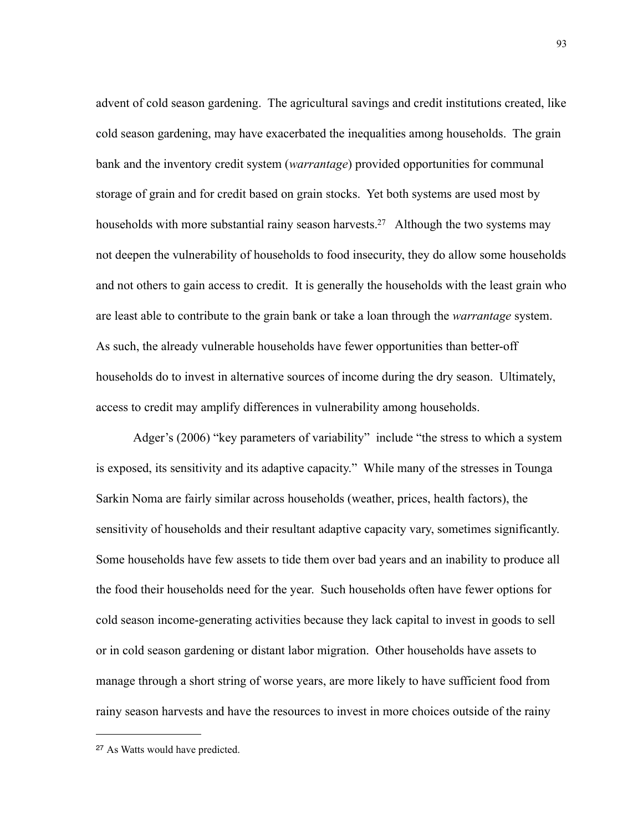advent of cold season gardening. The agricultural savings and credit institutions created, like cold season gardening, may have exacerbated the inequalities among households. The grain bank and the inventory credit system (*warrantage*) provided opportunities for communal storage of grain and for credit based on grain stocks. Yet both systems are used most by households with more substantial rainy season harvests.<sup>27</sup> Although the two systems may not deepen the vulnerability of households to food insecurity, they do allow some households and not others to gain access to credit. It is generally the households with the least grain who are least able to contribute to the grain bank or take a loan through the *warrantage* system. As such, the already vulnerable households have fewer opportunities than better-off households do to invest in alternative sources of income during the dry season. Ultimately, access to credit may amplify differences in vulnerability among households.

 Adger's (2006) "key parameters of variability" include "the stress to which a system is exposed, its sensitivity and its adaptive capacity." While many of the stresses in Tounga Sarkin Noma are fairly similar across households (weather, prices, health factors), the sensitivity of households and their resultant adaptive capacity vary, sometimes significantly. Some households have few assets to tide them over bad years and an inability to produce all the food their households need for the year. Such households often have fewer options for cold season income-generating activities because they lack capital to invest in goods to sell or in cold season gardening or distant labor migration. Other households have assets to manage through a short string of worse years, are more likely to have sufficient food from rainy season harvests and have the resources to invest in more choices outside of the rainy

<span id="page-100-0"></span><sup>27</sup> As Watts would have predicted.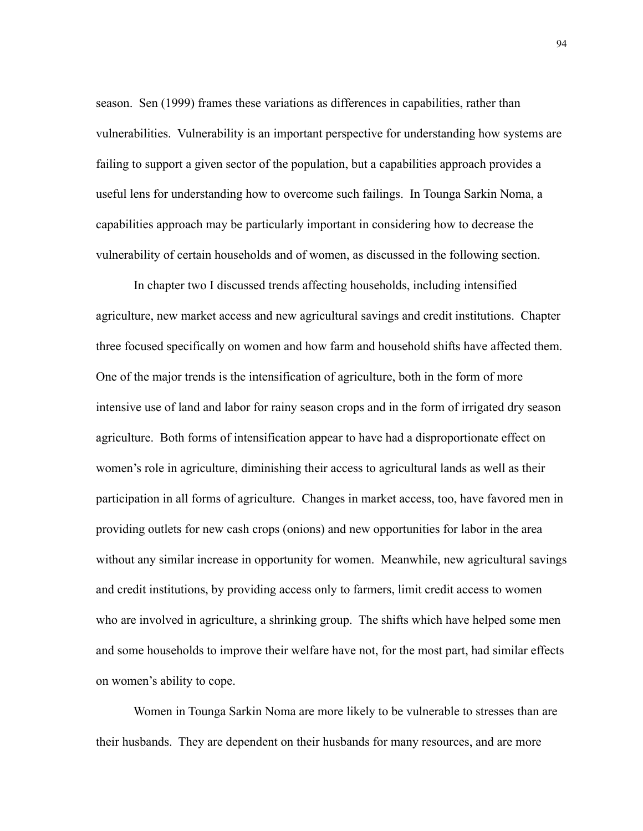season. Sen (1999) frames these variations as differences in capabilities, rather than vulnerabilities. Vulnerability is an important perspective for understanding how systems are failing to support a given sector of the population, but a capabilities approach provides a useful lens for understanding how to overcome such failings. In Tounga Sarkin Noma, a capabilities approach may be particularly important in considering how to decrease the vulnerability of certain households and of women, as discussed in the following section.

 In chapter two I discussed trends affecting households, including intensified agriculture, new market access and new agricultural savings and credit institutions. Chapter three focused specifically on women and how farm and household shifts have affected them. One of the major trends is the intensification of agriculture, both in the form of more intensive use of land and labor for rainy season crops and in the form of irrigated dry season agriculture. Both forms of intensification appear to have had a disproportionate effect on women's role in agriculture, diminishing their access to agricultural lands as well as their participation in all forms of agriculture. Changes in market access, too, have favored men in providing outlets for new cash crops (onions) and new opportunities for labor in the area without any similar increase in opportunity for women. Meanwhile, new agricultural savings and credit institutions, by providing access only to farmers, limit credit access to women who are involved in agriculture, a shrinking group. The shifts which have helped some men and some households to improve their welfare have not, for the most part, had similar effects on women's ability to cope.

 Women in Tounga Sarkin Noma are more likely to be vulnerable to stresses than are their husbands. They are dependent on their husbands for many resources, and are more

94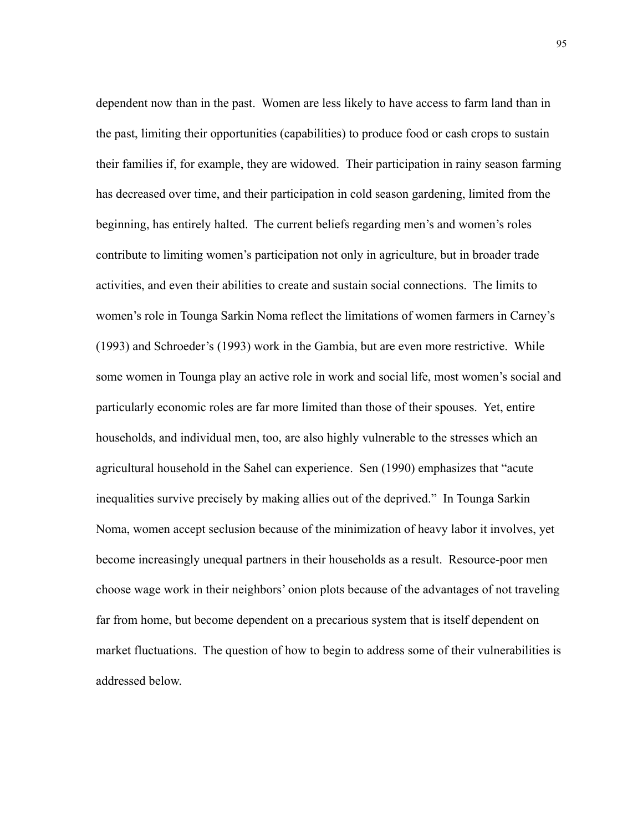dependent now than in the past. Women are less likely to have access to farm land than in the past, limiting their opportunities (capabilities) to produce food or cash crops to sustain their families if, for example, they are widowed. Their participation in rainy season farming has decreased over time, and their participation in cold season gardening, limited from the beginning, has entirely halted. The current beliefs regarding men's and women's roles contribute to limiting women's participation not only in agriculture, but in broader trade activities, and even their abilities to create and sustain social connections. The limits to women's role in Tounga Sarkin Noma reflect the limitations of women farmers in Carney's (1993) and Schroeder's (1993) work in the Gambia, but are even more restrictive. While some women in Tounga play an active role in work and social life, most women's social and particularly economic roles are far more limited than those of their spouses. Yet, entire households, and individual men, too, are also highly vulnerable to the stresses which an agricultural household in the Sahel can experience. Sen (1990) emphasizes that "acute inequalities survive precisely by making allies out of the deprived." In Tounga Sarkin Noma, women accept seclusion because of the minimization of heavy labor it involves, yet become increasingly unequal partners in their households as a result. Resource-poor men choose wage work in their neighbors' onion plots because of the advantages of not traveling far from home, but become dependent on a precarious system that is itself dependent on market fluctuations. The question of how to begin to address some of their vulnerabilities is addressed below.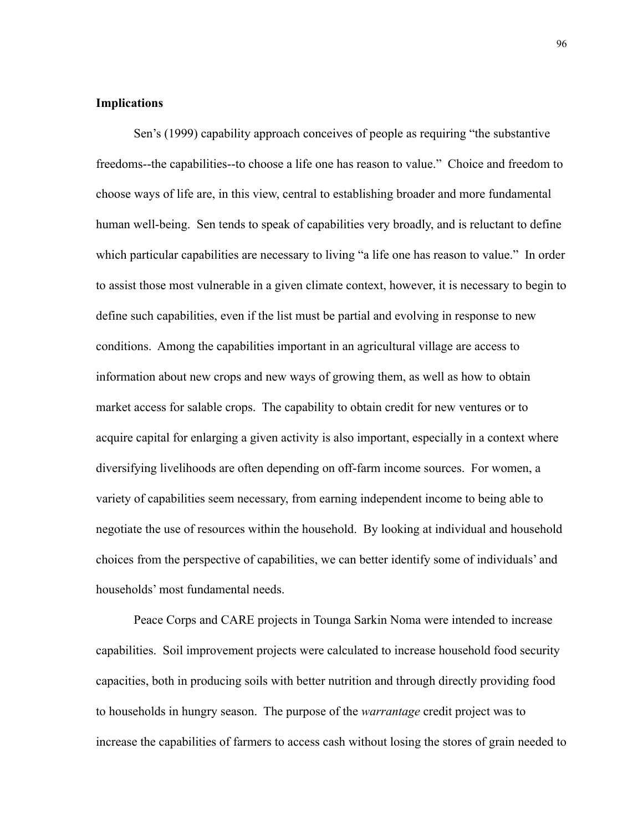## **Implications**

Sen's (1999) capability approach conceives of people as requiring "the substantive freedoms--the capabilities--to choose a life one has reason to value." Choice and freedom to choose ways of life are, in this view, central to establishing broader and more fundamental human well-being. Sen tends to speak of capabilities very broadly, and is reluctant to define which particular capabilities are necessary to living "a life one has reason to value." In order to assist those most vulnerable in a given climate context, however, it is necessary to begin to define such capabilities, even if the list must be partial and evolving in response to new conditions. Among the capabilities important in an agricultural village are access to information about new crops and new ways of growing them, as well as how to obtain market access for salable crops. The capability to obtain credit for new ventures or to acquire capital for enlarging a given activity is also important, especially in a context where diversifying livelihoods are often depending on off-farm income sources. For women, a variety of capabilities seem necessary, from earning independent income to being able to negotiate the use of resources within the household. By looking at individual and household choices from the perspective of capabilities, we can better identify some of individuals' and households' most fundamental needs.

 Peace Corps and CARE projects in Tounga Sarkin Noma were intended to increase capabilities. Soil improvement projects were calculated to increase household food security capacities, both in producing soils with better nutrition and through directly providing food to households in hungry season. The purpose of the *warrantage* credit project was to increase the capabilities of farmers to access cash without losing the stores of grain needed to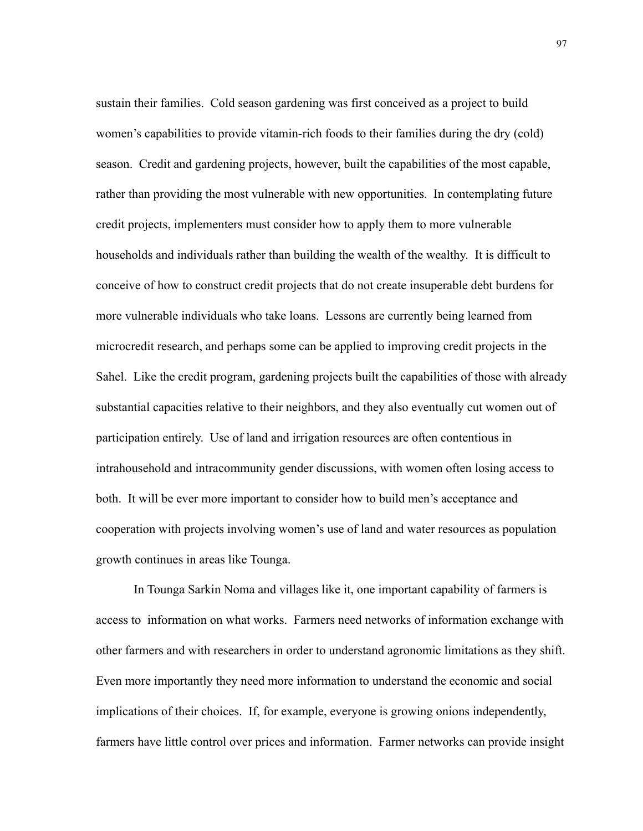sustain their families. Cold season gardening was first conceived as a project to build women's capabilities to provide vitamin-rich foods to their families during the dry (cold) season. Credit and gardening projects, however, built the capabilities of the most capable, rather than providing the most vulnerable with new opportunities. In contemplating future credit projects, implementers must consider how to apply them to more vulnerable households and individuals rather than building the wealth of the wealthy. It is difficult to conceive of how to construct credit projects that do not create insuperable debt burdens for more vulnerable individuals who take loans. Lessons are currently being learned from microcredit research, and perhaps some can be applied to improving credit projects in the Sahel. Like the credit program, gardening projects built the capabilities of those with already substantial capacities relative to their neighbors, and they also eventually cut women out of participation entirely. Use of land and irrigation resources are often contentious in intrahousehold and intracommunity gender discussions, with women often losing access to both. It will be ever more important to consider how to build men's acceptance and cooperation with projects involving women's use of land and water resources as population growth continues in areas like Tounga.

In Tounga Sarkin Noma and villages like it, one important capability of farmers is access to information on what works. Farmers need networks of information exchange with other farmers and with researchers in order to understand agronomic limitations as they shift. Even more importantly they need more information to understand the economic and social implications of their choices. If, for example, everyone is growing onions independently, farmers have little control over prices and information. Farmer networks can provide insight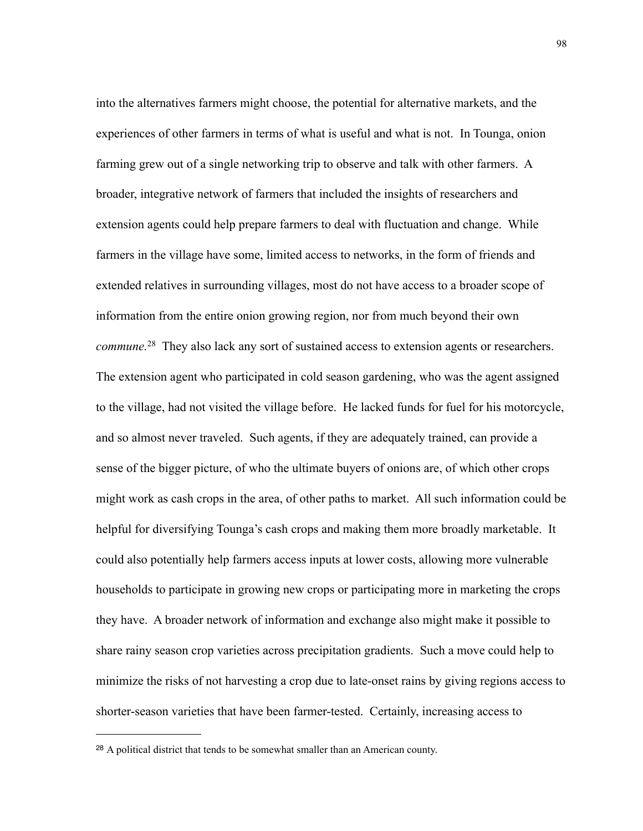into the alternatives farmers might choose, the potential for alternative markets, and the experiences of other farmers in terms of what is useful and what is not. In Tounga, onion farming grew out of a single networking trip to observe and talk with other farmers. A broader, integrative network of farmers that included the insights of researchers and extension agents could help prepare farmers to deal with fluctuation and change. While farmers in the village have some, limited access to networks, in the form of friends and extended relatives in surrounding villages, most do not have access to a broader scope of information from the entire onion growing region, nor from much beyond their own *commune.*[28](#page-105-0) They also lack any sort of sustained access to extension agents or researchers. The extension agent who participated in cold season gardening, who was the agent assigned to the village, had not visited the village before. He lacked funds for fuel for his motorcycle, and so almost never traveled. Such agents, if they are adequately trained, can provide a sense of the bigger picture, of who the ultimate buyers of onions are, of which other crops might work as cash crops in the area, of other paths to market. All such information could be helpful for diversifying Tounga's cash crops and making them more broadly marketable. It could also potentially help farmers access inputs at lower costs, allowing more vulnerable households to participate in growing new crops or participating more in marketing the crops they have. A broader network of information and exchange also might make it possible to share rainy season crop varieties across precipitation gradients. Such a move could help to minimize the risks of not harvesting a crop due to late-onset rains by giving regions access to shorter-season varieties that have been farmer-tested. Certainly, increasing access to

<span id="page-105-0"></span><sup>28</sup> A political district that tends to be somewhat smaller than an American county.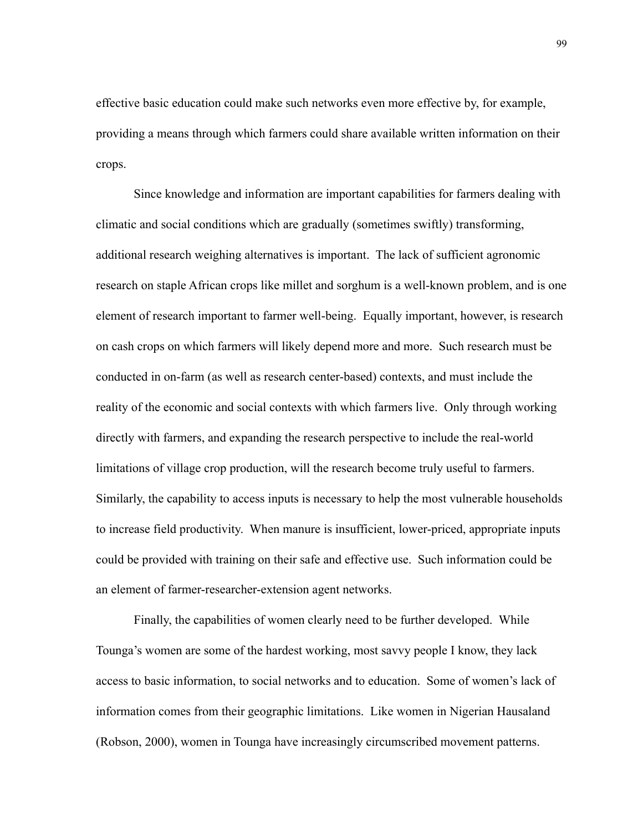effective basic education could make such networks even more effective by, for example, providing a means through which farmers could share available written information on their crops.

 Since knowledge and information are important capabilities for farmers dealing with climatic and social conditions which are gradually (sometimes swiftly) transforming, additional research weighing alternatives is important. The lack of sufficient agronomic research on staple African crops like millet and sorghum is a well-known problem, and is one element of research important to farmer well-being. Equally important, however, is research on cash crops on which farmers will likely depend more and more. Such research must be conducted in on-farm (as well as research center-based) contexts, and must include the reality of the economic and social contexts with which farmers live. Only through working directly with farmers, and expanding the research perspective to include the real-world limitations of village crop production, will the research become truly useful to farmers. Similarly, the capability to access inputs is necessary to help the most vulnerable households to increase field productivity. When manure is insufficient, lower-priced, appropriate inputs could be provided with training on their safe and effective use. Such information could be an element of farmer-researcher-extension agent networks.

 Finally, the capabilities of women clearly need to be further developed. While Tounga's women are some of the hardest working, most savvy people I know, they lack access to basic information, to social networks and to education. Some of women's lack of information comes from their geographic limitations. Like women in Nigerian Hausaland (Robson, 2000), women in Tounga have increasingly circumscribed movement patterns.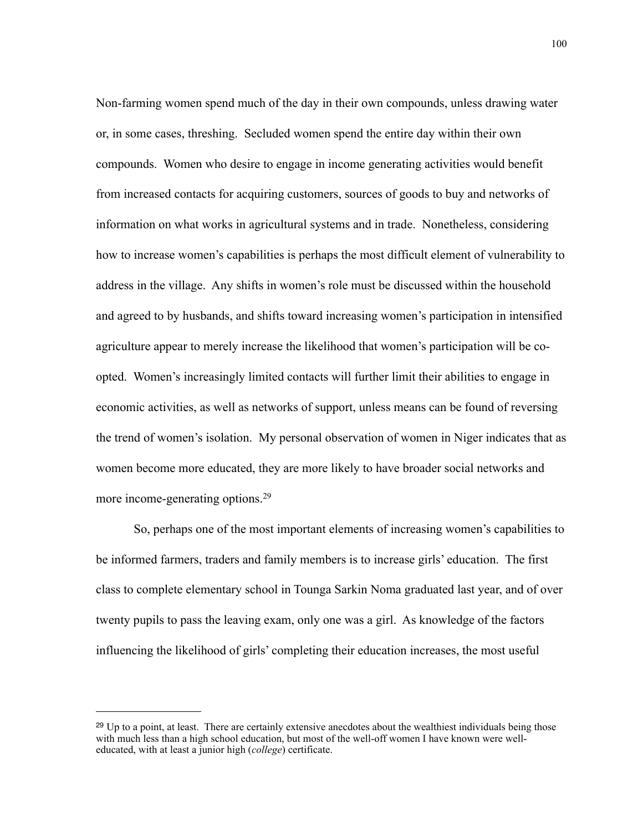Non-farming women spend much of the day in their own compounds, unless drawing water or, in some cases, threshing. Secluded women spend the entire day within their own compounds. Women who desire to engage in income generating activities would benefit from increased contacts for acquiring customers, sources of goods to buy and networks of information on what works in agricultural systems and in trade. Nonetheless, considering how to increase women's capabilities is perhaps the most difficult element of vulnerability to address in the village. Any shifts in women's role must be discussed within the household and agreed to by husbands, and shifts toward increasing women's participation in intensified agriculture appear to merely increase the likelihood that women's participation will be coopted. Women's increasingly limited contacts will further limit their abilities to engage in economic activities, as well as networks of support, unless means can be found of reversing the trend of women's isolation. My personal observation of women in Niger indicates that as women become more educated, they are more likely to have broader social networks and more income-generating options[.29](#page-107-0)

 So, perhaps one of the most important elements of increasing women's capabilities to be informed farmers, traders and family members is to increase girls' education. The first class to complete elementary school in Tounga Sarkin Noma graduated last year, and of over twenty pupils to pass the leaving exam, only one was a girl. As knowledge of the factors influencing the likelihood of girls' completing their education increases, the most useful

<span id="page-107-0"></span><sup>&</sup>lt;sup>29</sup> Up to a point, at least. There are certainly extensive anecdotes about the wealthiest individuals being those with much less than a high school education, but most of the well-off women I have known were welleducated, with at least a junior high (*college*) certificate.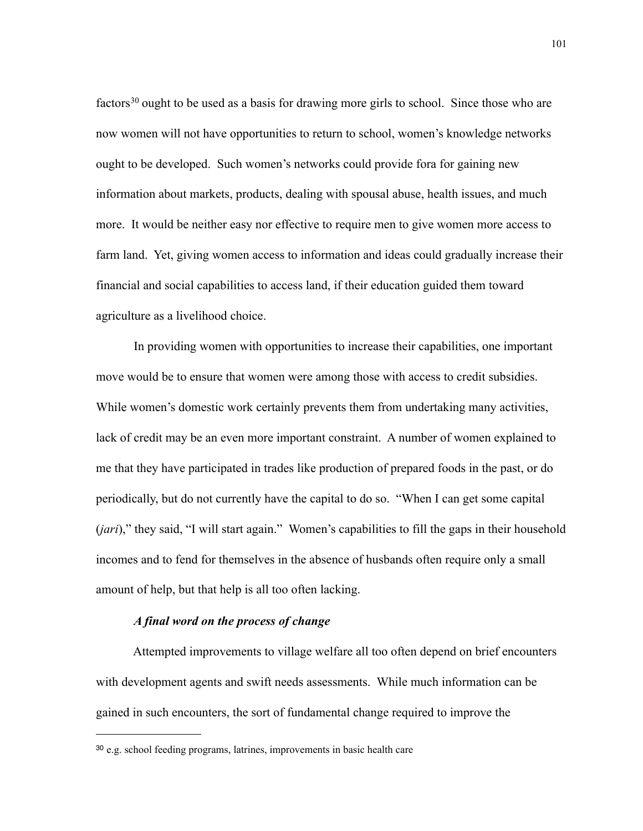factors<sup>30</sup> ought to be used as a basis for drawing more girls to school. Since those who are now women will not have opportunities to return to school, women's knowledge networks ought to be developed. Such women's networks could provide fora for gaining new information about markets, products, dealing with spousal abuse, health issues, and much more. It would be neither easy nor effective to require men to give women more access to farm land. Yet, giving women access to information and ideas could gradually increase their financial and social capabilities to access land, if their education guided them toward agriculture as a livelihood choice.

 In providing women with opportunities to increase their capabilities, one important move would be to ensure that women were among those with access to credit subsidies. While women's domestic work certainly prevents them from undertaking many activities, lack of credit may be an even more important constraint. A number of women explained to me that they have participated in trades like production of prepared foods in the past, or do periodically, but do not currently have the capital to do so. "When I can get some capital (*jari*)," they said, "I will start again." Women's capabilities to fill the gaps in their household incomes and to fend for themselves in the absence of husbands often require only a small amount of help, but that help is all too often lacking.

## *A final word on the process of change*

 Attempted improvements to village welfare all too often depend on brief encounters with development agents and swift needs assessments. While much information can be gained in such encounters, the sort of fundamental change required to improve the

<span id="page-108-0"></span><sup>30</sup> e.g. school feeding programs, latrines, improvements in basic health care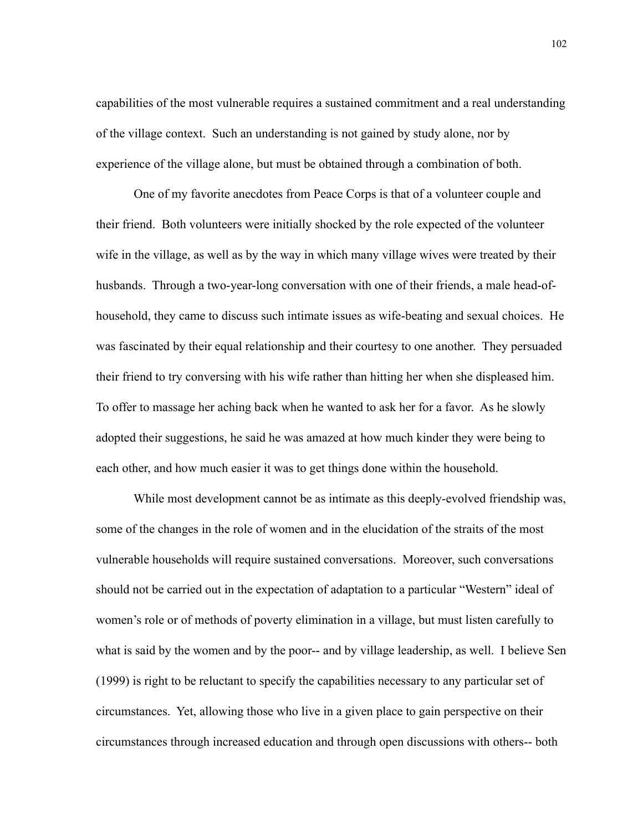capabilities of the most vulnerable requires a sustained commitment and a real understanding of the village context. Such an understanding is not gained by study alone, nor by experience of the village alone, but must be obtained through a combination of both.

 One of my favorite anecdotes from Peace Corps is that of a volunteer couple and their friend. Both volunteers were initially shocked by the role expected of the volunteer wife in the village, as well as by the way in which many village wives were treated by their husbands. Through a two-year-long conversation with one of their friends, a male head-ofhousehold, they came to discuss such intimate issues as wife-beating and sexual choices. He was fascinated by their equal relationship and their courtesy to one another. They persuaded their friend to try conversing with his wife rather than hitting her when she displeased him. To offer to massage her aching back when he wanted to ask her for a favor. As he slowly adopted their suggestions, he said he was amazed at how much kinder they were being to each other, and how much easier it was to get things done within the household.

 While most development cannot be as intimate as this deeply-evolved friendship was, some of the changes in the role of women and in the elucidation of the straits of the most vulnerable households will require sustained conversations. Moreover, such conversations should not be carried out in the expectation of adaptation to a particular "Western" ideal of women's role or of methods of poverty elimination in a village, but must listen carefully to what is said by the women and by the poor-- and by village leadership, as well. I believe Sen (1999) is right to be reluctant to specify the capabilities necessary to any particular set of circumstances. Yet, allowing those who live in a given place to gain perspective on their circumstances through increased education and through open discussions with others-- both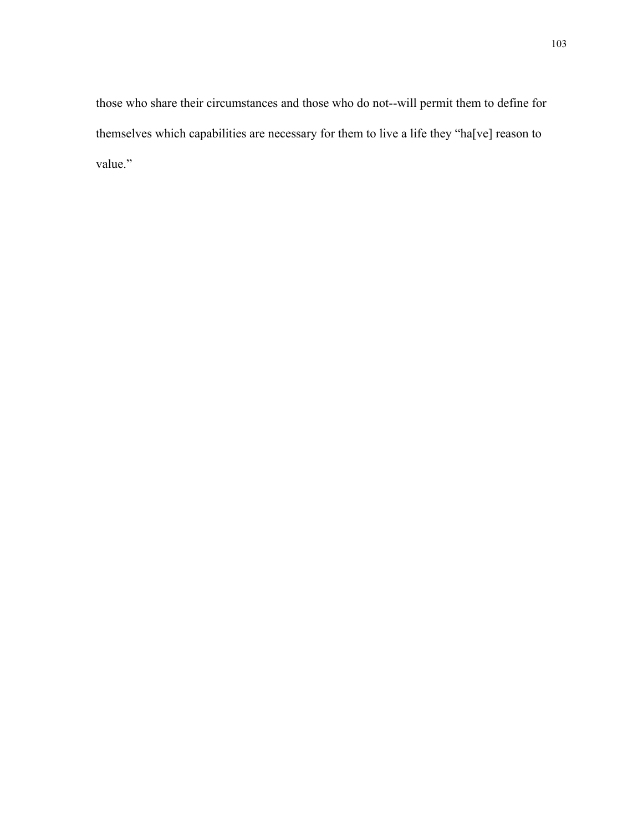those who share their circumstances and those who do not--will permit them to define for themselves which capabilities are necessary for them to live a life they "ha[ve] reason to value."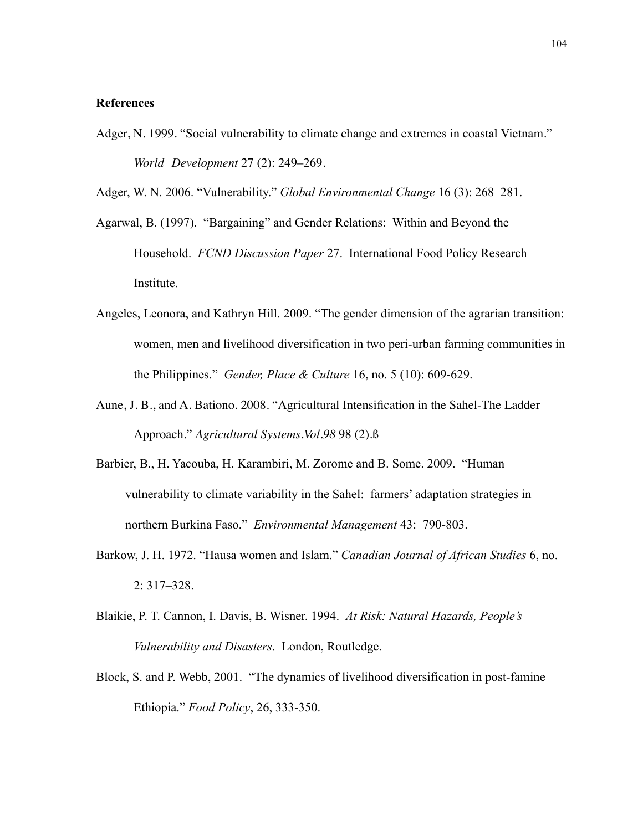## **References**

Adger, N. 1999. "Social vulnerability to climate change and extremes in coastal Vietnam." *World Development* 27 (2): 249–269.

Adger, W. N. 2006. "Vulnerability." *Global Environmental Change* 16 (3): 268–281.

- Agarwal, B. (1997). "Bargaining" and Gender Relations: Within and Beyond the Household. *FCND Discussion Paper* 27. International Food Policy Research Institute.
- Angeles, Leonora, and Kathryn Hill. 2009. "The gender dimension of the agrarian transition: women, men and livelihood diversification in two peri-urban farming communities in the Philippines." *Gender, Place & Culture* 16, no. 5 (10): 609-629.
- Aune, J. B., and A. Bationo. 2008. "Agricultural Intensification in the Sahel-The Ladder Approach." *Agricultural Systems.Vol.98* 98 (2).ß
- Barbier, B., H. Yacouba, H. Karambiri, M. Zorome and B. Some. 2009. "Human vulnerability to climate variability in the Sahel: farmers' adaptation strategies in northern Burkina Faso." *Environmental Management* 43: 790-803.
- Barkow, J. H. 1972. "Hausa women and Islam." *Canadian Journal of African Studies* 6, no. 2: 317–328.
- Blaikie, P. T. Cannon, I. Davis, B. Wisner. 1994. *At Risk: Natural Hazards, People's Vulnerability and Disasters*. London, Routledge.
- Block, S. and P. Webb, 2001. "The dynamics of livelihood diversification in post-famine Ethiopia." *Food Policy*, 26, 333-350.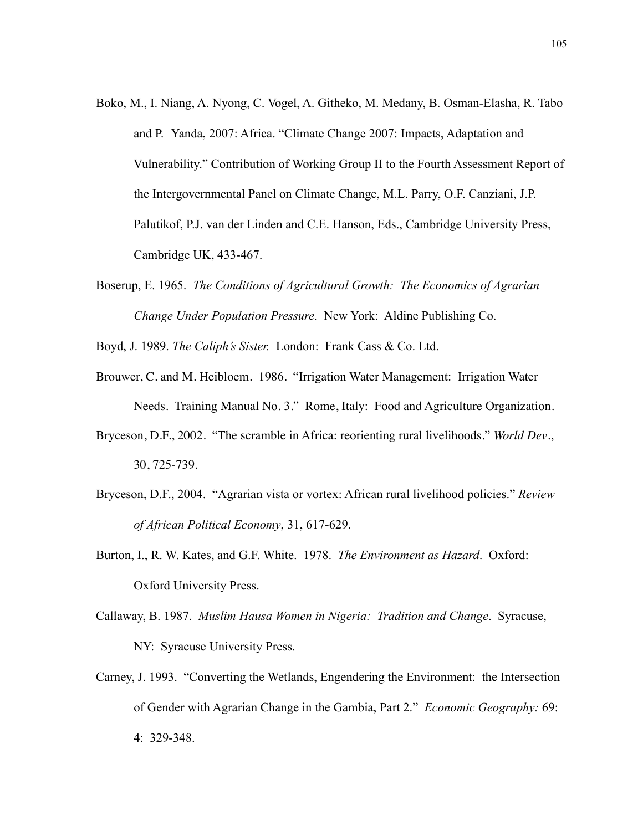- Boko, M., I. Niang, A. Nyong, C. Vogel, A. Githeko, M. Medany, B. Osman-Elasha, R. Tabo and P. Yanda, 2007: Africa. "Climate Change 2007: Impacts, Adaptation and Vulnerability." Contribution of Working Group II to the Fourth Assessment Report of the Intergovernmental Panel on Climate Change, M.L. Parry, O.F. Canziani, J.P. Palutikof, P.J. van der Linden and C.E. Hanson, Eds., Cambridge University Press, Cambridge UK, 433-467.
- Boserup, E. 1965. *The Conditions of Agricultural Growth: The Economics of Agrarian Change Under Population Pressure.* New York: Aldine Publishing Co.

Boyd, J. 1989. *The Caliph's Sister.* London: Frank Cass & Co. Ltd.

- Brouwer, C. and M. Heibloem. 1986. "Irrigation Water Management: Irrigation Water Needs. Training Manual No. 3." Rome, Italy: Food and Agriculture Organization.
- Bryceson, D.F., 2002. "The scramble in Africa: reorienting rural livelihoods." *World Dev*., 30, 725-739.
- Bryceson, D.F., 2004. "Agrarian vista or vortex: African rural livelihood policies." *Review of African Political Economy*, 31, 617-629.
- Burton, I., R. W. Kates, and G.F. White. 1978. *The Environment as Hazard*. Oxford: Oxford University Press.
- Callaway, B. 1987. *Muslim Hausa Women in Nigeria: Tradition and Change*. Syracuse, NY: Syracuse University Press.
- Carney, J. 1993. "Converting the Wetlands, Engendering the Environment: the Intersection of Gender with Agrarian Change in the Gambia, Part 2." *Economic Geography:* 69: 4: 329-348.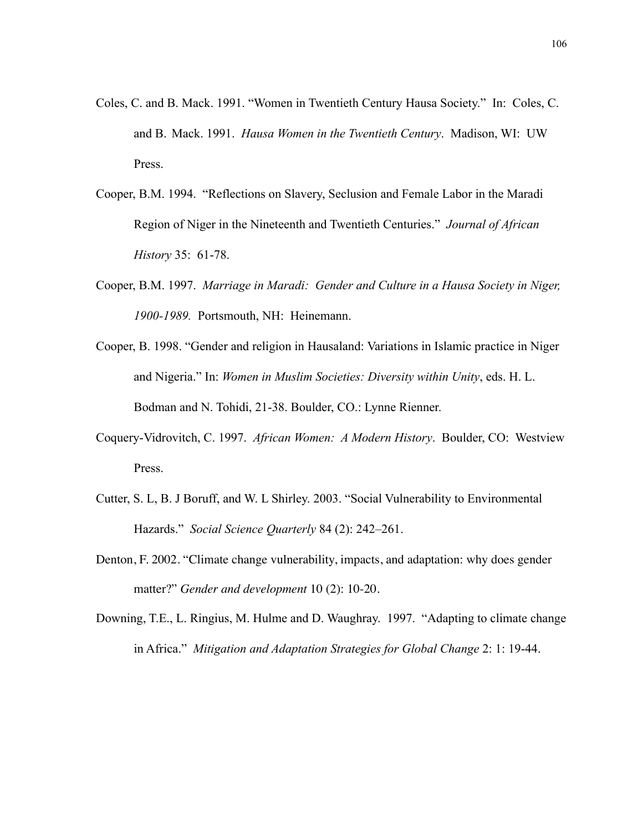- Coles, C. and B. Mack. 1991. "Women in Twentieth Century Hausa Society." In: Coles, C. and B. Mack. 1991. *Hausa Women in the Twentieth Century*. Madison, WI: UW Press.
- Cooper, B.M. 1994. "Reflections on Slavery, Seclusion and Female Labor in the Maradi Region of Niger in the Nineteenth and Twentieth Centuries." *Journal of African History* 35: 61-78.
- Cooper, B.M. 1997. *Marriage in Maradi: Gender and Culture in a Hausa Society in Niger, 1900-1989.* Portsmouth, NH: Heinemann.
- Cooper, B. 1998. "Gender and religion in Hausaland: Variations in Islamic practice in Niger and Nigeria." In: *Women in Muslim Societies: Diversity within Unity*, eds. H. L. Bodman and N. Tohidi, 21-38. Boulder, CO.: Lynne Rienner.
- Coquery-Vidrovitch, C. 1997. *African Women: A Modern History*. Boulder, CO: Westview Press.
- Cutter, S. L, B. J Boruff, and W. L Shirley. 2003. "Social Vulnerability to Environmental Hazards." *Social Science Quarterly* 84 (2): 242–261.
- Denton, F. 2002. "Climate change vulnerability, impacts, and adaptation: why does gender matter?" *Gender and development* 10 (2): 10-20.
- Downing, T.E., L. Ringius, M. Hulme and D. Waughray. 1997. "Adapting to climate change in Africa." *Mitigation and Adaptation Strategies for Global Change* 2: 1: 19-44.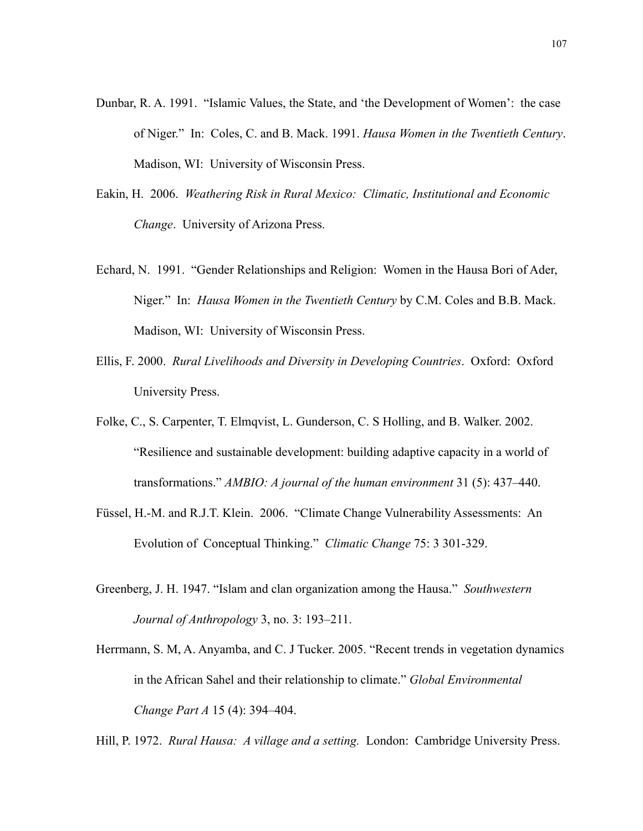- Dunbar, R. A. 1991. "Islamic Values, the State, and 'the Development of Women': the case of Niger." In: Coles, C. and B. Mack. 1991. *Hausa Women in the Twentieth Century*. Madison, WI: University of Wisconsin Press.
- Eakin, H. 2006. *Weathering Risk in Rural Mexico: Climatic, Institutional and Economic Change*. University of Arizona Press.
- Echard, N. 1991. "Gender Relationships and Religion: Women in the Hausa Bori of Ader, Niger." In: *Hausa Women in the Twentieth Century* by C.M. Coles and B.B. Mack. Madison, WI: University of Wisconsin Press.
- Ellis, F. 2000. *Rural Livelihoods and Diversity in Developing Countries*. Oxford: Oxford University Press.
- Folke, C., S. Carpenter, T. Elmqvist, L. Gunderson, C. S Holling, and B. Walker. 2002. "Resilience and sustainable development: building adaptive capacity in a world of transformations." *AMBIO: A journal of the human environment* 31 (5): 437–440.
- Füssel, H.-M. and R.J.T. Klein. 2006. "Climate Change Vulnerability Assessments: An Evolution of Conceptual Thinking." *Climatic Change* 75: 3 301-329.
- Greenberg, J. H. 1947. "Islam and clan organization among the Hausa." *Southwestern Journal of Anthropology* 3, no. 3: 193–211.
- Herrmann, S. M, A. Anyamba, and C. J Tucker. 2005. "Recent trends in vegetation dynamics in the African Sahel and their relationship to climate." *Global Environmental Change Part A* 15 (4): 394–404.

Hill, P. 1972. *Rural Hausa: A village and a setting.* London: Cambridge University Press.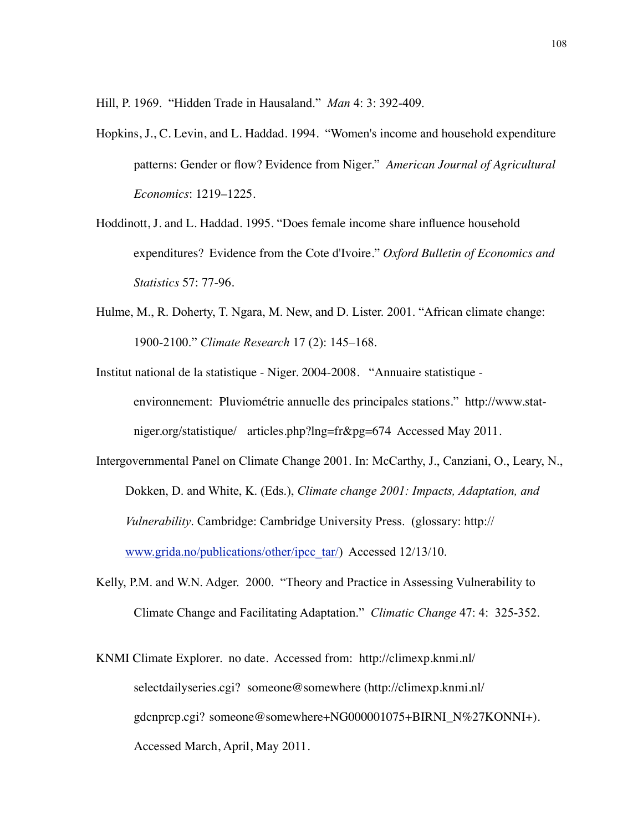Hill, P. 1969. "Hidden Trade in Hausaland." *Man* 4: 3: 392-409.

- Hopkins, J., C. Levin, and L. Haddad. 1994. "Women's income and household expenditure patterns: Gender or flow? Evidence from Niger." *American Journal of Agricultural Economics*: 1219–1225.
- Hoddinott, J. and L. Haddad. 1995. "Does female income share influence household expenditures? Evidence from the Cote d'Ivoire." *Oxford Bulletin of Economics and Statistics* 57: 77-96.
- Hulme, M., R. Doherty, T. Ngara, M. New, and D. Lister. 2001. "African climate change: 1900-2100." *Climate Research* 17 (2): 145–168.
- Institut national de la statistique Niger. 2004-2008. "Annuaire statistique environnement: Pluviométrie annuelle des principales stations." http://www.statniger.org/statistique/ articles.php?lng=fr&pg=674 Accessed May 2011.
- Intergovernmental Panel on Climate Change 2001. In: McCarthy, J., Canziani, O., Leary, N., Dokken, D. and White, K. (Eds.), *Climate change 2001: Impacts, Adaptation, and Vulnerability*. Cambridge: Cambridge University Press. (glossary: http:// [www.grida.no/publications/other/ipcc\\_tar/\)](http://www.grida.no/publications/other/ipcc_tar/) Accessed 12/13/10.
- Kelly, P.M. and W.N. Adger. 2000. "Theory and Practice in Assessing Vulnerability to Climate Change and Facilitating Adaptation." *Climatic Change* 47: 4: 325-352.
- KNMI Climate Explorer. no date. Accessed from: http://climexp.knmi.nl/ selectdailyseries.cgi? someone@somewhere (http://climexp.knmi.nl/ gdcnprcp.cgi? someone@somewhere+NG000001075+BIRNI\_N%27KONNI+). Accessed March, April, May 2011.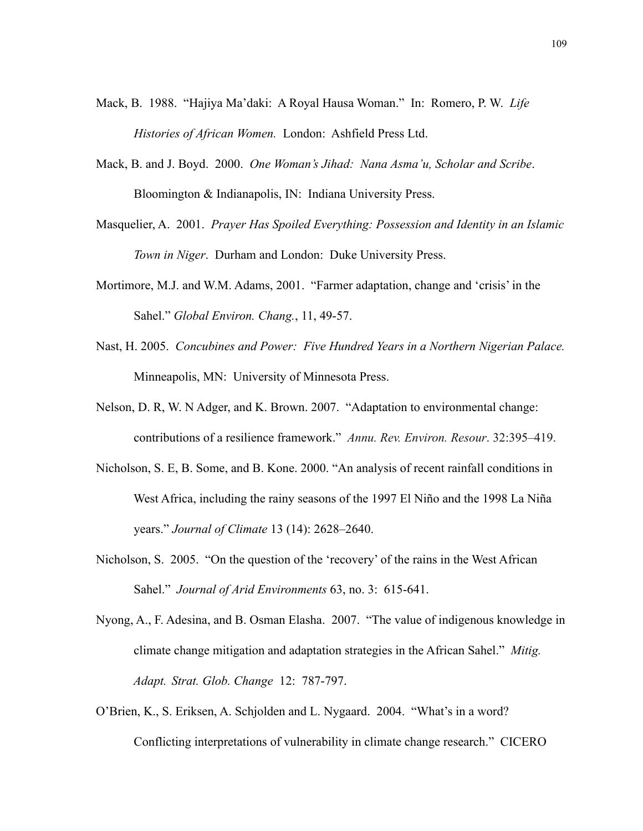- Mack, B. 1988. "Hajiya Ma'daki: A Royal Hausa Woman." In: Romero, P. W. *Life Histories of African Women.* London: Ashfield Press Ltd.
- Mack, B. and J. Boyd. 2000. *One Woman's Jihad: Nana Asma'u, Scholar and Scribe*. Bloomington & Indianapolis, IN: Indiana University Press.
- Masquelier, A. 2001. *Prayer Has Spoiled Everything: Possession and Identity in an Islamic Town in Niger*. Durham and London: Duke University Press.
- Mortimore, M.J. and W.M. Adams, 2001. "Farmer adaptation, change and 'crisis' in the Sahel." *Global Environ. Chang.*, 11, 49-57.
- Nast, H. 2005. *Concubines and Power: Five Hundred Years in a Northern Nigerian Palace.* Minneapolis, MN: University of Minnesota Press.
- Nelson, D. R, W. N Adger, and K. Brown. 2007. "Adaptation to environmental change: contributions of a resilience framework." *Annu. Rev. Environ. Resour*. 32:395–419.
- Nicholson, S. E, B. Some, and B. Kone. 2000. "An analysis of recent rainfall conditions in West Africa, including the rainy seasons of the 1997 El Niño and the 1998 La Niña years." *Journal of Climate* 13 (14): 2628–2640.
- Nicholson, S. 2005. "On the question of the 'recovery' of the rains in the West African Sahel." *Journal of Arid Environments* 63, no. 3: 615-641.
- Nyong, A., F. Adesina, and B. Osman Elasha. 2007. "The value of indigenous knowledge in climate change mitigation and adaptation strategies in the African Sahel." *Mitig. Adapt. Strat. Glob. Change* 12: 787-797.
- O'Brien, K., S. Eriksen, A. Schjolden and L. Nygaard. 2004. "What's in a word? Conflicting interpretations of vulnerability in climate change research." CICERO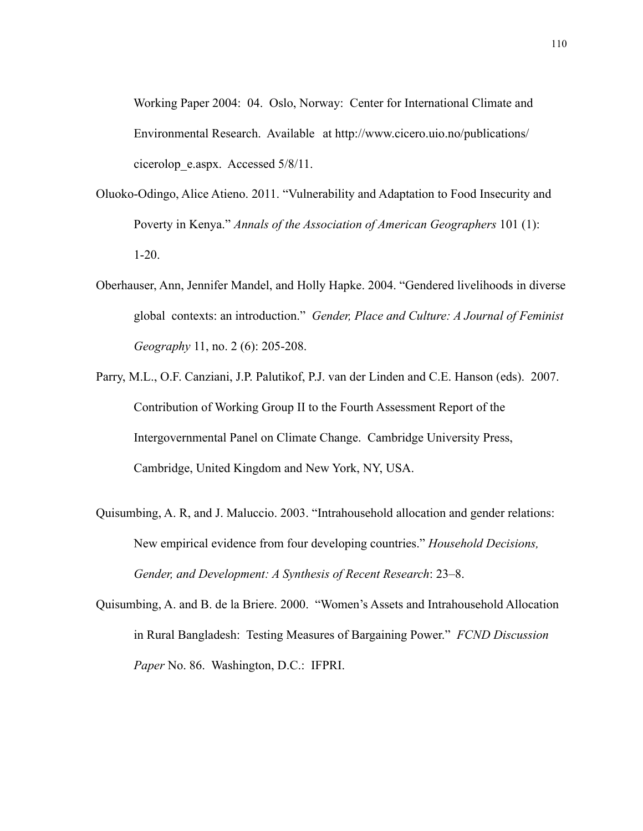Working Paper 2004: 04. Oslo, Norway: Center for International Climate and Environmental Research. Available at http://www.cicero.uio.no/publications/ cicerolop\_e.aspx. Accessed 5/8/11.

- Oluoko-Odingo, Alice Atieno. 2011. "Vulnerability and Adaptation to Food Insecurity and Poverty in Kenya." *Annals of the Association of American Geographers* 101 (1): 1-20.
- Oberhauser, Ann, Jennifer Mandel, and Holly Hapke. 2004. "Gendered livelihoods in diverse global contexts: an introduction." *Gender, Place and Culture: A Journal of Feminist Geography* 11, no. 2 (6): 205-208.
- Parry, M.L., O.F. Canziani, J.P. Palutikof, P.J. van der Linden and C.E. Hanson (eds). 2007. Contribution of Working Group II to the Fourth Assessment Report of the Intergovernmental Panel on Climate Change. Cambridge University Press, Cambridge, United Kingdom and New York, NY, USA.
- Quisumbing, A. R, and J. Maluccio. 2003. "Intrahousehold allocation and gender relations: New empirical evidence from four developing countries." *Household Decisions, Gender, and Development: A Synthesis of Recent Research*: 23–8.
- Quisumbing, A. and B. de la Briere. 2000. "Women's Assets and Intrahousehold Allocation in Rural Bangladesh: Testing Measures of Bargaining Power." *FCND Discussion Paper* No. 86. Washington, D.C.: IFPRI.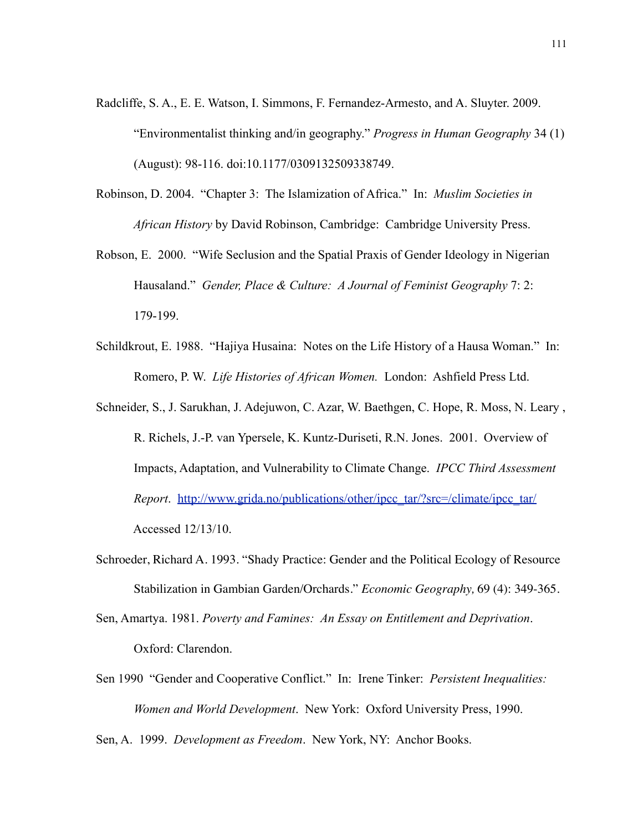- Radcliffe, S. A., E. E. Watson, I. Simmons, F. Fernandez-Armesto, and A. Sluyter. 2009. "Environmentalist thinking and/in geography." *Progress in Human Geography* 34 (1) (August): 98-116. doi:10.1177/0309132509338749.
- Robinson, D. 2004. "Chapter 3: The Islamization of Africa." In: *Muslim Societies in African History* by David Robinson, Cambridge: Cambridge University Press.
- Robson, E. 2000. "Wife Seclusion and the Spatial Praxis of Gender Ideology in Nigerian Hausaland." *Gender, Place & Culture: A Journal of Feminist Geography* 7: 2: 179-199.
- Schildkrout, E. 1988. "Hajiya Husaina: Notes on the Life History of a Hausa Woman." In: Romero, P. W. *Life Histories of African Women.* London: Ashfield Press Ltd.
- Schneider, S., J. Sarukhan, J. Adejuwon, C. Azar, W. Baethgen, C. Hope, R. Moss, N. Leary , R. Richels, J.-P. van Ypersele, K. Kuntz-Duriseti, R.N. Jones. 2001. Overview of Impacts, Adaptation, and Vulnerability to Climate Change. *IPCC Third Assessment Report.* [http://www.grida.no/publications/other/ipcc\\_tar/?src=/climate/ipcc\\_tar/](http://www.grida.no/publications/other/ipcc_tar/?src=/climate/ipcc_tar/) Accessed 12/13/10.
- Schroeder, Richard A. 1993. "Shady Practice: Gender and the Political Ecology of Resource Stabilization in Gambian Garden/Orchards." *Economic Geography,* 69 (4): 349-365.
- Sen, Amartya. 1981. *Poverty and Famines: An Essay on Entitlement and Deprivation*. Oxford: Clarendon.
- Sen 1990 "Gender and Cooperative Conflict." In: Irene Tinker: *Persistent Inequalities: Women and World Development*. New York: Oxford University Press, 1990.

Sen, A. 1999. *Development as Freedom*. New York, NY: Anchor Books.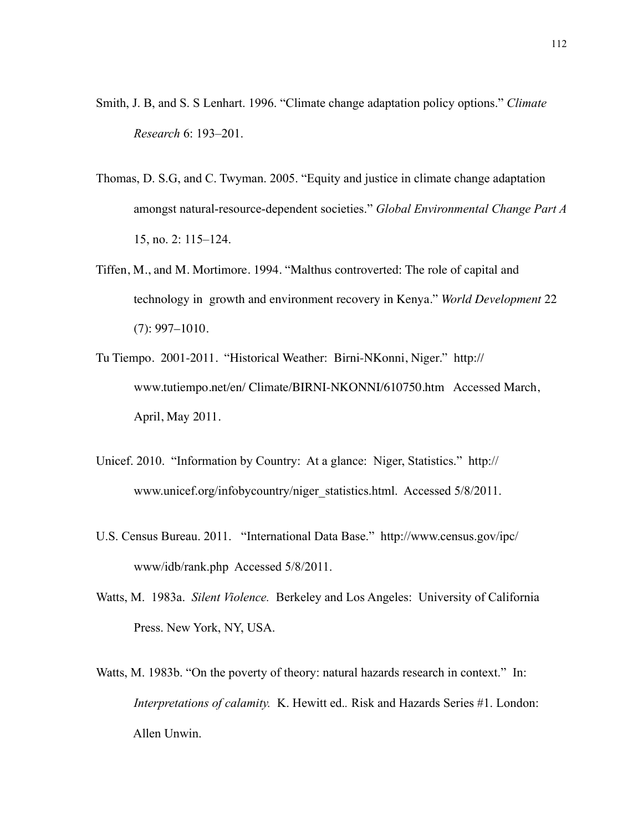- Smith, J. B, and S. S Lenhart. 1996. "Climate change adaptation policy options." *Climate Research* 6: 193–201.
- Thomas, D. S.G, and C. Twyman. 2005. "Equity and justice in climate change adaptation amongst natural-resource-dependent societies." *Global Environmental Change Part A* 15, no. 2: 115–124.
- Tiffen, M., and M. Mortimore. 1994. "Malthus controverted: The role of capital and technology in growth and environment recovery in Kenya." *World Development* 22 (7): 997–1010.
- Tu Tiempo. 2001-2011. "Historical Weather: Birni-NKonni, Niger." http:// www.tutiempo.net/en/ Climate/BIRNI-NKONNI/610750.htm Accessed March, April, May 2011.
- Unicef. 2010. "Information by Country: At a glance: Niger, Statistics." http:// www.unicef.org/infobycountry/niger\_statistics.html. Accessed 5/8/2011.
- U.S. Census Bureau. 2011. "International Data Base." http://www.census.gov/ipc/ www/idb/rank.php Accessed 5/8/2011.
- Watts, M. 1983a. *Silent Violence.* Berkeley and Los Angeles: University of California Press. New York, NY, USA.
- Watts, M. 1983b. "On the poverty of theory: natural hazards research in context." In: *Interpretations of calamity.* K. Hewitt ed.*.* Risk and Hazards Series #1. London: Allen Unwin.